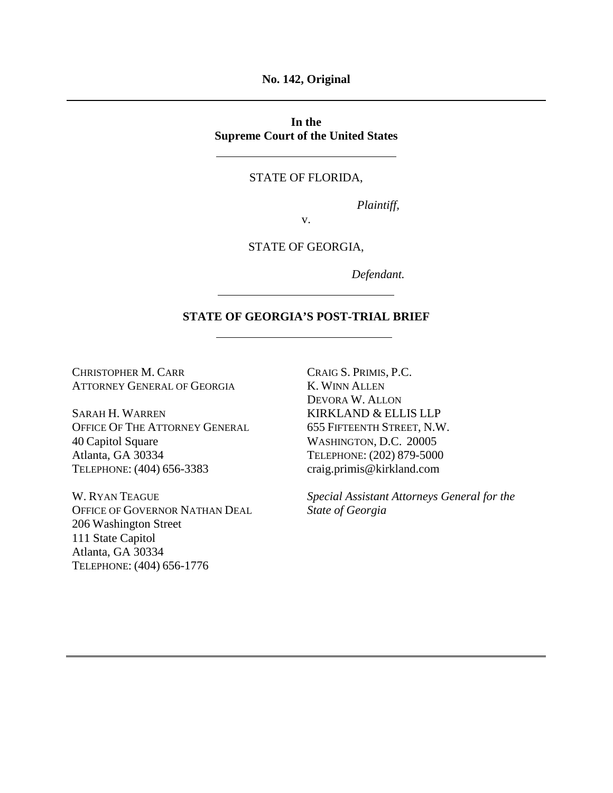**No. 142, Original**

**In the Supreme Court of the United States**

### STATE OF FLORIDA,

*Plaintiff,*

v.

#### STATE OF GEORGIA,

*Defendant.*

# **STATE OF GEORGIA'S POST-TRIAL BRIEF**

CHRISTOPHER M. CARR ATTORNEY GENERAL OF GEORGIA

SARAH H. WARREN OFFICE OF THE ATTORNEY GENERAL 40 Capitol Square Atlanta, GA 30334 TELEPHONE: (404) 656-3383

W. RYAN TEAGUE OFFICE OF GOVERNOR NATHAN DEAL 206 Washington Street 111 State Capitol Atlanta, GA 30334 TELEPHONE: (404) 656-1776

CRAIG S. PRIMIS, P.C. K. WINN ALLEN DEVORA W. ALLON KIRKLAND & ELLIS LLP 655 FIFTEENTH STREET, N.W. WASHINGTON, D.C. 20005 TELEPHONE: (202) 879-5000 craig.primis@kirkland.com

*Special Assistant Attorneys General for the State of Georgia*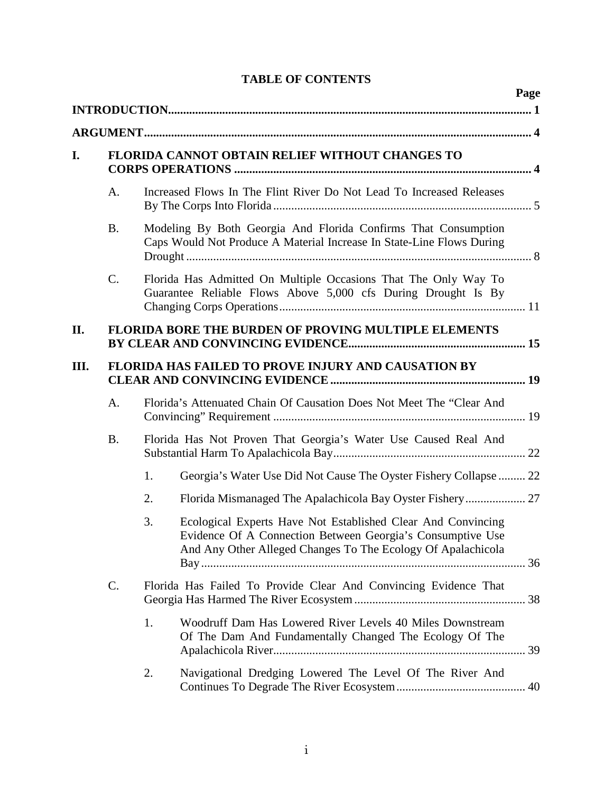|      |                                                 |    |                                                                                                                                                                                            | Page |  |  |  |  |  |
|------|-------------------------------------------------|----|--------------------------------------------------------------------------------------------------------------------------------------------------------------------------------------------|------|--|--|--|--|--|
|      |                                                 |    |                                                                                                                                                                                            |      |  |  |  |  |  |
| I.   | FLORIDA CANNOT OBTAIN RELIEF WITHOUT CHANGES TO |    |                                                                                                                                                                                            |      |  |  |  |  |  |
|      | A.                                              |    | Increased Flows In The Flint River Do Not Lead To Increased Releases                                                                                                                       |      |  |  |  |  |  |
|      | <b>B.</b>                                       |    | Modeling By Both Georgia And Florida Confirms That Consumption<br>Caps Would Not Produce A Material Increase In State-Line Flows During                                                    |      |  |  |  |  |  |
|      | $\mathcal{C}$ .                                 |    | Florida Has Admitted On Multiple Occasions That The Only Way To<br>Guarantee Reliable Flows Above 5,000 cfs During Drought Is By                                                           |      |  |  |  |  |  |
| II.  |                                                 |    | <b>FLORIDA BORE THE BURDEN OF PROVING MULTIPLE ELEMENTS</b>                                                                                                                                |      |  |  |  |  |  |
| III. |                                                 |    | FLORIDA HAS FAILED TO PROVE INJURY AND CAUSATION BY                                                                                                                                        |      |  |  |  |  |  |
|      | A.                                              |    | Florida's Attenuated Chain Of Causation Does Not Meet The "Clear And                                                                                                                       |      |  |  |  |  |  |
|      | <b>B.</b>                                       |    | Florida Has Not Proven That Georgia's Water Use Caused Real And                                                                                                                            |      |  |  |  |  |  |
|      |                                                 | 1. | Georgia's Water Use Did Not Cause The Oyster Fishery Collapse  22                                                                                                                          |      |  |  |  |  |  |
|      |                                                 | 2. |                                                                                                                                                                                            |      |  |  |  |  |  |
|      |                                                 | 3. | Ecological Experts Have Not Established Clear And Convincing<br>Evidence Of A Connection Between Georgia's Consumptive Use<br>And Any Other Alleged Changes To The Ecology Of Apalachicola |      |  |  |  |  |  |
|      | C.                                              |    | Florida Has Failed To Provide Clear And Convincing Evidence That                                                                                                                           |      |  |  |  |  |  |
|      |                                                 | 1. | Woodruff Dam Has Lowered River Levels 40 Miles Downstream<br>Of The Dam And Fundamentally Changed The Ecology Of The                                                                       |      |  |  |  |  |  |
|      |                                                 | 2. | Navigational Dredging Lowered The Level Of The River And                                                                                                                                   |      |  |  |  |  |  |

# **TABLE OF CONTENTS**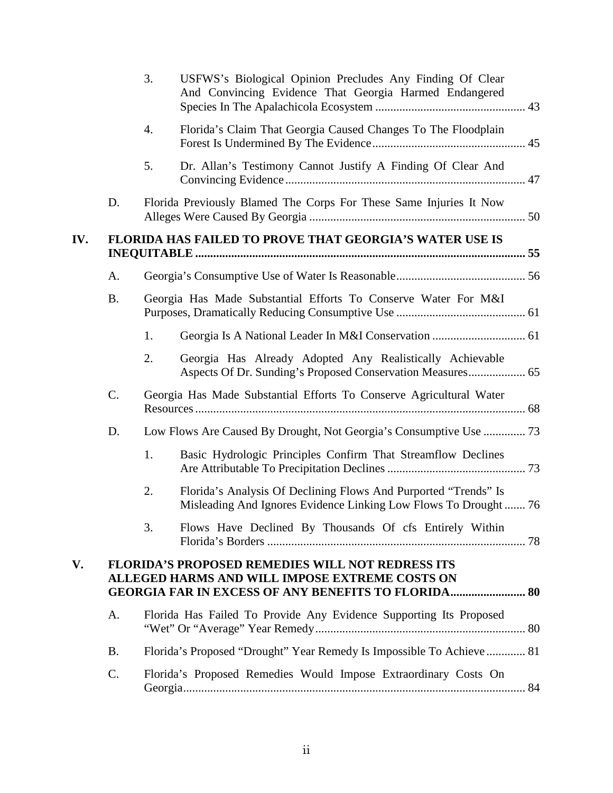|     |                                                                                                                                                                         | 3. | USFWS's Biological Opinion Precludes Any Finding Of Clear<br>And Convincing Evidence That Georgia Harmed Endangered                |  |  |  |  |  |  |  |
|-----|-------------------------------------------------------------------------------------------------------------------------------------------------------------------------|----|------------------------------------------------------------------------------------------------------------------------------------|--|--|--|--|--|--|--|
|     |                                                                                                                                                                         | 4. | Florida's Claim That Georgia Caused Changes To The Floodplain                                                                      |  |  |  |  |  |  |  |
|     |                                                                                                                                                                         | 5. | Dr. Allan's Testimony Cannot Justify A Finding Of Clear And                                                                        |  |  |  |  |  |  |  |
|     | D.                                                                                                                                                                      |    | Florida Previously Blamed The Corps For These Same Injuries It Now                                                                 |  |  |  |  |  |  |  |
| IV. | FLORIDA HAS FAILED TO PROVE THAT GEORGIA'S WATER USE IS                                                                                                                 |    |                                                                                                                                    |  |  |  |  |  |  |  |
|     | A.                                                                                                                                                                      |    |                                                                                                                                    |  |  |  |  |  |  |  |
|     | <b>B.</b>                                                                                                                                                               |    | Georgia Has Made Substantial Efforts To Conserve Water For M&I                                                                     |  |  |  |  |  |  |  |
|     |                                                                                                                                                                         | 1. |                                                                                                                                    |  |  |  |  |  |  |  |
|     |                                                                                                                                                                         | 2. | Georgia Has Already Adopted Any Realistically Achievable                                                                           |  |  |  |  |  |  |  |
|     | C.                                                                                                                                                                      |    | Georgia Has Made Substantial Efforts To Conserve Agricultural Water                                                                |  |  |  |  |  |  |  |
|     | D.                                                                                                                                                                      |    |                                                                                                                                    |  |  |  |  |  |  |  |
|     |                                                                                                                                                                         | 1. | Basic Hydrologic Principles Confirm That Streamflow Declines                                                                       |  |  |  |  |  |  |  |
|     |                                                                                                                                                                         | 2. | Florida's Analysis Of Declining Flows And Purported "Trends" Is<br>Misleading And Ignores Evidence Linking Low Flows To Drought 76 |  |  |  |  |  |  |  |
|     |                                                                                                                                                                         | 3. | Flows Have Declined By Thousands Of cfs Entirely Within                                                                            |  |  |  |  |  |  |  |
| V.  | <b>FLORIDA'S PROPOSED REMEDIES WILL NOT REDRESS ITS</b><br>ALLEGED HARMS AND WILL IMPOSE EXTREME COSTS ON<br><b>GEORGIA FAR IN EXCESS OF ANY BENEFITS TO FLORIDA 80</b> |    |                                                                                                                                    |  |  |  |  |  |  |  |
|     | A.                                                                                                                                                                      |    | Florida Has Failed To Provide Any Evidence Supporting Its Proposed                                                                 |  |  |  |  |  |  |  |
|     | <b>B.</b>                                                                                                                                                               |    | Florida's Proposed "Drought" Year Remedy Is Impossible To Achieve  81                                                              |  |  |  |  |  |  |  |
|     | C.                                                                                                                                                                      |    | Florida's Proposed Remedies Would Impose Extraordinary Costs On                                                                    |  |  |  |  |  |  |  |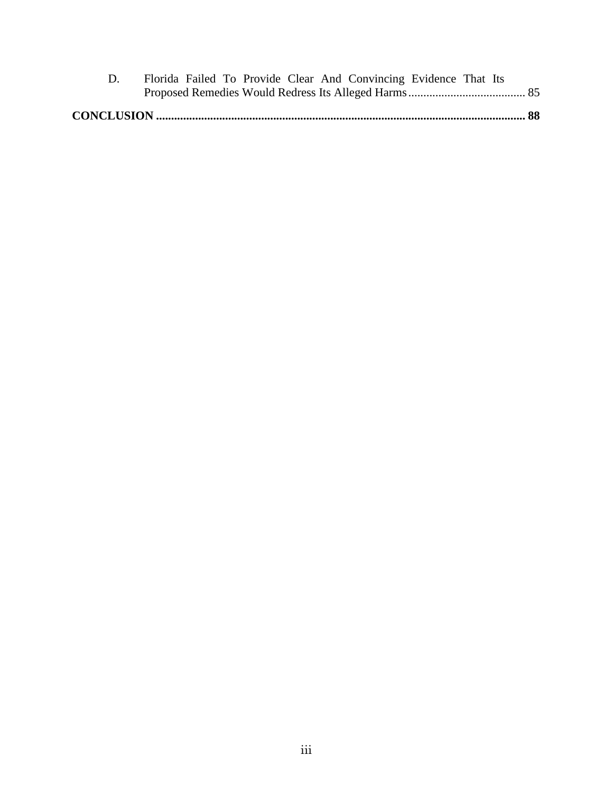|  |  |  | Florida Failed To Provide Clear And Convincing Evidence That Its |  |  |
|--|--|--|------------------------------------------------------------------|--|--|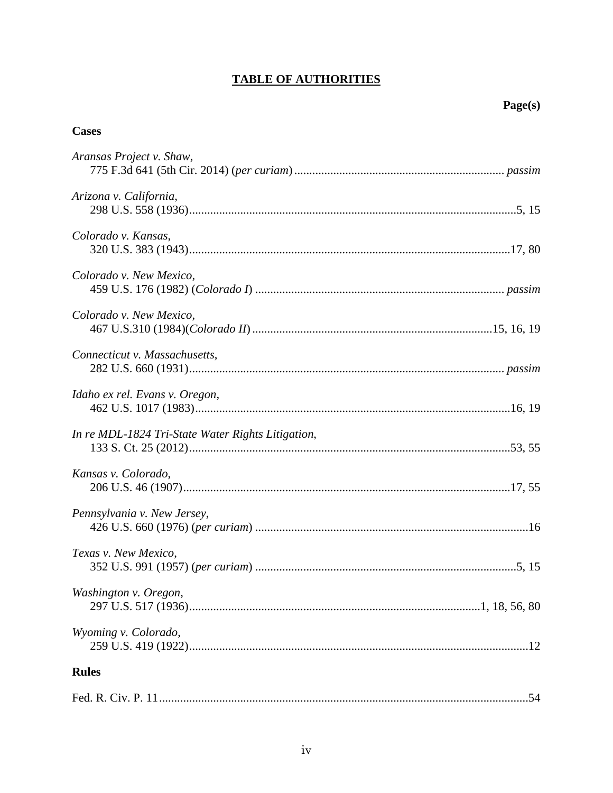# **TABLE OF AUTHORITIES**

# **Cases**

| Aransas Project v. Shaw,                          |     |
|---------------------------------------------------|-----|
| Arizona v. California,                            |     |
| Colorado v. Kansas,                               |     |
| Colorado v. New Mexico,                           |     |
| Colorado v. New Mexico,                           |     |
| Connecticut v. Massachusetts,                     |     |
| Idaho ex rel. Evans v. Oregon,                    |     |
| In re MDL-1824 Tri-State Water Rights Litigation, |     |
| Kansas v. Colorado,                               |     |
| Pennsylvania v. New Jersey,                       |     |
| Texas v. New Mexico,                              |     |
| Washington v. Oregon,                             |     |
| Wyoming v. Colorado,                              |     |
| <b>Rules</b>                                      |     |
|                                                   | .54 |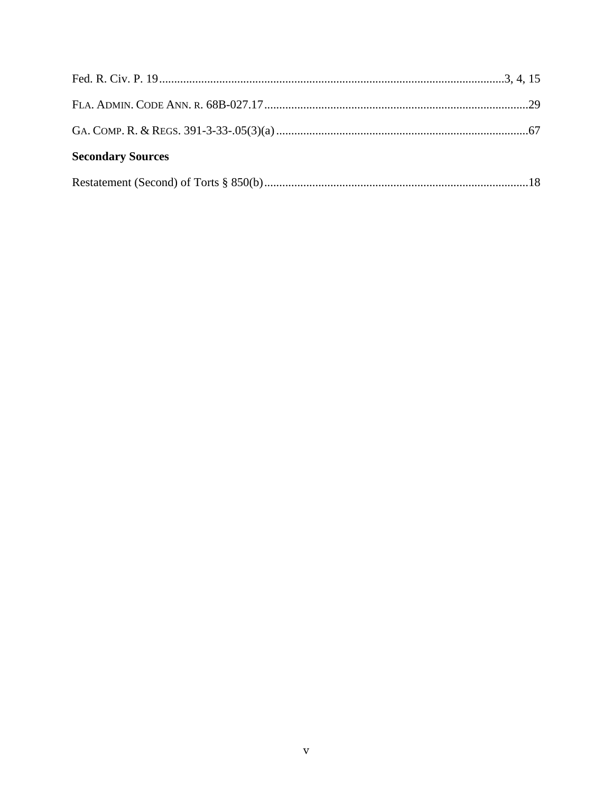| <b>Secondary Sources</b> |  |
|--------------------------|--|
|                          |  |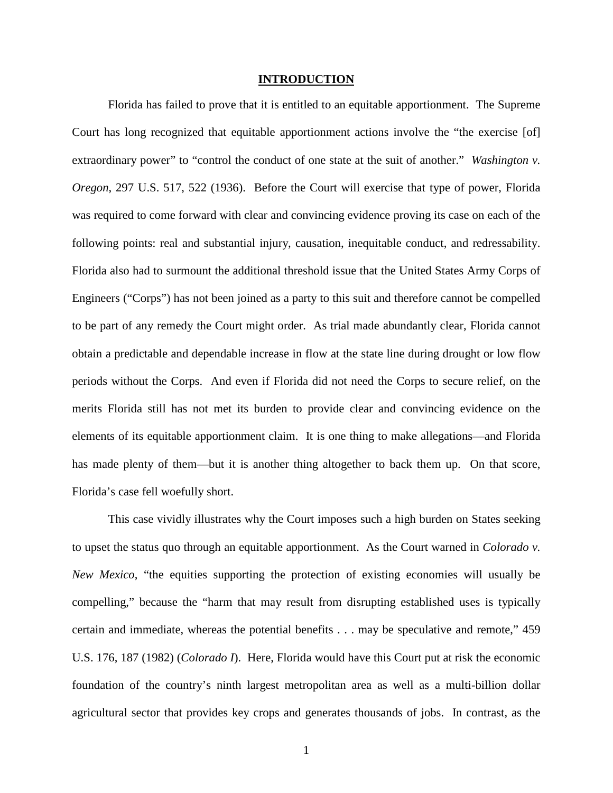#### <span id="page-6-2"></span>**INTRODUCTION**

<span id="page-6-0"></span>Florida has failed to prove that it is entitled to an equitable apportionment. The Supreme Court has long recognized that equitable apportionment actions involve the "the exercise [of] extraordinary power" to "control the conduct of one state at the suit of another." *Washington v. Oregon*, 297 U.S. 517, 522 (1936). Before the Court will exercise that type of power, Florida was required to come forward with clear and convincing evidence proving its case on each of the following points: real and substantial injury, causation, inequitable conduct, and redressability. Florida also had to surmount the additional threshold issue that the United States Army Corps of Engineers ("Corps") has not been joined as a party to this suit and therefore cannot be compelled to be part of any remedy the Court might order. As trial made abundantly clear, Florida cannot obtain a predictable and dependable increase in flow at the state line during drought or low flow periods without the Corps. And even if Florida did not need the Corps to secure relief, on the merits Florida still has not met its burden to provide clear and convincing evidence on the elements of its equitable apportionment claim. It is one thing to make allegations—and Florida has made plenty of them—but it is another thing altogether to back them up. On that score, Florida's case fell woefully short.

<span id="page-6-1"></span>This case vividly illustrates why the Court imposes such a high burden on States seeking to upset the status quo through an equitable apportionment. As the Court warned in *Colorado v. New Mexico*, "the equities supporting the protection of existing economies will usually be compelling," because the "harm that may result from disrupting established uses is typically certain and immediate, whereas the potential benefits . . . may be speculative and remote," 459 U.S. 176, 187 (1982) (*Colorado I*). Here, Florida would have this Court put at risk the economic foundation of the country's ninth largest metropolitan area as well as a multi-billion dollar agricultural sector that provides key crops and generates thousands of jobs. In contrast, as the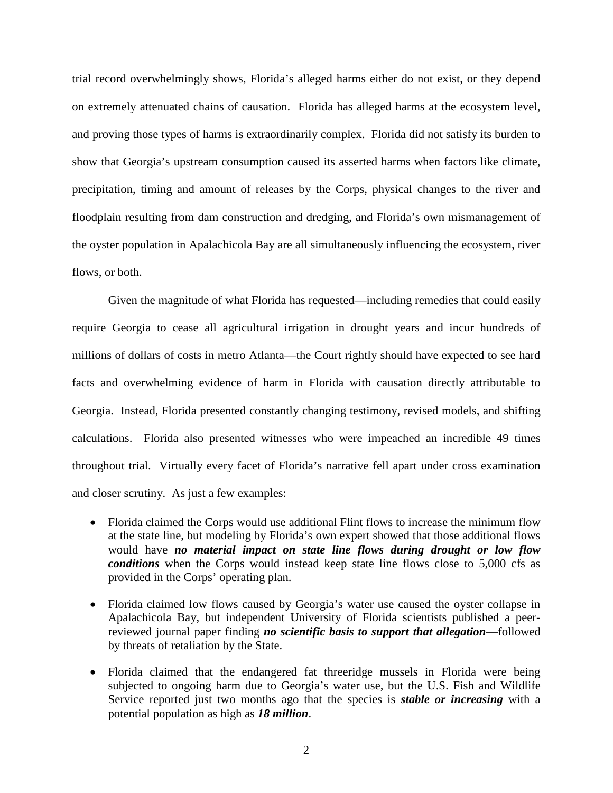trial record overwhelmingly shows, Florida's alleged harms either do not exist, or they depend on extremely attenuated chains of causation. Florida has alleged harms at the ecosystem level, and proving those types of harms is extraordinarily complex. Florida did not satisfy its burden to show that Georgia's upstream consumption caused its asserted harms when factors like climate, precipitation, timing and amount of releases by the Corps, physical changes to the river and floodplain resulting from dam construction and dredging, and Florida's own mismanagement of the oyster population in Apalachicola Bay are all simultaneously influencing the ecosystem, river flows, or both.

Given the magnitude of what Florida has requested—including remedies that could easily require Georgia to cease all agricultural irrigation in drought years and incur hundreds of millions of dollars of costs in metro Atlanta—the Court rightly should have expected to see hard facts and overwhelming evidence of harm in Florida with causation directly attributable to Georgia. Instead, Florida presented constantly changing testimony, revised models, and shifting calculations. Florida also presented witnesses who were impeached an incredible 49 times throughout trial. Virtually every facet of Florida's narrative fell apart under cross examination and closer scrutiny. As just a few examples:

- Florida claimed the Corps would use additional Flint flows to increase the minimum flow at the state line, but modeling by Florida's own expert showed that those additional flows would have *no material impact on state line flows during drought or low flow conditions* when the Corps would instead keep state line flows close to 5,000 cfs as provided in the Corps' operating plan.
- Florida claimed low flows caused by Georgia's water use caused the oyster collapse in Apalachicola Bay, but independent University of Florida scientists published a peerreviewed journal paper finding *no scientific basis to support that allegation*—followed by threats of retaliation by the State.
- Florida claimed that the endangered fat threeridge mussels in Florida were being subjected to ongoing harm due to Georgia's water use, but the U.S. Fish and Wildlife Service reported just two months ago that the species is *stable or increasing* with a potential population as high as *18 million*.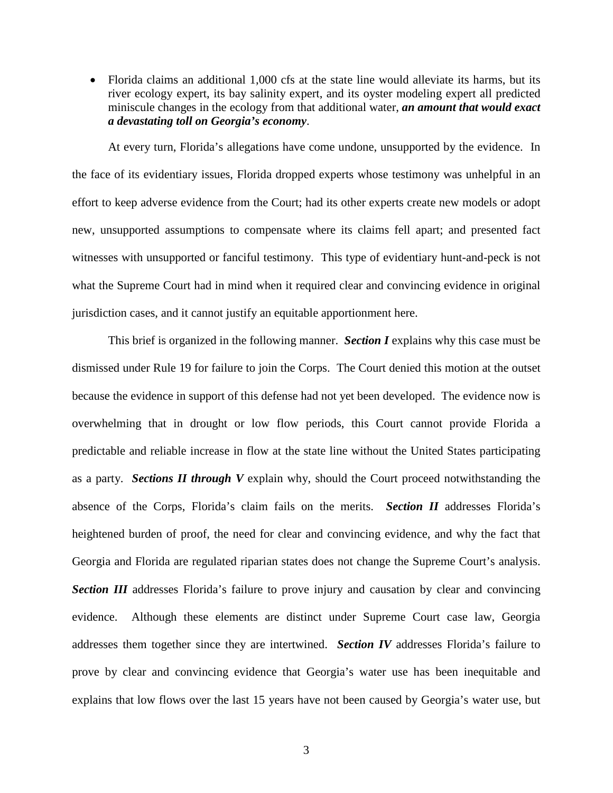• Florida claims an additional 1,000 cfs at the state line would alleviate its harms, but its river ecology expert, its bay salinity expert, and its oyster modeling expert all predicted miniscule changes in the ecology from that additional water, *an amount that would exact a devastating toll on Georgia's economy*.

At every turn, Florida's allegations have come undone, unsupported by the evidence. In the face of its evidentiary issues, Florida dropped experts whose testimony was unhelpful in an effort to keep adverse evidence from the Court; had its other experts create new models or adopt new, unsupported assumptions to compensate where its claims fell apart; and presented fact witnesses with unsupported or fanciful testimony. This type of evidentiary hunt-and-peck is not what the Supreme Court had in mind when it required clear and convincing evidence in original jurisdiction cases, and it cannot justify an equitable apportionment here.

<span id="page-8-0"></span>This brief is organized in the following manner. *Section I* explains why this case must be dismissed under Rule 19 for failure to join the Corps. The Court denied this motion at the outset because the evidence in support of this defense had not yet been developed. The evidence now is overwhelming that in drought or low flow periods, this Court cannot provide Florida a predictable and reliable increase in flow at the state line without the United States participating as a party. *Sections II through V* explain why, should the Court proceed notwithstanding the absence of the Corps, Florida's claim fails on the merits. *Section II* addresses Florida's heightened burden of proof, the need for clear and convincing evidence, and why the fact that Georgia and Florida are regulated riparian states does not change the Supreme Court's analysis. **Section III** addresses Florida's failure to prove injury and causation by clear and convincing evidence. Although these elements are distinct under Supreme Court case law, Georgia addresses them together since they are intertwined. *Section IV* addresses Florida's failure to prove by clear and convincing evidence that Georgia's water use has been inequitable and explains that low flows over the last 15 years have not been caused by Georgia's water use, but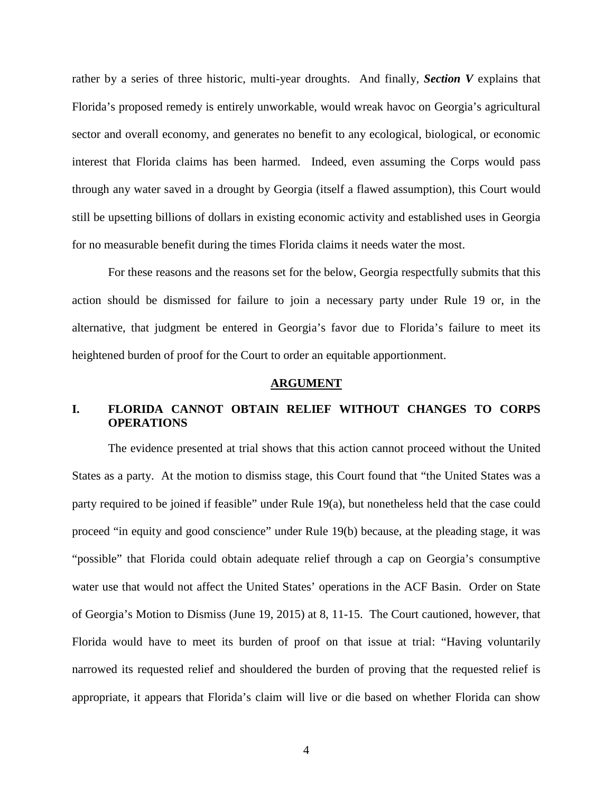rather by a series of three historic, multi-year droughts. And finally, *Section V* explains that Florida's proposed remedy is entirely unworkable, would wreak havoc on Georgia's agricultural sector and overall economy, and generates no benefit to any ecological, biological, or economic interest that Florida claims has been harmed. Indeed, even assuming the Corps would pass through any water saved in a drought by Georgia (itself a flawed assumption), this Court would still be upsetting billions of dollars in existing economic activity and established uses in Georgia for no measurable benefit during the times Florida claims it needs water the most.

For these reasons and the reasons set for the below, Georgia respectfully submits that this action should be dismissed for failure to join a necessary party under Rule 19 or, in the alternative, that judgment be entered in Georgia's favor due to Florida's failure to meet its heightened burden of proof for the Court to order an equitable apportionment.

#### <span id="page-9-2"></span>**ARGUMENT**

# <span id="page-9-1"></span><span id="page-9-0"></span>**I. FLORIDA CANNOT OBTAIN RELIEF WITHOUT CHANGES TO CORPS OPERATIONS**

The evidence presented at trial shows that this action cannot proceed without the United States as a party. At the motion to dismiss stage, this Court found that "the United States was a party required to be joined if feasible" under Rule 19(a), but nonetheless held that the case could proceed "in equity and good conscience" under Rule 19(b) because, at the pleading stage, it was "possible" that Florida could obtain adequate relief through a cap on Georgia's consumptive water use that would not affect the United States' operations in the ACF Basin. Order on State of Georgia's Motion to Dismiss (June 19, 2015) at 8, 11-15. The Court cautioned, however, that Florida would have to meet its burden of proof on that issue at trial: "Having voluntarily narrowed its requested relief and shouldered the burden of proving that the requested relief is appropriate, it appears that Florida's claim will live or die based on whether Florida can show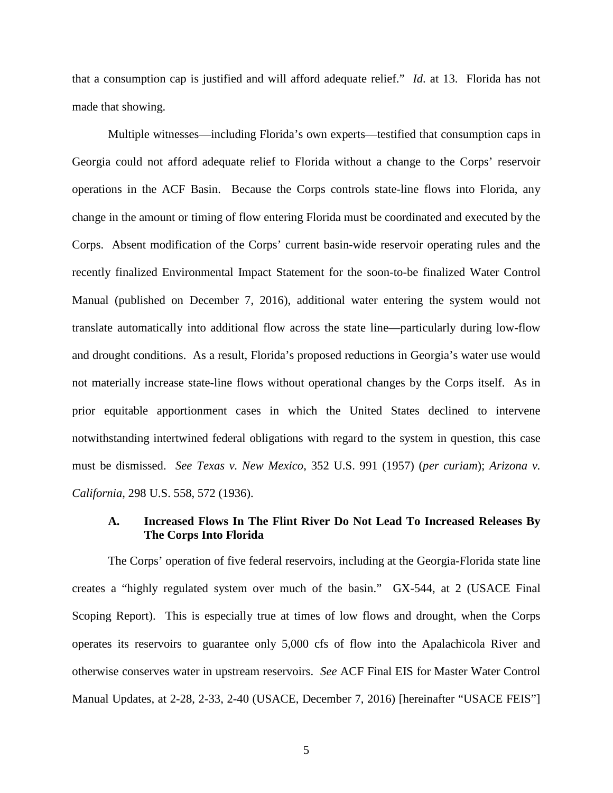that a consumption cap is justified and will afford adequate relief." *Id*. at 13. Florida has not made that showing.

Multiple witnesses—including Florida's own experts—testified that consumption caps in Georgia could not afford adequate relief to Florida without a change to the Corps' reservoir operations in the ACF Basin. Because the Corps controls state-line flows into Florida, any change in the amount or timing of flow entering Florida must be coordinated and executed by the Corps. Absent modification of the Corps' current basin-wide reservoir operating rules and the recently finalized Environmental Impact Statement for the soon-to-be finalized Water Control Manual (published on December 7, 2016), additional water entering the system would not translate automatically into additional flow across the state line—particularly during low-flow and drought conditions. As a result, Florida's proposed reductions in Georgia's water use would not materially increase state-line flows without operational changes by the Corps itself. As in prior equitable apportionment cases in which the United States declined to intervene notwithstanding intertwined federal obligations with regard to the system in question, this case must be dismissed. *See Texas v. New Mexico*, 352 U.S. 991 (1957) (*per curiam*); *Arizona v. California*, 298 U.S. 558, 572 (1936).

### <span id="page-10-2"></span><span id="page-10-1"></span><span id="page-10-0"></span>**A. Increased Flows In The Flint River Do Not Lead To Increased Releases By The Corps Into Florida**

The Corps' operation of five federal reservoirs, including at the Georgia-Florida state line creates a "highly regulated system over much of the basin." GX-544, at 2 (USACE Final Scoping Report). This is especially true at times of low flows and drought, when the Corps operates its reservoirs to guarantee only 5,000 cfs of flow into the Apalachicola River and otherwise conserves water in upstream reservoirs. *See* ACF Final EIS for Master Water Control Manual Updates, at 2-28, 2-33, 2-40 (USACE, December 7, 2016) [hereinafter "USACE FEIS"]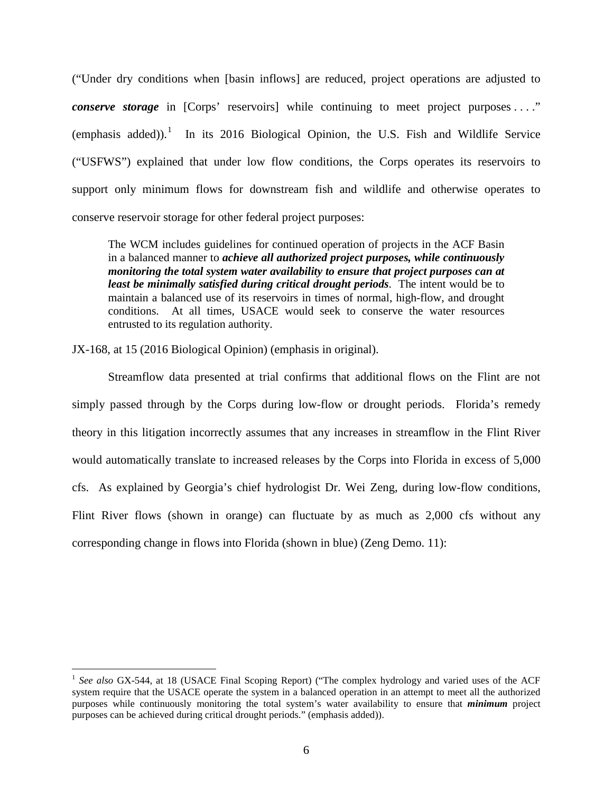("Under dry conditions when [basin inflows] are reduced, project operations are adjusted to *conserve storage* in [Corps' reservoirs] while continuing to meet project purposes ...." (emphasis added)).<sup>[1](#page-11-0)</sup> In its 2016 Biological Opinion, the U.S. Fish and Wildlife Service ("USFWS") explained that under low flow conditions, the Corps operates its reservoirs to support only minimum flows for downstream fish and wildlife and otherwise operates to conserve reservoir storage for other federal project purposes:

The WCM includes guidelines for continued operation of projects in the ACF Basin in a balanced manner to *achieve all authorized project purposes, while continuously monitoring the total system water availability to ensure that project purposes can at least be minimally satisfied during critical drought periods*. The intent would be to maintain a balanced use of its reservoirs in times of normal, high-flow, and drought conditions. At all times, USACE would seek to conserve the water resources entrusted to its regulation authority.

JX-168, at 15 (2016 Biological Opinion) (emphasis in original).

Streamflow data presented at trial confirms that additional flows on the Flint are not simply passed through by the Corps during low-flow or drought periods. Florida's remedy theory in this litigation incorrectly assumes that any increases in streamflow in the Flint River would automatically translate to increased releases by the Corps into Florida in excess of 5,000 cfs. As explained by Georgia's chief hydrologist Dr. Wei Zeng, during low-flow conditions, Flint River flows (shown in orange) can fluctuate by as much as 2,000 cfs without any corresponding change in flows into Florida (shown in blue) (Zeng Demo. 11):

<span id="page-11-0"></span><sup>&</sup>lt;sup>1</sup> See also GX-544, at 18 (USACE Final Scoping Report) ("The complex hydrology and varied uses of the ACF system require that the USACE operate the system in a balanced operation in an attempt to meet all the authorized purposes while continuously monitoring the total system's water availability to ensure that *minimum* project purposes can be achieved during critical drought periods." (emphasis added)).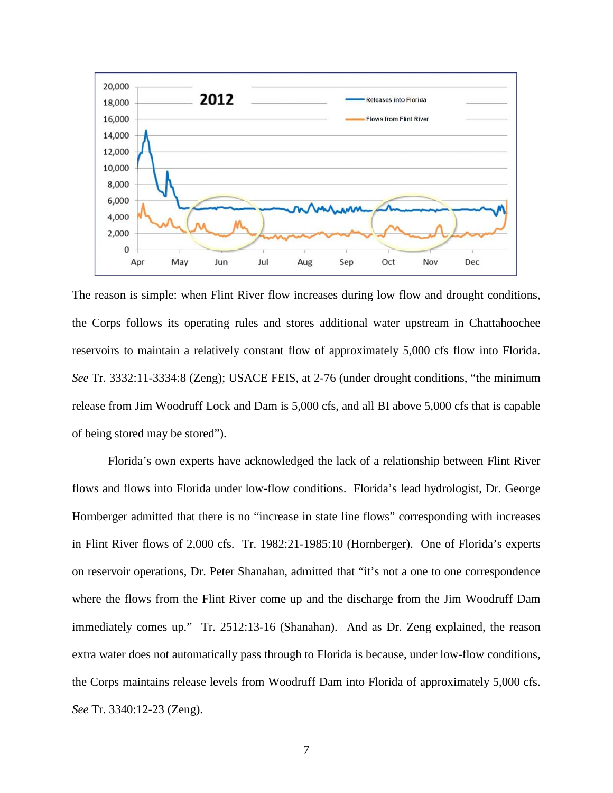

The reason is simple: when Flint River flow increases during low flow and drought conditions, the Corps follows its operating rules and stores additional water upstream in Chattahoochee reservoirs to maintain a relatively constant flow of approximately 5,000 cfs flow into Florida. *See* Tr. 3332:11-3334:8 (Zeng); USACE FEIS, at 2-76 (under drought conditions, "the minimum release from Jim Woodruff Lock and Dam is 5,000 cfs, and all BI above 5,000 cfs that is capable of being stored may be stored").

Florida's own experts have acknowledged the lack of a relationship between Flint River flows and flows into Florida under low-flow conditions. Florida's lead hydrologist, Dr. George Hornberger admitted that there is no "increase in state line flows" corresponding with increases in Flint River flows of 2,000 cfs. Tr. 1982:21-1985:10 (Hornberger). One of Florida's experts on reservoir operations, Dr. Peter Shanahan, admitted that "it's not a one to one correspondence where the flows from the Flint River come up and the discharge from the Jim Woodruff Dam immediately comes up." Tr. 2512:13-16 (Shanahan). And as Dr. Zeng explained, the reason extra water does not automatically pass through to Florida is because, under low-flow conditions, the Corps maintains release levels from Woodruff Dam into Florida of approximately 5,000 cfs. *See* Tr. 3340:12-23 (Zeng).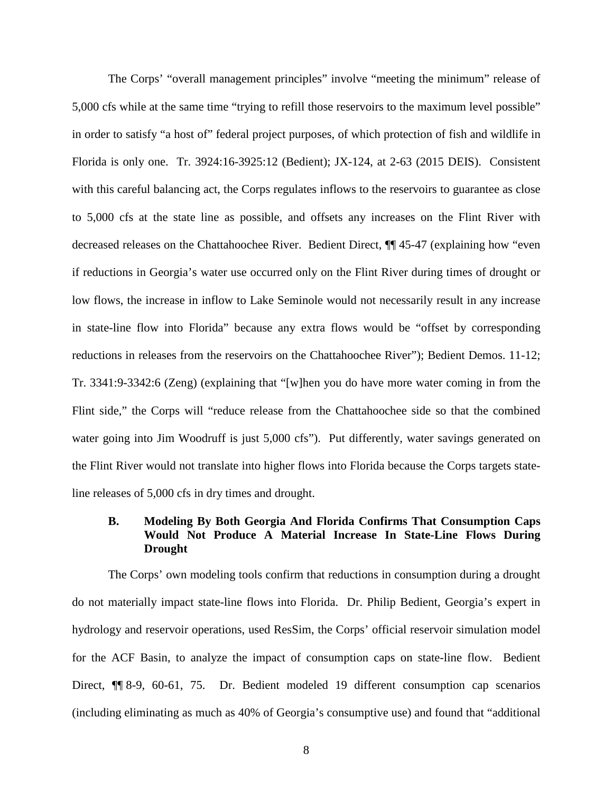The Corps' "overall management principles" involve "meeting the minimum" release of 5,000 cfs while at the same time "trying to refill those reservoirs to the maximum level possible" in order to satisfy "a host of" federal project purposes, of which protection of fish and wildlife in Florida is only one. Tr. 3924:16-3925:12 (Bedient); JX-124, at 2-63 (2015 DEIS). Consistent with this careful balancing act, the Corps regulates inflows to the reservoirs to guarantee as close to 5,000 cfs at the state line as possible, and offsets any increases on the Flint River with decreased releases on the Chattahoochee River. Bedient Direct, ¶¶ 45-47 (explaining how "even if reductions in Georgia's water use occurred only on the Flint River during times of drought or low flows, the increase in inflow to Lake Seminole would not necessarily result in any increase in state-line flow into Florida" because any extra flows would be "offset by corresponding reductions in releases from the reservoirs on the Chattahoochee River"); Bedient Demos. 11-12; Tr. 3341:9-3342:6 (Zeng) (explaining that "[w]hen you do have more water coming in from the Flint side," the Corps will "reduce release from the Chattahoochee side so that the combined water going into Jim Woodruff is just 5,000 cfs"). Put differently, water savings generated on the Flint River would not translate into higher flows into Florida because the Corps targets stateline releases of 5,000 cfs in dry times and drought.

# <span id="page-13-0"></span>**B. Modeling By Both Georgia And Florida Confirms That Consumption Caps Would Not Produce A Material Increase In State-Line Flows During Drought**

The Corps' own modeling tools confirm that reductions in consumption during a drought do not materially impact state-line flows into Florida. Dr. Philip Bedient, Georgia's expert in hydrology and reservoir operations, used ResSim, the Corps' official reservoir simulation model for the ACF Basin, to analyze the impact of consumption caps on state-line flow. Bedient Direct, ¶ 8-9, 60-61, 75. Dr. Bedient modeled 19 different consumption cap scenarios (including eliminating as much as 40% of Georgia's consumptive use) and found that "additional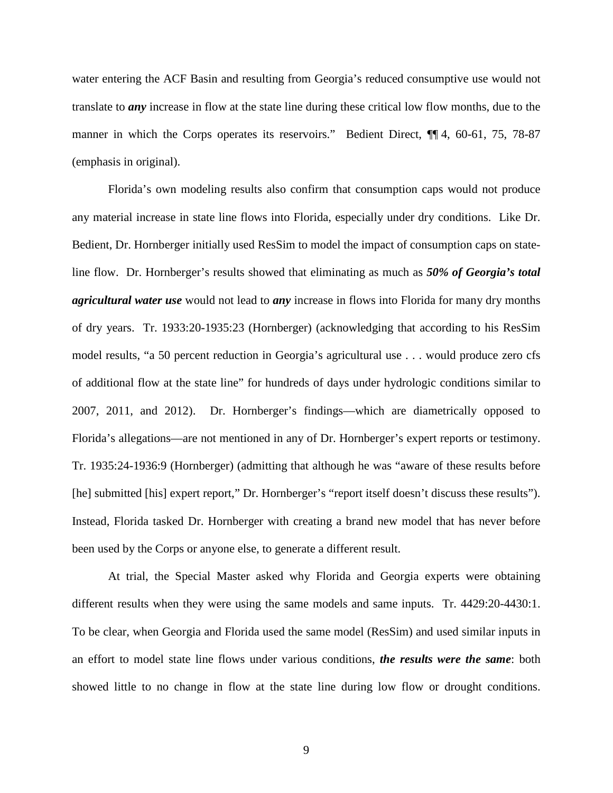water entering the ACF Basin and resulting from Georgia's reduced consumptive use would not translate to *any* increase in flow at the state line during these critical low flow months, due to the manner in which the Corps operates its reservoirs." Bedient Direct, ¶[4, 60-61, 75, 78-87] (emphasis in original).

Florida's own modeling results also confirm that consumption caps would not produce any material increase in state line flows into Florida, especially under dry conditions. Like Dr. Bedient, Dr. Hornberger initially used ResSim to model the impact of consumption caps on stateline flow. Dr. Hornberger's results showed that eliminating as much as *50% of Georgia's total agricultural water use* would not lead to *any* increase in flows into Florida for many dry months of dry years. Tr. 1933:20-1935:23 (Hornberger) (acknowledging that according to his ResSim model results, "a 50 percent reduction in Georgia's agricultural use . . . would produce zero cfs of additional flow at the state line" for hundreds of days under hydrologic conditions similar to 2007, 2011, and 2012). Dr. Hornberger's findings—which are diametrically opposed to Florida's allegations—are not mentioned in any of Dr. Hornberger's expert reports or testimony. Tr. 1935:24-1936:9 (Hornberger) (admitting that although he was "aware of these results before [he] submitted [his] expert report," Dr. Hornberger's "report itself doesn't discuss these results"). Instead, Florida tasked Dr. Hornberger with creating a brand new model that has never before been used by the Corps or anyone else, to generate a different result.

At trial, the Special Master asked why Florida and Georgia experts were obtaining different results when they were using the same models and same inputs. Tr. 4429:20-4430:1. To be clear, when Georgia and Florida used the same model (ResSim) and used similar inputs in an effort to model state line flows under various conditions, *the results were the same*: both showed little to no change in flow at the state line during low flow or drought conditions.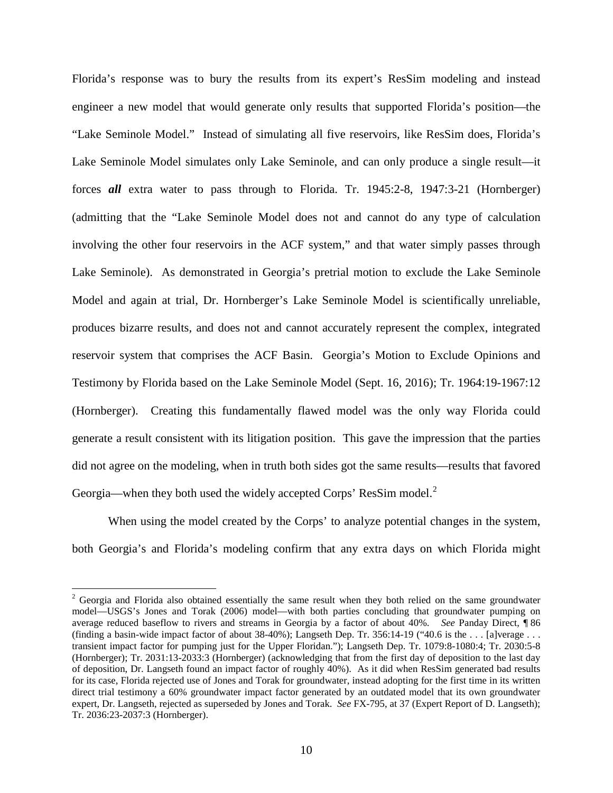Florida's response was to bury the results from its expert's ResSim modeling and instead engineer a new model that would generate only results that supported Florida's position—the "Lake Seminole Model." Instead of simulating all five reservoirs, like ResSim does, Florida's Lake Seminole Model simulates only Lake Seminole, and can only produce a single result—it forces *all* extra water to pass through to Florida. Tr. 1945:2-8, 1947:3-21 (Hornberger) (admitting that the "Lake Seminole Model does not and cannot do any type of calculation involving the other four reservoirs in the ACF system," and that water simply passes through Lake Seminole). As demonstrated in Georgia's pretrial motion to exclude the Lake Seminole Model and again at trial, Dr. Hornberger's Lake Seminole Model is scientifically unreliable, produces bizarre results, and does not and cannot accurately represent the complex, integrated reservoir system that comprises the ACF Basin. Georgia's Motion to Exclude Opinions and Testimony by Florida based on the Lake Seminole Model (Sept. 16, 2016); Tr. 1964:19-1967:12 (Hornberger). Creating this fundamentally flawed model was the only way Florida could generate a result consistent with its litigation position. This gave the impression that the parties did not agree on the modeling, when in truth both sides got the same results—results that favored Georgia—when they both used the widely accepted Corps' ResSim model.<sup>[2](#page-15-0)</sup>

When using the model created by the Corps' to analyze potential changes in the system, both Georgia's and Florida's modeling confirm that any extra days on which Florida might

<span id="page-15-0"></span><sup>&</sup>lt;sup>2</sup> Georgia and Florida also obtained essentially the same result when they both relied on the same groundwater model—USGS's Jones and Torak (2006) model—with both parties concluding that groundwater pumping on average reduced baseflow to rivers and streams in Georgia by a factor of about 40%. *See* Panday Direct, ¶ 86 (finding a basin-wide impact factor of about 38-40%); Langseth Dep. Tr. 356:14-19 ("40.6 is the ... [a]verage ... transient impact factor for pumping just for the Upper Floridan."); Langseth Dep. Tr. 1079:8-1080:4; Tr. 2030:5-8 (Hornberger); Tr. 2031:13-2033:3 (Hornberger) (acknowledging that from the first day of deposition to the last day of deposition, Dr. Langseth found an impact factor of roughly 40%). As it did when ResSim generated bad results for its case, Florida rejected use of Jones and Torak for groundwater, instead adopting for the first time in its written direct trial testimony a 60% groundwater impact factor generated by an outdated model that its own groundwater expert, Dr. Langseth, rejected as superseded by Jones and Torak. *See* FX-795, at 37 (Expert Report of D. Langseth); Tr. 2036:23-2037:3 (Hornberger).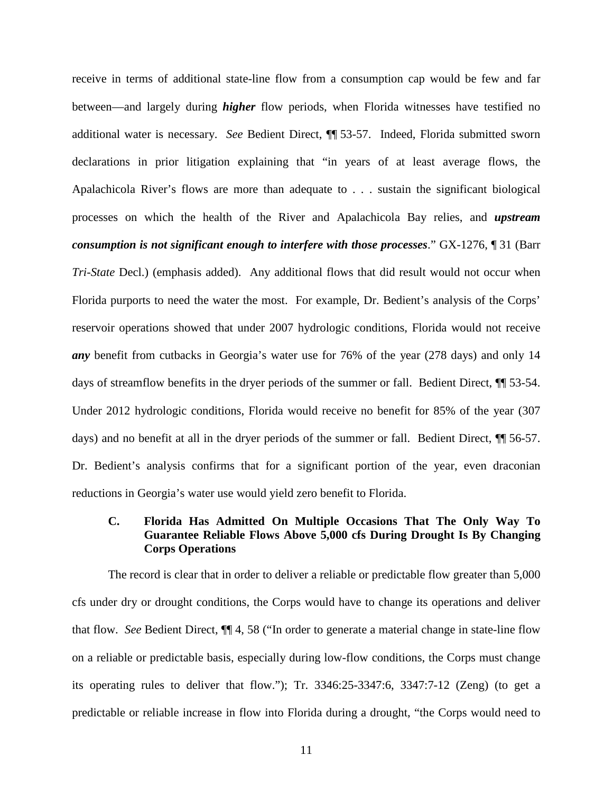receive in terms of additional state-line flow from a consumption cap would be few and far between—and largely during *higher* flow periods, when Florida witnesses have testified no additional water is necessary. *See* Bedient Direct, ¶¶ 53-57. Indeed, Florida submitted sworn declarations in prior litigation explaining that "in years of at least average flows, the Apalachicola River's flows are more than adequate to . . . sustain the significant biological processes on which the health of the River and Apalachicola Bay relies, and *upstream consumption is not significant enough to interfere with those processes*." GX-1276, ¶ 31 (Barr *Tri-State* Decl.) (emphasis added). Any additional flows that did result would not occur when Florida purports to need the water the most. For example, Dr. Bedient's analysis of the Corps' reservoir operations showed that under 2007 hydrologic conditions, Florida would not receive *any* benefit from cutbacks in Georgia's water use for 76% of the year (278 days) and only 14 days of streamflow benefits in the dryer periods of the summer or fall. Bedient Direct, ¶¶ 53-54. Under 2012 hydrologic conditions, Florida would receive no benefit for 85% of the year (307 days) and no benefit at all in the dryer periods of the summer or fall. Bedient Direct, ¶¶ 56-57. Dr. Bedient's analysis confirms that for a significant portion of the year, even draconian reductions in Georgia's water use would yield zero benefit to Florida.

# <span id="page-16-0"></span>**C. Florida Has Admitted On Multiple Occasions That The Only Way To Guarantee Reliable Flows Above 5,000 cfs During Drought Is By Changing Corps Operations**

The record is clear that in order to deliver a reliable or predictable flow greater than 5,000 cfs under dry or drought conditions, the Corps would have to change its operations and deliver that flow. *See* Bedient Direct, ¶¶ 4, 58 ("In order to generate a material change in state-line flow on a reliable or predictable basis, especially during low-flow conditions, the Corps must change its operating rules to deliver that flow."); Tr. 3346:25-3347:6, 3347:7-12 (Zeng) (to get a predictable or reliable increase in flow into Florida during a drought, "the Corps would need to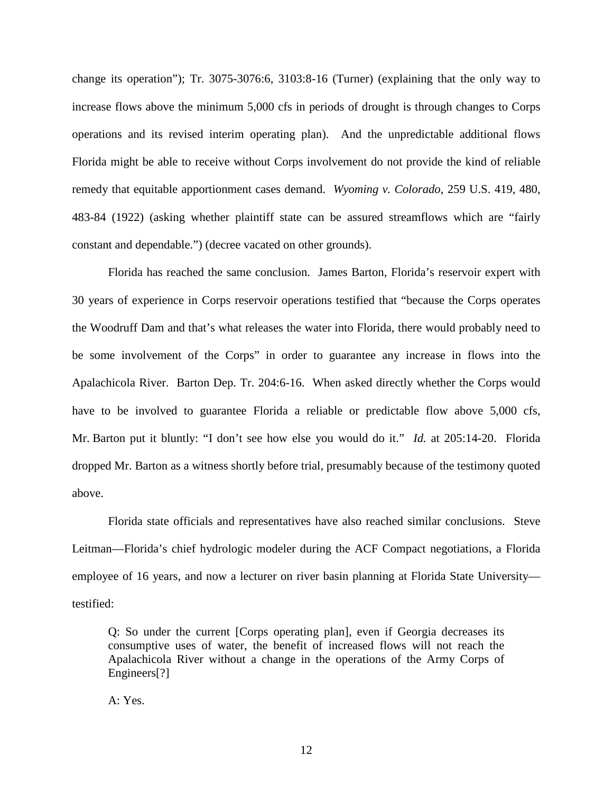change its operation"); Tr. 3075-3076:6, 3103:8-16 (Turner) (explaining that the only way to increase flows above the minimum 5,000 cfs in periods of drought is through changes to Corps operations and its revised interim operating plan). And the unpredictable additional flows Florida might be able to receive without Corps involvement do not provide the kind of reliable remedy that equitable apportionment cases demand. *Wyoming v. Colorado*, 259 U.S. 419, 480, 483-84 (1922) (asking whether plaintiff state can be assured streamflows which are "fairly constant and dependable.") (decree vacated on other grounds).

<span id="page-17-0"></span>Florida has reached the same conclusion. James Barton, Florida's reservoir expert with 30 years of experience in Corps reservoir operations testified that "because the Corps operates the Woodruff Dam and that's what releases the water into Florida, there would probably need to be some involvement of the Corps" in order to guarantee any increase in flows into the Apalachicola River. Barton Dep. Tr. 204:6-16. When asked directly whether the Corps would have to be involved to guarantee Florida a reliable or predictable flow above 5,000 cfs, Mr. Barton put it bluntly: "I don't see how else you would do it." *Id.* at 205:14-20. Florida dropped Mr. Barton as a witness shortly before trial, presumably because of the testimony quoted above.

Florida state officials and representatives have also reached similar conclusions. Steve Leitman—Florida's chief hydrologic modeler during the ACF Compact negotiations, a Florida employee of 16 years, and now a lecturer on river basin planning at Florida State University testified:

Q: So under the current [Corps operating plan], even if Georgia decreases its consumptive uses of water, the benefit of increased flows will not reach the Apalachicola River without a change in the operations of the Army Corps of Engineers<sup>[?]</sup>

A: Yes.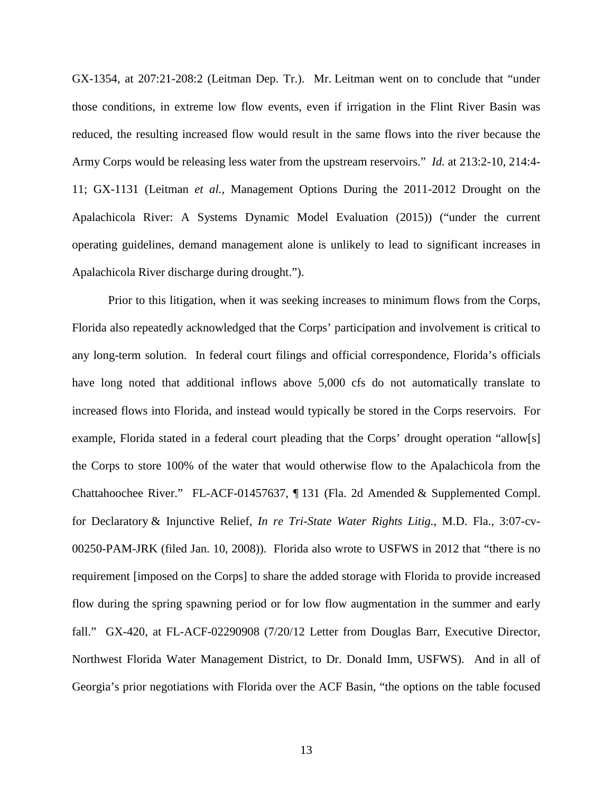GX-1354, at 207:21-208:2 (Leitman Dep. Tr.). Mr. Leitman went on to conclude that "under those conditions, in extreme low flow events, even if irrigation in the Flint River Basin was reduced, the resulting increased flow would result in the same flows into the river because the Army Corps would be releasing less water from the upstream reservoirs." *Id.* at 213:2-10, 214:4- 11; GX-1131 (Leitman *et al.*, Management Options During the 2011-2012 Drought on the Apalachicola River: A Systems Dynamic Model Evaluation (2015)) ("under the current operating guidelines, demand management alone is unlikely to lead to significant increases in Apalachicola River discharge during drought.").

Prior to this litigation, when it was seeking increases to minimum flows from the Corps, Florida also repeatedly acknowledged that the Corps' participation and involvement is critical to any long-term solution. In federal court filings and official correspondence, Florida's officials have long noted that additional inflows above 5,000 cfs do not automatically translate to increased flows into Florida, and instead would typically be stored in the Corps reservoirs. For example, Florida stated in a federal court pleading that the Corps' drought operation "allow[s] the Corps to store 100% of the water that would otherwise flow to the Apalachicola from the Chattahoochee River." FL-ACF-01457637, ¶ 131 (Fla. 2d Amended & Supplemented Compl. for Declaratory & Injunctive Relief, *In re Tri-State Water Rights Litig.*, M.D. Fla., 3:07-cv-00250-PAM-JRK (filed Jan. 10, 2008)). Florida also wrote to USFWS in 2012 that "there is no requirement [imposed on the Corps] to share the added storage with Florida to provide increased flow during the spring spawning period or for low flow augmentation in the summer and early fall." GX-420, at FL-ACF-02290908 (7/20/12 Letter from Douglas Barr, Executive Director, Northwest Florida Water Management District, to Dr. Donald Imm, USFWS). And in all of Georgia's prior negotiations with Florida over the ACF Basin, "the options on the table focused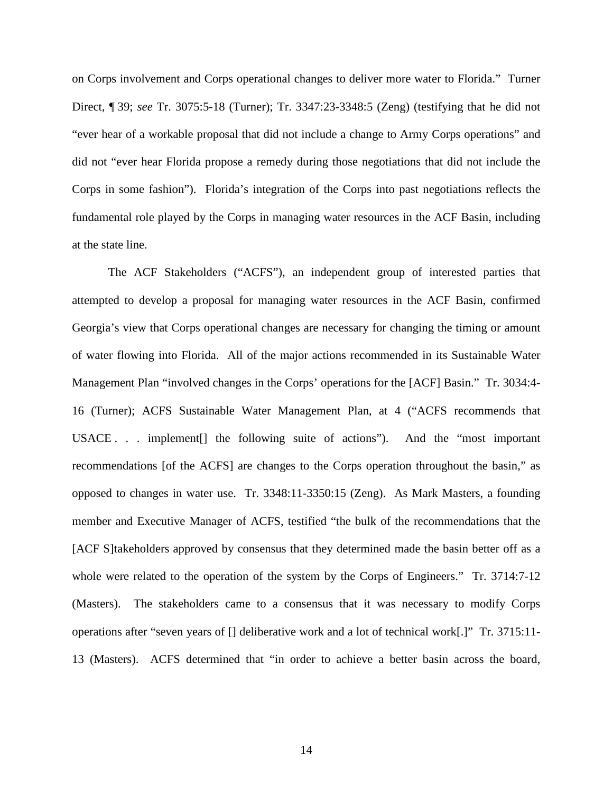on Corps involvement and Corps operational changes to deliver more water to Florida." Turner Direct, ¶ 39; *see* Tr. 3075:5-18 (Turner); Tr. 3347:23-3348:5 (Zeng) (testifying that he did not "ever hear of a workable proposal that did not include a change to Army Corps operations" and did not "ever hear Florida propose a remedy during those negotiations that did not include the Corps in some fashion"). Florida's integration of the Corps into past negotiations reflects the fundamental role played by the Corps in managing water resources in the ACF Basin, including at the state line.

The ACF Stakeholders ("ACFS"), an independent group of interested parties that attempted to develop a proposal for managing water resources in the ACF Basin, confirmed Georgia's view that Corps operational changes are necessary for changing the timing or amount of water flowing into Florida. All of the major actions recommended in its Sustainable Water Management Plan "involved changes in the Corps' operations for the [ACF] Basin." Tr. 3034:4- 16 (Turner); ACFS Sustainable Water Management Plan, at 4 ("ACFS recommends that USACE . . . implement[] the following suite of actions"). And the "most important recommendations [of the ACFS] are changes to the Corps operation throughout the basin," as opposed to changes in water use. Tr. 3348:11-3350:15 (Zeng). As Mark Masters, a founding member and Executive Manager of ACFS, testified "the bulk of the recommendations that the [ACF S]takeholders approved by consensus that they determined made the basin better off as a whole were related to the operation of the system by the Corps of Engineers." Tr. 3714:7-12 (Masters). The stakeholders came to a consensus that it was necessary to modify Corps operations after "seven years of [] deliberative work and a lot of technical work[.]" Tr. 3715:11- 13 (Masters). ACFS determined that "in order to achieve a better basin across the board,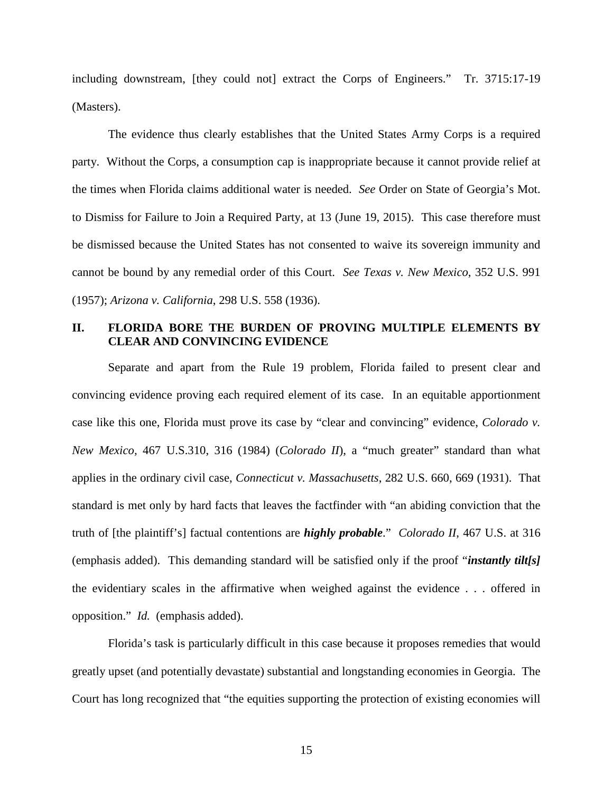including downstream, [they could not] extract the Corps of Engineers." Tr. 3715:17-19 (Masters).

The evidence thus clearly establishes that the United States Army Corps is a required party. Without the Corps, a consumption cap is inappropriate because it cannot provide relief at the times when Florida claims additional water is needed. *See* Order on State of Georgia's Mot. to Dismiss for Failure to Join a Required Party, at 13 (June 19, 2015). This case therefore must be dismissed because the United States has not consented to waive its sovereign immunity and cannot be bound by any remedial order of this Court. *See Texas v. New Mexico*, 352 U.S. 991 (1957); *Arizona v. California*, 298 U.S. 558 (1936).

### <span id="page-20-4"></span><span id="page-20-1"></span><span id="page-20-0"></span>**II. FLORIDA BORE THE BURDEN OF PROVING MULTIPLE ELEMENTS BY CLEAR AND CONVINCING EVIDENCE**

<span id="page-20-5"></span><span id="page-20-3"></span><span id="page-20-2"></span>Separate and apart from the Rule 19 problem, Florida failed to present clear and convincing evidence proving each required element of its case. In an equitable apportionment case like this one, Florida must prove its case by "clear and convincing" evidence, *Colorado v. New Mexico,* 467 U.S.310, 316 (1984) (*Colorado II*), a "much greater" standard than what applies in the ordinary civil case, *Connecticut v. Massachusetts*, 282 U.S. 660, 669 (1931). That standard is met only by hard facts that leaves the factfinder with "an abiding conviction that the truth of [the plaintiff's] factual contentions are *highly probable*." *Colorado II*, 467 U.S. at 316 (emphasis added). This demanding standard will be satisfied only if the proof "*instantly tilt[s]* the evidentiary scales in the affirmative when weighed against the evidence . . . offered in opposition." *Id.* (emphasis added).

Florida's task is particularly difficult in this case because it proposes remedies that would greatly upset (and potentially devastate) substantial and longstanding economies in Georgia. The Court has long recognized that "the equities supporting the protection of existing economies will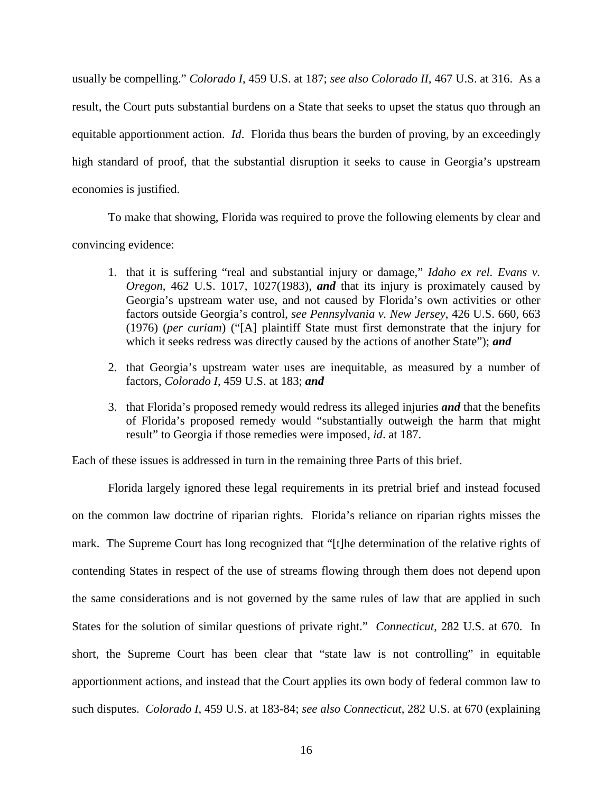usually be compelling." *Colorado I*, 459 U.S. at 187; *see also Colorado II,* 467 U.S. at 316. As a result, the Court puts substantial burdens on a State that seeks to upset the status quo through an equitable apportionment action. *Id*. Florida thus bears the burden of proving, by an exceedingly high standard of proof, that the substantial disruption it seeks to cause in Georgia's upstream economies is justified.

<span id="page-21-0"></span>To make that showing, Florida was required to prove the following elements by clear and

convincing evidence:

- <span id="page-21-2"></span><span id="page-21-1"></span>1. that it is suffering "real and substantial injury or damage," *Idaho ex rel. Evans v. Oregon*, 462 U.S. 1017, 1027(1983), *and* that its injury is proximately caused by Georgia's upstream water use, and not caused by Florida's own activities or other factors outside Georgia's control, *see Pennsylvania v. New Jersey*, 426 U.S. 660, 663 (1976) (*per curiam*) ("[A] plaintiff State must first demonstrate that the injury for which it seeks redress was directly caused by the actions of another State"); *and*
- 2. that Georgia's upstream water uses are inequitable, as measured by a number of factors, *Colorado I*, 459 U.S. at 183; *and*
- 3. that Florida's proposed remedy would redress its alleged injuries *and* that the benefits of Florida's proposed remedy would "substantially outweigh the harm that might result" to Georgia if those remedies were imposed, *id*. at 187.

Each of these issues is addressed in turn in the remaining three Parts of this brief.

Florida largely ignored these legal requirements in its pretrial brief and instead focused on the common law doctrine of riparian rights. Florida's reliance on riparian rights misses the mark. The Supreme Court has long recognized that "[t]he determination of the relative rights of contending States in respect of the use of streams flowing through them does not depend upon the same considerations and is not governed by the same rules of law that are applied in such States for the solution of similar questions of private right." *Connecticut*, 282 U.S. at 670. In short, the Supreme Court has been clear that "state law is not controlling" in equitable apportionment actions, and instead that the Court applies its own body of federal common law to such disputes. *Colorado I*, 459 U.S. at 183-84; *see also Connecticut*, 282 U.S. at 670 (explaining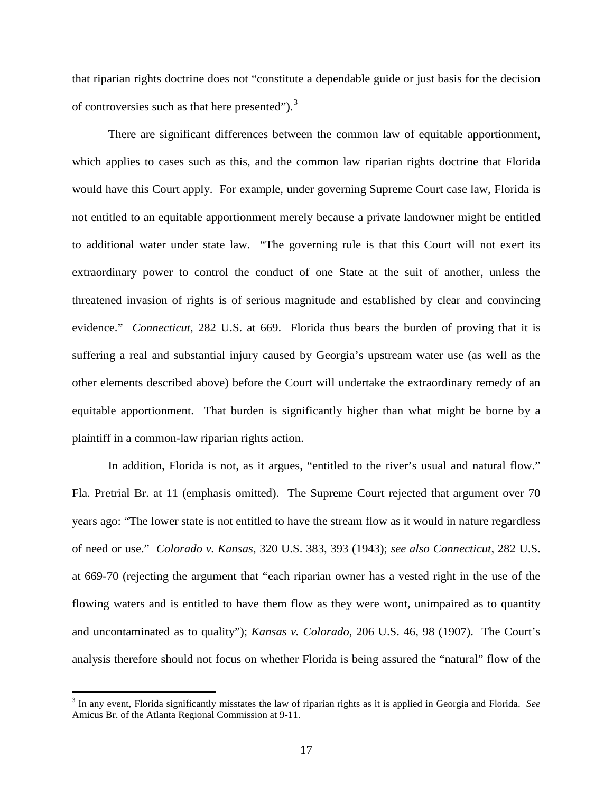that riparian rights doctrine does not "constitute a dependable guide or just basis for the decision of controversies such as that here presented"). $3$ 

There are significant differences between the common law of equitable apportionment, which applies to cases such as this, and the common law riparian rights doctrine that Florida would have this Court apply. For example, under governing Supreme Court case law, Florida is not entitled to an equitable apportionment merely because a private landowner might be entitled to additional water under state law. "The governing rule is that this Court will not exert its extraordinary power to control the conduct of one State at the suit of another, unless the threatened invasion of rights is of serious magnitude and established by clear and convincing evidence." *Connecticut*, 282 U.S. at 669. Florida thus bears the burden of proving that it is suffering a real and substantial injury caused by Georgia's upstream water use (as well as the other elements described above) before the Court will undertake the extraordinary remedy of an equitable apportionment. That burden is significantly higher than what might be borne by a plaintiff in a common-law riparian rights action.

<span id="page-22-0"></span>In addition, Florida is not, as it argues, "entitled to the river's usual and natural flow." Fla. Pretrial Br. at 11 (emphasis omitted). The Supreme Court rejected that argument over 70 years ago: "The lower state is not entitled to have the stream flow as it would in nature regardless of need or use." *Colorado v. Kansas*, 320 U.S. 383, 393 (1943); *see also Connecticut*, 282 U.S. at 669-70 (rejecting the argument that "each riparian owner has a vested right in the use of the flowing waters and is entitled to have them flow as they were wont, unimpaired as to quantity and uncontaminated as to quality"); *Kansas v. Colorado*, 206 U.S. 46, 98 (1907). The Court's analysis therefore should not focus on whether Florida is being assured the "natural" flow of the

<span id="page-22-2"></span><span id="page-22-1"></span> <sup>3</sup> In any event, Florida significantly misstates the law of riparian rights as it is applied in Georgia and Florida. *See* Amicus Br. of the Atlanta Regional Commission at 9-11.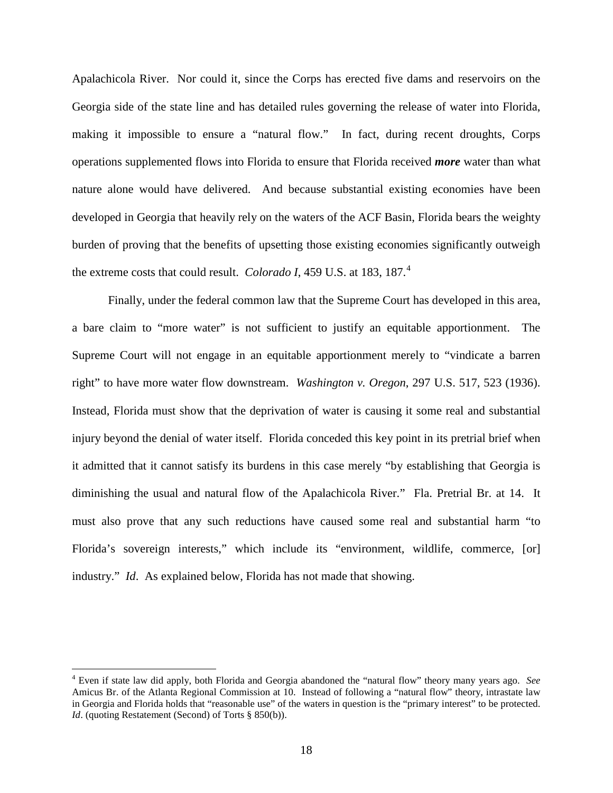Apalachicola River. Nor could it, since the Corps has erected five dams and reservoirs on the Georgia side of the state line and has detailed rules governing the release of water into Florida, making it impossible to ensure a "natural flow." In fact, during recent droughts, Corps operations supplemented flows into Florida to ensure that Florida received *more* water than what nature alone would have delivered. And because substantial existing economies have been developed in Georgia that heavily rely on the waters of the ACF Basin, Florida bears the weighty burden of proving that the benefits of upsetting those existing economies significantly outweigh the extreme costs that could result. *Colorado I*, [4](#page-23-2)59 U.S. at 183, 187.<sup>4</sup>

<span id="page-23-0"></span>Finally, under the federal common law that the Supreme Court has developed in this area, a bare claim to "more water" is not sufficient to justify an equitable apportionment. The Supreme Court will not engage in an equitable apportionment merely to "vindicate a barren right" to have more water flow downstream. *Washington v. Oregon*, 297 U.S. 517, 523 (1936). Instead, Florida must show that the deprivation of water is causing it some real and substantial injury beyond the denial of water itself. Florida conceded this key point in its pretrial brief when it admitted that it cannot satisfy its burdens in this case merely "by establishing that Georgia is diminishing the usual and natural flow of the Apalachicola River." Fla. Pretrial Br. at 14. It must also prove that any such reductions have caused some real and substantial harm "to Florida's sovereign interests," which include its "environment, wildlife, commerce, [or] industry." *Id*. As explained below, Florida has not made that showing.

<span id="page-23-2"></span><span id="page-23-1"></span> <sup>4</sup> Even if state law did apply, both Florida and Georgia abandoned the "natural flow" theory many years ago. *See* Amicus Br. of the Atlanta Regional Commission at 10. Instead of following a "natural flow" theory, intrastate law in Georgia and Florida holds that "reasonable use" of the waters in question is the "primary interest" to be protected. *Id.* (quoting Restatement (Second) of Torts § 850(b)).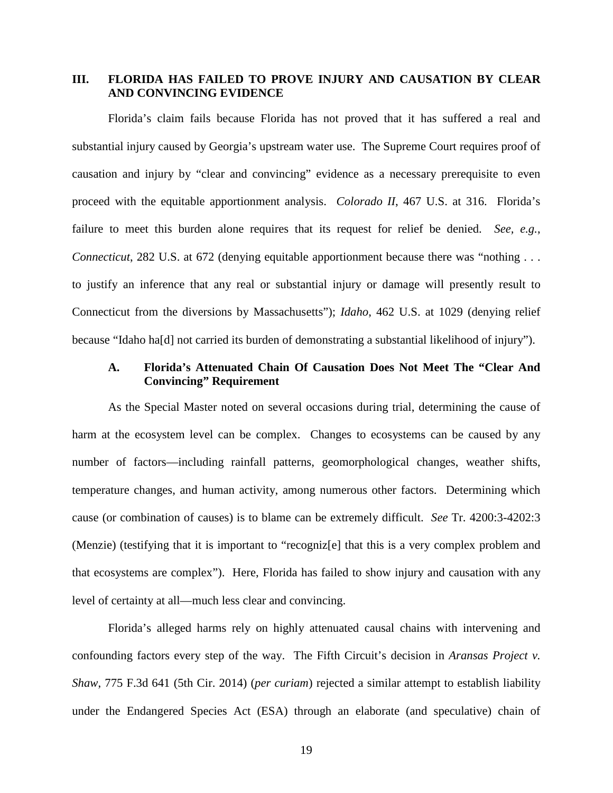# <span id="page-24-0"></span>**III. FLORIDA HAS FAILED TO PROVE INJURY AND CAUSATION BY CLEAR AND CONVINCING EVIDENCE**

Florida's claim fails because Florida has not proved that it has suffered a real and substantial injury caused by Georgia's upstream water use. The Supreme Court requires proof of causation and injury by "clear and convincing" evidence as a necessary prerequisite to even proceed with the equitable apportionment analysis. *Colorado II*, 467 U.S. at 316. Florida's failure to meet this burden alone requires that its request for relief be denied. *See, e.g.*, *Connecticut*, 282 U.S. at 672 (denying equitable apportionment because there was "nothing . . . to justify an inference that any real or substantial injury or damage will presently result to Connecticut from the diversions by Massachusetts"); *Idaho*, 462 U.S. at 1029 (denying relief because "Idaho ha[d] not carried its burden of demonstrating a substantial likelihood of injury").

### <span id="page-24-4"></span><span id="page-24-3"></span><span id="page-24-1"></span>**A. Florida's Attenuated Chain Of Causation Does Not Meet The "Clear And Convincing" Requirement**

As the Special Master noted on several occasions during trial, determining the cause of harm at the ecosystem level can be complex. Changes to ecosystems can be caused by any number of factors—including rainfall patterns, geomorphological changes, weather shifts, temperature changes, and human activity, among numerous other factors. Determining which cause (or combination of causes) is to blame can be extremely difficult. *See* Tr. 4200:3-4202:3 (Menzie) (testifying that it is important to "recogniz[e] that this is a very complex problem and that ecosystems are complex"). Here, Florida has failed to show injury and causation with any level of certainty at all—much less clear and convincing.

<span id="page-24-2"></span>Florida's alleged harms rely on highly attenuated causal chains with intervening and confounding factors every step of the way. The Fifth Circuit's decision in *Aransas Project v. Shaw*, 775 F.3d 641 (5th Cir. 2014) (*per curiam*) rejected a similar attempt to establish liability under the Endangered Species Act (ESA) through an elaborate (and speculative) chain of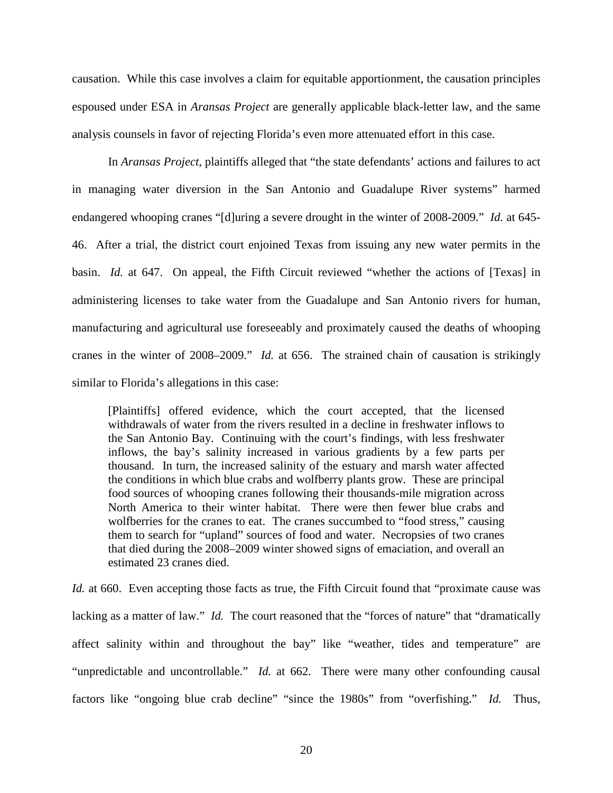causation. While this case involves a claim for equitable apportionment, the causation principles espoused under ESA in *Aransas Project* are generally applicable black-letter law, and the same analysis counsels in favor of rejecting Florida's even more attenuated effort in this case.

In *Aransas Project*, plaintiffs alleged that "the state defendants' actions and failures to act in managing water diversion in the San Antonio and Guadalupe River systems" harmed endangered whooping cranes "[d]uring a severe drought in the winter of 2008-2009." *Id.* at 645- 46. After a trial, the district court enjoined Texas from issuing any new water permits in the basin. *Id.* at 647. On appeal, the Fifth Circuit reviewed "whether the actions of [Texas] in administering licenses to take water from the Guadalupe and San Antonio rivers for human, manufacturing and agricultural use foreseeably and proximately caused the deaths of whooping cranes in the winter of 2008–2009." *Id.* at 656. The strained chain of causation is strikingly similar to Florida's allegations in this case:

[Plaintiffs] offered evidence, which the court accepted, that the licensed withdrawals of water from the rivers resulted in a decline in freshwater inflows to the San Antonio Bay. Continuing with the court's findings, with less freshwater inflows, the bay's salinity increased in various gradients by a few parts per thousand. In turn, the increased salinity of the estuary and marsh water affected the conditions in which blue crabs and wolfberry plants grow. These are principal food sources of whooping cranes following their thousands-mile migration across North America to their winter habitat. There were then fewer blue crabs and wolfberries for the cranes to eat. The cranes succumbed to "food stress," causing them to search for "upland" sources of food and water. Necropsies of two cranes that died during the 2008–2009 winter showed signs of emaciation, and overall an estimated 23 cranes died.

*Id.* at 660. Even accepting those facts as true, the Fifth Circuit found that "proximate cause was lacking as a matter of law." *Id.* The court reasoned that the "forces of nature" that "dramatically affect salinity within and throughout the bay" like "weather, tides and temperature" are "unpredictable and uncontrollable." *Id.* at 662. There were many other confounding causal factors like "ongoing blue crab decline" "since the 1980s" from "overfishing." *Id.* Thus,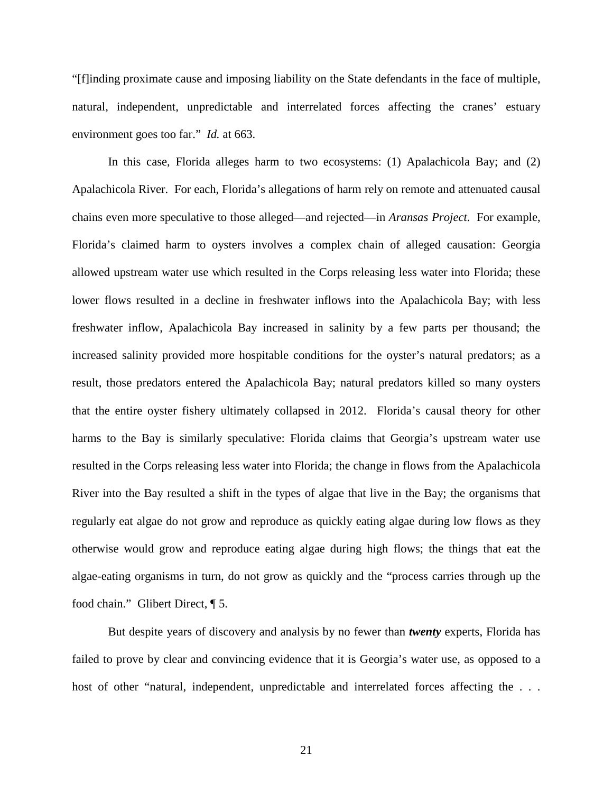"[f]inding proximate cause and imposing liability on the State defendants in the face of multiple, natural, independent, unpredictable and interrelated forces affecting the cranes' estuary environment goes too far." *Id.* at 663.

In this case, Florida alleges harm to two ecosystems: (1) Apalachicola Bay; and (2) Apalachicola River. For each, Florida's allegations of harm rely on remote and attenuated causal chains even more speculative to those alleged—and rejected—in *Aransas Project*. For example, Florida's claimed harm to oysters involves a complex chain of alleged causation: Georgia allowed upstream water use which resulted in the Corps releasing less water into Florida; these lower flows resulted in a decline in freshwater inflows into the Apalachicola Bay; with less freshwater inflow, Apalachicola Bay increased in salinity by a few parts per thousand; the increased salinity provided more hospitable conditions for the oyster's natural predators; as a result, those predators entered the Apalachicola Bay; natural predators killed so many oysters that the entire oyster fishery ultimately collapsed in 2012. Florida's causal theory for other harms to the Bay is similarly speculative: Florida claims that Georgia's upstream water use resulted in the Corps releasing less water into Florida; the change in flows from the Apalachicola River into the Bay resulted a shift in the types of algae that live in the Bay; the organisms that regularly eat algae do not grow and reproduce as quickly eating algae during low flows as they otherwise would grow and reproduce eating algae during high flows; the things that eat the algae-eating organisms in turn, do not grow as quickly and the "process carries through up the food chain." Glibert Direct, ¶ 5.

But despite years of discovery and analysis by no fewer than *twenty* experts, Florida has failed to prove by clear and convincing evidence that it is Georgia's water use, as opposed to a host of other "natural, independent, unpredictable and interrelated forces affecting the ...

21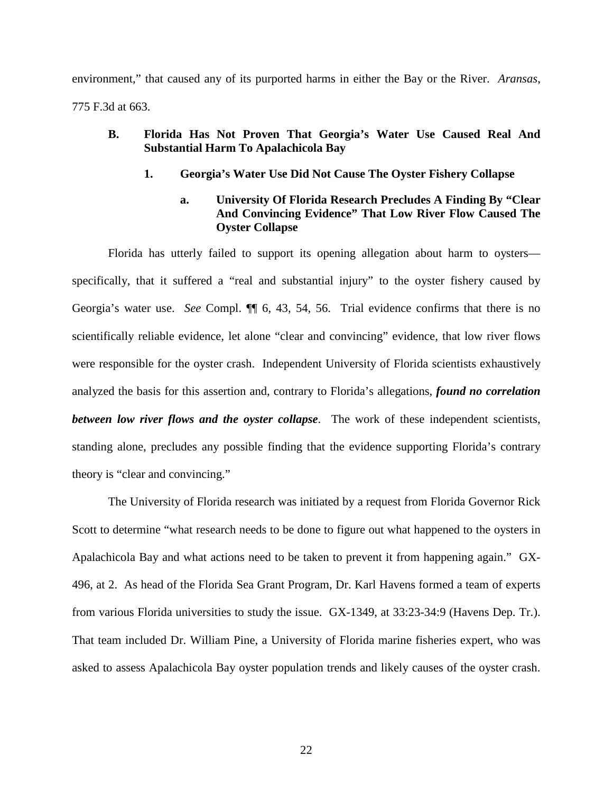environment," that caused any of its purported harms in either the Bay or the River. *Aransas*, 775 F.3d at 663.

# <span id="page-27-1"></span><span id="page-27-0"></span>**B. Florida Has Not Proven That Georgia's Water Use Caused Real And Substantial Harm To Apalachicola Bay**

**1. Georgia's Water Use Did Not Cause The Oyster Fishery Collapse**

# **a. University Of Florida Research Precludes A Finding By "Clear And Convincing Evidence" That Low River Flow Caused The Oyster Collapse**

Florida has utterly failed to support its opening allegation about harm to oysters specifically, that it suffered a "real and substantial injury" to the oyster fishery caused by Georgia's water use. *See* Compl. ¶¶ 6, 43, 54, 56. Trial evidence confirms that there is no scientifically reliable evidence, let alone "clear and convincing" evidence, that low river flows were responsible for the oyster crash. Independent University of Florida scientists exhaustively analyzed the basis for this assertion and, contrary to Florida's allegations, *found no correlation between low river flows and the oyster collapse*. The work of these independent scientists, standing alone, precludes any possible finding that the evidence supporting Florida's contrary theory is "clear and convincing."

The University of Florida research was initiated by a request from Florida Governor Rick Scott to determine "what research needs to be done to figure out what happened to the oysters in Apalachicola Bay and what actions need to be taken to prevent it from happening again." GX-496, at 2. As head of the Florida Sea Grant Program, Dr. Karl Havens formed a team of experts from various Florida universities to study the issue. GX-1349, at 33:23-34:9 (Havens Dep. Tr.). That team included Dr. William Pine, a University of Florida marine fisheries expert, who was asked to assess Apalachicola Bay oyster population trends and likely causes of the oyster crash.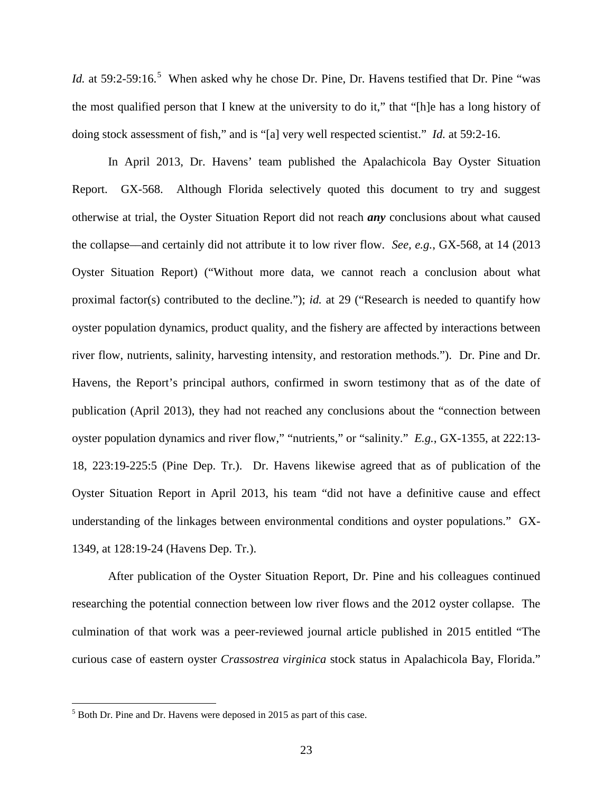*Id.* at [5](#page-28-0)9:2-59:16.<sup>5</sup> When asked why he chose Dr. Pine, Dr. Havens testified that Dr. Pine "was the most qualified person that I knew at the university to do it," that "[h]e has a long history of doing stock assessment of fish," and is "[a] very well respected scientist." *Id.* at 59:2-16.

In April 2013, Dr. Havens' team published the Apalachicola Bay Oyster Situation Report. GX-568. Although Florida selectively quoted this document to try and suggest otherwise at trial, the Oyster Situation Report did not reach *any* conclusions about what caused the collapse––and certainly did not attribute it to low river flow. *See, e.g.*, GX-568, at 14 (2013 Oyster Situation Report) ("Without more data, we cannot reach a conclusion about what proximal factor(s) contributed to the decline."); *id.* at 29 ("Research is needed to quantify how oyster population dynamics, product quality, and the fishery are affected by interactions between river flow, nutrients, salinity, harvesting intensity, and restoration methods."). Dr. Pine and Dr. Havens, the Report's principal authors, confirmed in sworn testimony that as of the date of publication (April 2013), they had not reached any conclusions about the "connection between oyster population dynamics and river flow," "nutrients," or "salinity." *E.g.*, GX-1355, at 222:13- 18, 223:19-225:5 (Pine Dep. Tr.). Dr. Havens likewise agreed that as of publication of the Oyster Situation Report in April 2013, his team "did not have a definitive cause and effect understanding of the linkages between environmental conditions and oyster populations." GX-1349, at 128:19-24 (Havens Dep. Tr.).

After publication of the Oyster Situation Report, Dr. Pine and his colleagues continued researching the potential connection between low river flows and the 2012 oyster collapse. The culmination of that work was a peer-reviewed journal article published in 2015 entitled "The curious case of eastern oyster *Crassostrea virginica* stock status in Apalachicola Bay, Florida."

<span id="page-28-0"></span> <sup>5</sup> Both Dr. Pine and Dr. Havens were deposed in 2015 as part of this case.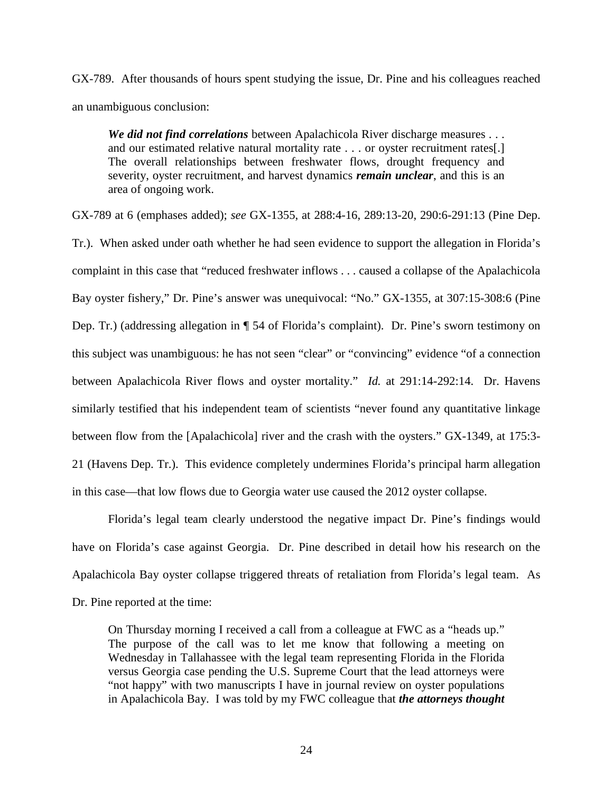GX-789. After thousands of hours spent studying the issue, Dr. Pine and his colleagues reached an unambiguous conclusion:

*We did not find correlations* between Apalachicola River discharge measures . . . and our estimated relative natural mortality rate . . . or oyster recruitment rates[.] The overall relationships between freshwater flows, drought frequency and severity, oyster recruitment, and harvest dynamics *remain unclear*, and this is an area of ongoing work.

GX-789 at 6 (emphases added); *see* GX-1355, at 288:4-16, 289:13-20, 290:6-291:13 (Pine Dep.

Tr.). When asked under oath whether he had seen evidence to support the allegation in Florida's complaint in this case that "reduced freshwater inflows . . . caused a collapse of the Apalachicola Bay oyster fishery," Dr. Pine's answer was unequivocal: "No." GX-1355, at 307:15-308:6 (Pine Dep. Tr.) (addressing allegation in ¶ 54 of Florida's complaint). Dr. Pine's sworn testimony on this subject was unambiguous: he has not seen "clear" or "convincing" evidence "of a connection between Apalachicola River flows and oyster mortality." *Id.* at 291:14-292:14. Dr. Havens similarly testified that his independent team of scientists "never found any quantitative linkage between flow from the [Apalachicola] river and the crash with the oysters." GX-1349, at 175:3- 21 (Havens Dep. Tr.). This evidence completely undermines Florida's principal harm allegation in this case––that low flows due to Georgia water use caused the 2012 oyster collapse.

Florida's legal team clearly understood the negative impact Dr. Pine's findings would have on Florida's case against Georgia. Dr. Pine described in detail how his research on the Apalachicola Bay oyster collapse triggered threats of retaliation from Florida's legal team. As Dr. Pine reported at the time:

On Thursday morning I received a call from a colleague at FWC as a "heads up." The purpose of the call was to let me know that following a meeting on Wednesday in Tallahassee with the legal team representing Florida in the Florida versus Georgia case pending the U.S. Supreme Court that the lead attorneys were "not happy" with two manuscripts I have in journal review on oyster populations in Apalachicola Bay. I was told by my FWC colleague that *the attorneys thought*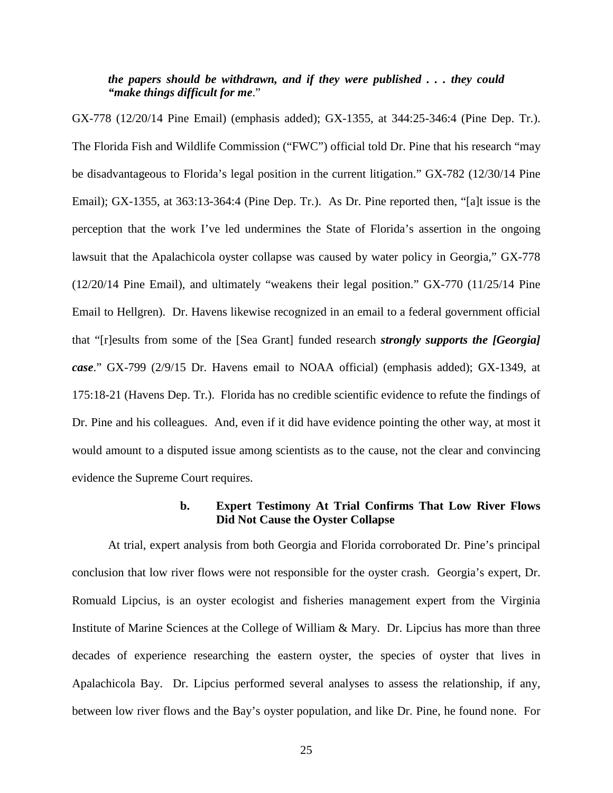### *the papers should be withdrawn, and if they were published . . . they could "make things difficult for me*."

GX-778 (12/20/14 Pine Email) (emphasis added); GX-1355, at 344:25-346:4 (Pine Dep. Tr.). The Florida Fish and Wildlife Commission ("FWC") official told Dr. Pine that his research "may be disadvantageous to Florida's legal position in the current litigation." GX-782 (12/30/14 Pine Email); GX-1355, at 363:13-364:4 (Pine Dep. Tr.). As Dr. Pine reported then, "[a]t issue is the perception that the work I've led undermines the State of Florida's assertion in the ongoing lawsuit that the Apalachicola oyster collapse was caused by water policy in Georgia," GX-778 (12/20/14 Pine Email), and ultimately "weakens their legal position." GX-770 (11/25/14 Pine Email to Hellgren). Dr. Havens likewise recognized in an email to a federal government official that "[r]esults from some of the [Sea Grant] funded research *strongly supports the [Georgia] case*." GX-799 (2/9/15 Dr. Havens email to NOAA official) (emphasis added); GX-1349, at 175:18-21 (Havens Dep. Tr.). Florida has no credible scientific evidence to refute the findings of Dr. Pine and his colleagues. And, even if it did have evidence pointing the other way, at most it would amount to a disputed issue among scientists as to the cause, not the clear and convincing evidence the Supreme Court requires.

#### **b. Expert Testimony At Trial Confirms That Low River Flows Did Not Cause the Oyster Collapse**

At trial, expert analysis from both Georgia and Florida corroborated Dr. Pine's principal conclusion that low river flows were not responsible for the oyster crash. Georgia's expert, Dr. Romuald Lipcius, is an oyster ecologist and fisheries management expert from the Virginia Institute of Marine Sciences at the College of William & Mary. Dr. Lipcius has more than three decades of experience researching the eastern oyster, the species of oyster that lives in Apalachicola Bay. Dr. Lipcius performed several analyses to assess the relationship, if any, between low river flows and the Bay's oyster population, and like Dr. Pine, he found none. For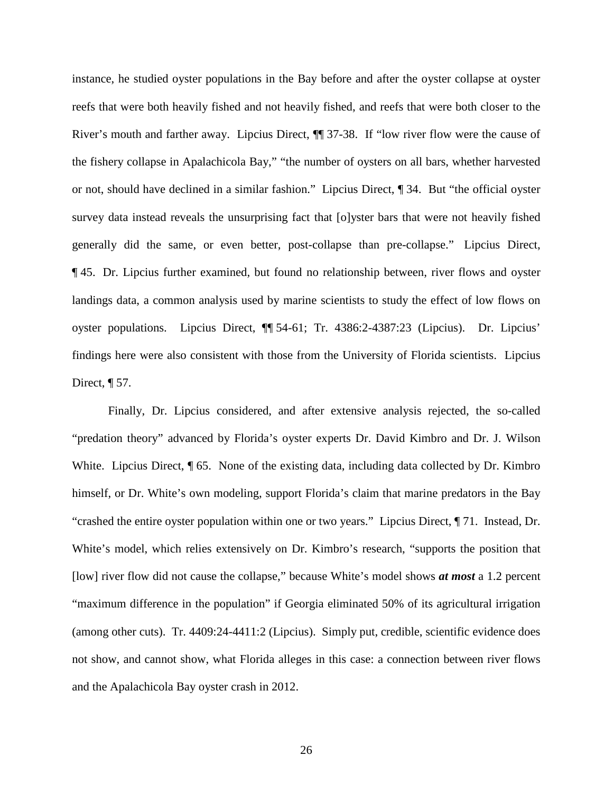instance, he studied oyster populations in the Bay before and after the oyster collapse at oyster reefs that were both heavily fished and not heavily fished, and reefs that were both closer to the River's mouth and farther away. Lipcius Direct, ¶¶ 37-38. If "low river flow were the cause of the fishery collapse in Apalachicola Bay," "the number of oysters on all bars, whether harvested or not, should have declined in a similar fashion." Lipcius Direct, ¶ 34. But "the official oyster survey data instead reveals the unsurprising fact that [o]yster bars that were not heavily fished generally did the same, or even better, post-collapse than pre-collapse." Lipcius Direct, ¶ 45. Dr. Lipcius further examined, but found no relationship between, river flows and oyster landings data, a common analysis used by marine scientists to study the effect of low flows on oyster populations. Lipcius Direct, ¶¶ 54-61; Tr. 4386:2-4387:23 (Lipcius). Dr. Lipcius' findings here were also consistent with those from the University of Florida scientists. Lipcius Direct,  $\P$  57.

Finally, Dr. Lipcius considered, and after extensive analysis rejected, the so-called "predation theory" advanced by Florida's oyster experts Dr. David Kimbro and Dr. J. Wilson White. Lipcius Direct,  $\sqrt{\ }$  65. None of the existing data, including data collected by Dr. Kimbro himself, or Dr. White's own modeling, support Florida's claim that marine predators in the Bay "crashed the entire oyster population within one or two years." Lipcius Direct, ¶ 71. Instead, Dr. White's model, which relies extensively on Dr. Kimbro's research, "supports the position that [low] river flow did not cause the collapse," because White's model shows *at most* a 1.2 percent "maximum difference in the population" if Georgia eliminated 50% of its agricultural irrigation (among other cuts). Tr. 4409:24-4411:2 (Lipcius). Simply put, credible, scientific evidence does not show, and cannot show, what Florida alleges in this case: a connection between river flows and the Apalachicola Bay oyster crash in 2012.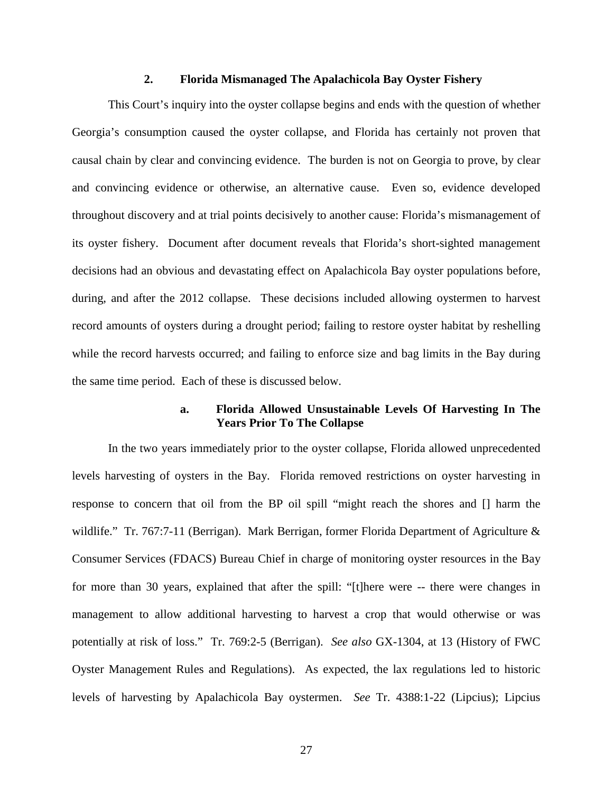#### **2. Florida Mismanaged The Apalachicola Bay Oyster Fishery**

<span id="page-32-0"></span>This Court's inquiry into the oyster collapse begins and ends with the question of whether Georgia's consumption caused the oyster collapse, and Florida has certainly not proven that causal chain by clear and convincing evidence. The burden is not on Georgia to prove, by clear and convincing evidence or otherwise, an alternative cause. Even so, evidence developed throughout discovery and at trial points decisively to another cause: Florida's mismanagement of its oyster fishery. Document after document reveals that Florida's short-sighted management decisions had an obvious and devastating effect on Apalachicola Bay oyster populations before, during, and after the 2012 collapse. These decisions included allowing oystermen to harvest record amounts of oysters during a drought period; failing to restore oyster habitat by reshelling while the record harvests occurred; and failing to enforce size and bag limits in the Bay during the same time period. Each of these is discussed below.

### **a. Florida Allowed Unsustainable Levels Of Harvesting In The Years Prior To The Collapse**

In the two years immediately prior to the oyster collapse, Florida allowed unprecedented levels harvesting of oysters in the Bay. Florida removed restrictions on oyster harvesting in response to concern that oil from the BP oil spill "might reach the shores and [] harm the wildlife." Tr. 767:7-11 (Berrigan). Mark Berrigan, former Florida Department of Agriculture & Consumer Services (FDACS) Bureau Chief in charge of monitoring oyster resources in the Bay for more than 30 years, explained that after the spill: "[t]here were -- there were changes in management to allow additional harvesting to harvest a crop that would otherwise or was potentially at risk of loss." Tr. 769:2-5 (Berrigan). *See also* GX-1304, at 13 (History of FWC Oyster Management Rules and Regulations). As expected, the lax regulations led to historic levels of harvesting by Apalachicola Bay oystermen. *See* Tr. 4388:1-22 (Lipcius); Lipcius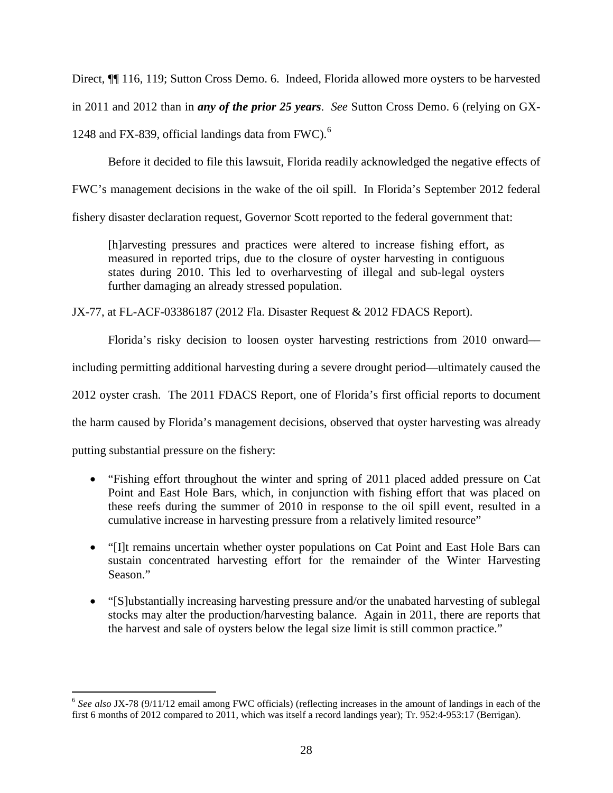Direct, ¶¶ 116, 119; Sutton Cross Demo. 6. Indeed, Florida allowed more oysters to be harvested

in 2011 and 2012 than in *any of the prior 25 years*. *See* Sutton Cross Demo. 6 (relying on GX-

1248 and FX-839, official landings data from FWC). $^{6}$  $^{6}$  $^{6}$ 

Before it decided to file this lawsuit, Florida readily acknowledged the negative effects of

FWC's management decisions in the wake of the oil spill. In Florida's September 2012 federal

fishery disaster declaration request, Governor Scott reported to the federal government that:

[h]arvesting pressures and practices were altered to increase fishing effort, as measured in reported trips, due to the closure of oyster harvesting in contiguous states during 2010. This led to overharvesting of illegal and sub-legal oysters further damaging an already stressed population.

JX-77, at FL-ACF-03386187 (2012 Fla. Disaster Request & 2012 FDACS Report).

Florida's risky decision to loosen oyster harvesting restrictions from 2010 onward––

including permitting additional harvesting during a severe drought period––ultimately caused the

2012 oyster crash. The 2011 FDACS Report, one of Florida's first official reports to document

the harm caused by Florida's management decisions, observed that oyster harvesting was already

putting substantial pressure on the fishery:

- "Fishing effort throughout the winter and spring of 2011 placed added pressure on Cat Point and East Hole Bars, which, in conjunction with fishing effort that was placed on these reefs during the summer of 2010 in response to the oil spill event, resulted in a cumulative increase in harvesting pressure from a relatively limited resource"
- "[I]t remains uncertain whether oyster populations on Cat Point and East Hole Bars can sustain concentrated harvesting effort for the remainder of the Winter Harvesting Season."
- "[S]ubstantially increasing harvesting pressure and/or the unabated harvesting of sublegal stocks may alter the production/harvesting balance. Again in 2011, there are reports that the harvest and sale of oysters below the legal size limit is still common practice."

<span id="page-33-0"></span> <sup>6</sup> *See also* JX-78 (9/11/12 email among FWC officials) (reflecting increases in the amount of landings in each of the first 6 months of 2012 compared to 2011, which was itself a record landings year); Tr. 952:4-953:17 (Berrigan).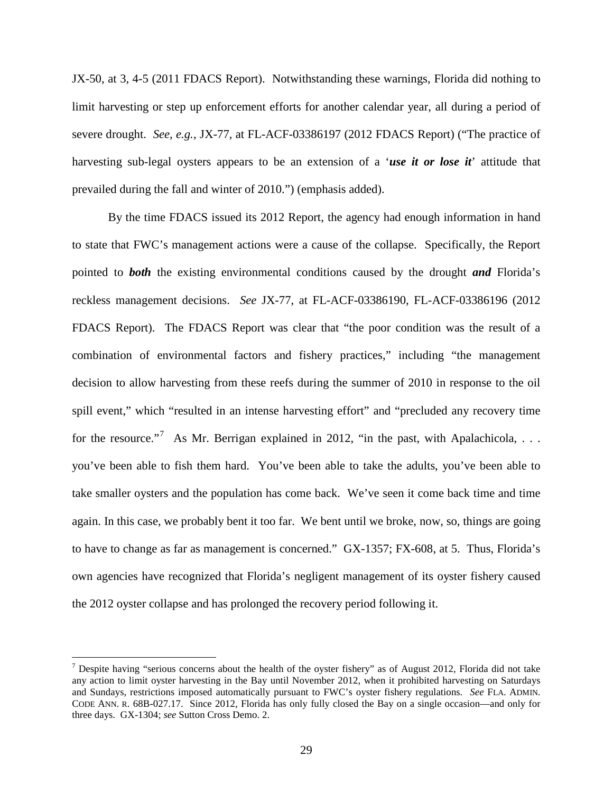JX-50, at 3, 4-5 (2011 FDACS Report). Notwithstanding these warnings, Florida did nothing to limit harvesting or step up enforcement efforts for another calendar year, all during a period of severe drought. *See, e.g.*, JX-77, at FL-ACF-03386197 (2012 FDACS Report) ("The practice of harvesting sub-legal oysters appears to be an extension of a '*use it or lose it*' attitude that prevailed during the fall and winter of 2010.") (emphasis added).

By the time FDACS issued its 2012 Report, the agency had enough information in hand to state that FWC's management actions were a cause of the collapse. Specifically, the Report pointed to *both* the existing environmental conditions caused by the drought *and* Florida's reckless management decisions. *See* JX-77, at FL-ACF-03386190, FL-ACF-03386196 (2012 FDACS Report). The FDACS Report was clear that "the poor condition was the result of a combination of environmental factors and fishery practices," including "the management decision to allow harvesting from these reefs during the summer of 2010 in response to the oil spill event," which "resulted in an intense harvesting effort" and "precluded any recovery time for the resource."<sup>[7](#page-34-1)</sup> As Mr. Berrigan explained in 2012, "in the past, with Apalachicola, ... you've been able to fish them hard. You've been able to take the adults, you've been able to take smaller oysters and the population has come back. We've seen it come back time and time again. In this case, we probably bent it too far. We bent until we broke, now, so, things are going to have to change as far as management is concerned." GX-1357; FX-608, at 5. Thus, Florida's own agencies have recognized that Florida's negligent management of its oyster fishery caused the 2012 oyster collapse and has prolonged the recovery period following it.

<span id="page-34-1"></span><span id="page-34-0"></span> $<sup>7</sup>$  Despite having "serious concerns about the health of the oyster fishery" as of August 2012, Florida did not take</sup> any action to limit oyster harvesting in the Bay until November 2012, when it prohibited harvesting on Saturdays and Sundays, restrictions imposed automatically pursuant to FWC's oyster fishery regulations. *See* FLA. ADMIN. CODE ANN. R. 68B-027.17. Since 2012, Florida has only fully closed the Bay on a single occasion—and only for three days. GX-1304; *see* Sutton Cross Demo. 2.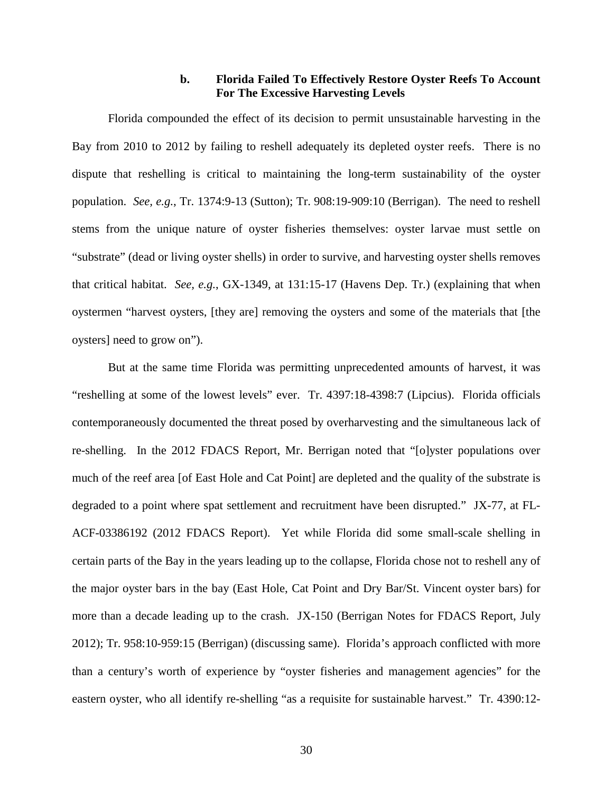### **b. Florida Failed To Effectively Restore Oyster Reefs To Account For The Excessive Harvesting Levels**

Florida compounded the effect of its decision to permit unsustainable harvesting in the Bay from 2010 to 2012 by failing to reshell adequately its depleted oyster reefs. There is no dispute that reshelling is critical to maintaining the long-term sustainability of the oyster population. *See, e.g.*, Tr. 1374:9-13 (Sutton); Tr. 908:19-909:10 (Berrigan). The need to reshell stems from the unique nature of oyster fisheries themselves: oyster larvae must settle on "substrate" (dead or living oyster shells) in order to survive, and harvesting oyster shells removes that critical habitat. *See, e.g.*, GX-1349, at 131:15-17 (Havens Dep. Tr.) (explaining that when oystermen "harvest oysters, [they are] removing the oysters and some of the materials that [the oysters] need to grow on").

But at the same time Florida was permitting unprecedented amounts of harvest, it was "reshelling at some of the lowest levels" ever. Tr. 4397:18-4398:7 (Lipcius). Florida officials contemporaneously documented the threat posed by overharvesting and the simultaneous lack of re-shelling. In the 2012 FDACS Report, Mr. Berrigan noted that "[o]yster populations over much of the reef area [of East Hole and Cat Point] are depleted and the quality of the substrate is degraded to a point where spat settlement and recruitment have been disrupted." JX-77, at FL-ACF-03386192 (2012 FDACS Report). Yet while Florida did some small-scale shelling in certain parts of the Bay in the years leading up to the collapse, Florida chose not to reshell any of the major oyster bars in the bay (East Hole, Cat Point and Dry Bar/St. Vincent oyster bars) for more than a decade leading up to the crash. JX-150 (Berrigan Notes for FDACS Report, July 2012); Tr. 958:10-959:15 (Berrigan) (discussing same). Florida's approach conflicted with more than a century's worth of experience by "oyster fisheries and management agencies" for the eastern oyster, who all identify re-shelling "as a requisite for sustainable harvest." Tr. 4390:12-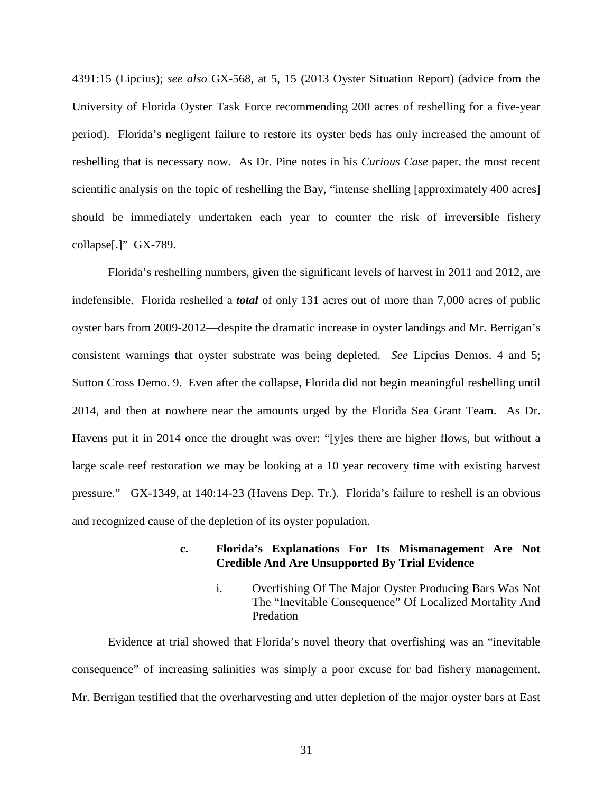4391:15 (Lipcius); *see also* GX-568, at 5, 15 (2013 Oyster Situation Report) (advice from the University of Florida Oyster Task Force recommending 200 acres of reshelling for a five-year period). Florida's negligent failure to restore its oyster beds has only increased the amount of reshelling that is necessary now. As Dr. Pine notes in his *Curious Case* paper, the most recent scientific analysis on the topic of reshelling the Bay, "intense shelling [approximately 400 acres] should be immediately undertaken each year to counter the risk of irreversible fishery collapse[.]" GX-789.

Florida's reshelling numbers, given the significant levels of harvest in 2011 and 2012, are indefensible. Florida reshelled a *total* of only 131 acres out of more than 7,000 acres of public oyster bars from 2009-2012––despite the dramatic increase in oyster landings and Mr. Berrigan's consistent warnings that oyster substrate was being depleted. *See* Lipcius Demos. 4 and 5; Sutton Cross Demo. 9. Even after the collapse, Florida did not begin meaningful reshelling until 2014, and then at nowhere near the amounts urged by the Florida Sea Grant Team. As Dr. Havens put it in 2014 once the drought was over: "[y]es there are higher flows, but without a large scale reef restoration we may be looking at a 10 year recovery time with existing harvest pressure." GX-1349, at 140:14-23 (Havens Dep. Tr.). Florida's failure to reshell is an obvious and recognized cause of the depletion of its oyster population.

#### **c. Florida's Explanations For Its Mismanagement Are Not Credible And Are Unsupported By Trial Evidence**

i. Overfishing Of The Major Oyster Producing Bars Was Not The "Inevitable Consequence" Of Localized Mortality And Predation

Evidence at trial showed that Florida's novel theory that overfishing was an "inevitable consequence" of increasing salinities was simply a poor excuse for bad fishery management. Mr. Berrigan testified that the overharvesting and utter depletion of the major oyster bars at East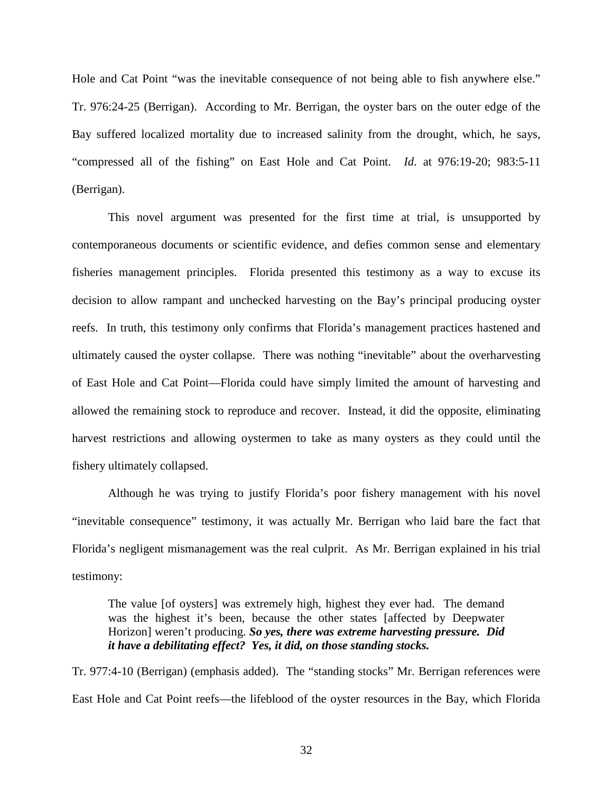Hole and Cat Point "was the inevitable consequence of not being able to fish anywhere else." Tr. 976:24-25 (Berrigan). According to Mr. Berrigan, the oyster bars on the outer edge of the Bay suffered localized mortality due to increased salinity from the drought, which, he says, "compressed all of the fishing" on East Hole and Cat Point. *Id*. at 976:19-20; 983:5-11 (Berrigan).

This novel argument was presented for the first time at trial, is unsupported by contemporaneous documents or scientific evidence, and defies common sense and elementary fisheries management principles. Florida presented this testimony as a way to excuse its decision to allow rampant and unchecked harvesting on the Bay's principal producing oyster reefs. In truth, this testimony only confirms that Florida's management practices hastened and ultimately caused the oyster collapse. There was nothing "inevitable" about the overharvesting of East Hole and Cat Point—Florida could have simply limited the amount of harvesting and allowed the remaining stock to reproduce and recover. Instead, it did the opposite, eliminating harvest restrictions and allowing oystermen to take as many oysters as they could until the fishery ultimately collapsed.

Although he was trying to justify Florida's poor fishery management with his novel "inevitable consequence" testimony, it was actually Mr. Berrigan who laid bare the fact that Florida's negligent mismanagement was the real culprit. As Mr. Berrigan explained in his trial testimony:

The value [of oysters] was extremely high, highest they ever had. The demand was the highest it's been, because the other states [affected by Deepwater Horizon] weren't producing. *So yes, there was extreme harvesting pressure. Did it have a debilitating effect? Yes, it did, on those standing stocks.*

Tr. 977:4-10 (Berrigan) (emphasis added). The "standing stocks" Mr. Berrigan references were East Hole and Cat Point reefs—the lifeblood of the oyster resources in the Bay, which Florida

32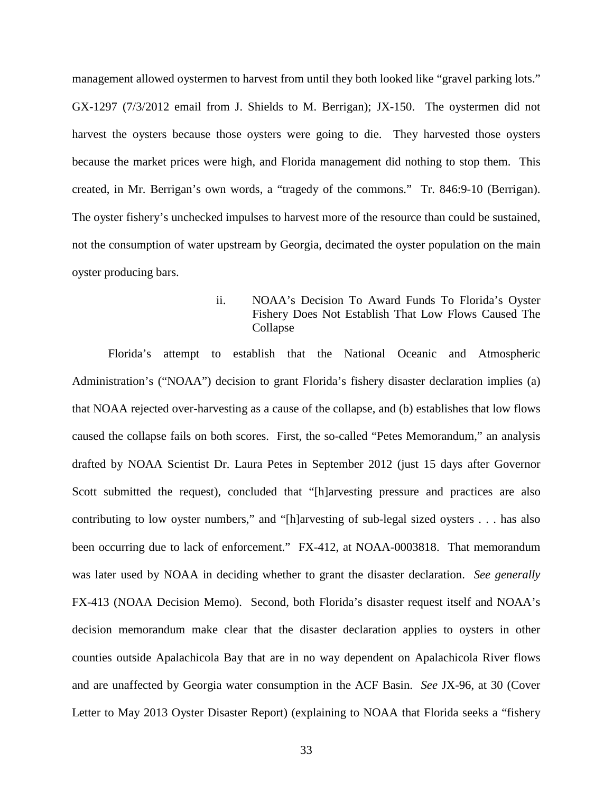management allowed oystermen to harvest from until they both looked like "gravel parking lots." GX-1297 (7/3/2012 email from J. Shields to M. Berrigan); JX-150. The oystermen did not harvest the oysters because those oysters were going to die. They harvested those oysters because the market prices were high, and Florida management did nothing to stop them. This created, in Mr. Berrigan's own words, a "tragedy of the commons." Tr. 846:9-10 (Berrigan). The oyster fishery's unchecked impulses to harvest more of the resource than could be sustained, not the consumption of water upstream by Georgia, decimated the oyster population on the main oyster producing bars.

## ii. NOAA's Decision To Award Funds To Florida's Oyster Fishery Does Not Establish That Low Flows Caused The Collapse

Florida's attempt to establish that the National Oceanic and Atmospheric Administration's ("NOAA") decision to grant Florida's fishery disaster declaration implies (a) that NOAA rejected over-harvesting as a cause of the collapse, and (b) establishes that low flows caused the collapse fails on both scores. First, the so-called "Petes Memorandum," an analysis drafted by NOAA Scientist Dr. Laura Petes in September 2012 (just 15 days after Governor Scott submitted the request), concluded that "[h]arvesting pressure and practices are also contributing to low oyster numbers," and "[h]arvesting of sub-legal sized oysters . . . has also been occurring due to lack of enforcement." FX-412, at NOAA-0003818. That memorandum was later used by NOAA in deciding whether to grant the disaster declaration. *See generally*  FX-413 (NOAA Decision Memo). Second, both Florida's disaster request itself and NOAA's decision memorandum make clear that the disaster declaration applies to oysters in other counties outside Apalachicola Bay that are in no way dependent on Apalachicola River flows and are unaffected by Georgia water consumption in the ACF Basin. *See* JX-96, at 30 (Cover Letter to May 2013 Oyster Disaster Report) (explaining to NOAA that Florida seeks a "fishery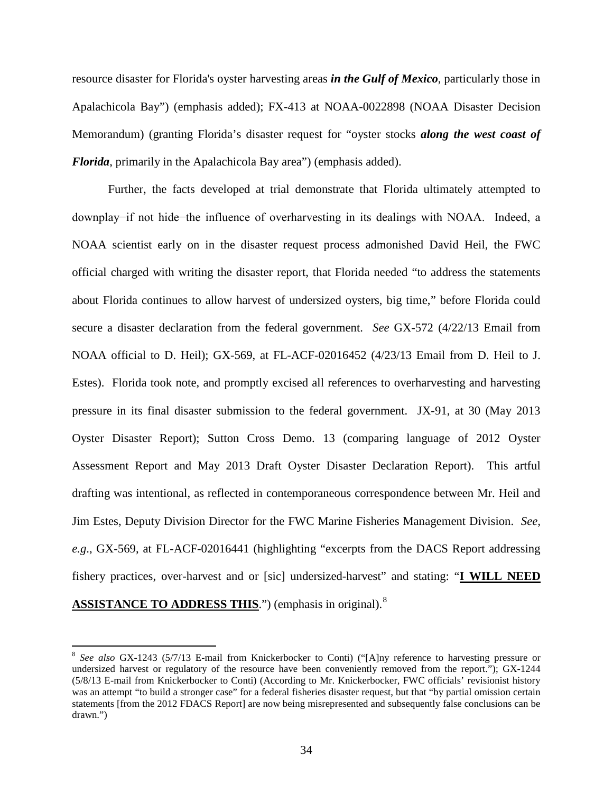resource disaster for Florida's oyster harvesting areas *in the Gulf of Mexico*, particularly those in Apalachicola Bay") (emphasis added); FX-413 at NOAA-0022898 (NOAA Disaster Decision Memorandum) (granting Florida's disaster request for "oyster stocks *along the west coast of Florida*, primarily in the Apalachicola Bay area") (emphasis added).

Further, the facts developed at trial demonstrate that Florida ultimately attempted to downplay−if not hide−the influence of overharvesting in its dealings with NOAA. Indeed, a NOAA scientist early on in the disaster request process admonished David Heil, the FWC official charged with writing the disaster report, that Florida needed "to address the statements about Florida continues to allow harvest of undersized oysters, big time," before Florida could secure a disaster declaration from the federal government. *See* GX-572 (4/22/13 Email from NOAA official to D. Heil); GX-569, at FL-ACF-02016452 (4/23/13 Email from D. Heil to J. Estes). Florida took note, and promptly excised all references to overharvesting and harvesting pressure in its final disaster submission to the federal government. JX-91, at 30 (May 2013 Oyster Disaster Report); Sutton Cross Demo. 13 (comparing language of 2012 Oyster Assessment Report and May 2013 Draft Oyster Disaster Declaration Report). This artful drafting was intentional, as reflected in contemporaneous correspondence between Mr. Heil and Jim Estes, Deputy Division Director for the FWC Marine Fisheries Management Division. *See, e.g*., GX-569, at FL-ACF-02016441 (highlighting "excerpts from the DACS Report addressing fishery practices, over-harvest and or [sic] undersized-harvest" and stating: "**I WILL NEED ASSISTANCE TO ADDRESS THIS.**") (emphasis in original).<sup>[8](#page-39-0)</sup>

<span id="page-39-0"></span> <sup>8</sup> *See also* GX-1243 (5/7/13 E-mail from Knickerbocker to Conti) ("[A]ny reference to harvesting pressure or undersized harvest or regulatory of the resource have been conveniently removed from the report."); GX-1244 (5/8/13 E-mail from Knickerbocker to Conti) (According to Mr. Knickerbocker, FWC officials' revisionist history was an attempt "to build a stronger case" for a federal fisheries disaster request, but that "by partial omission certain statements [from the 2012 FDACS Report] are now being misrepresented and subsequently false conclusions can be drawn.")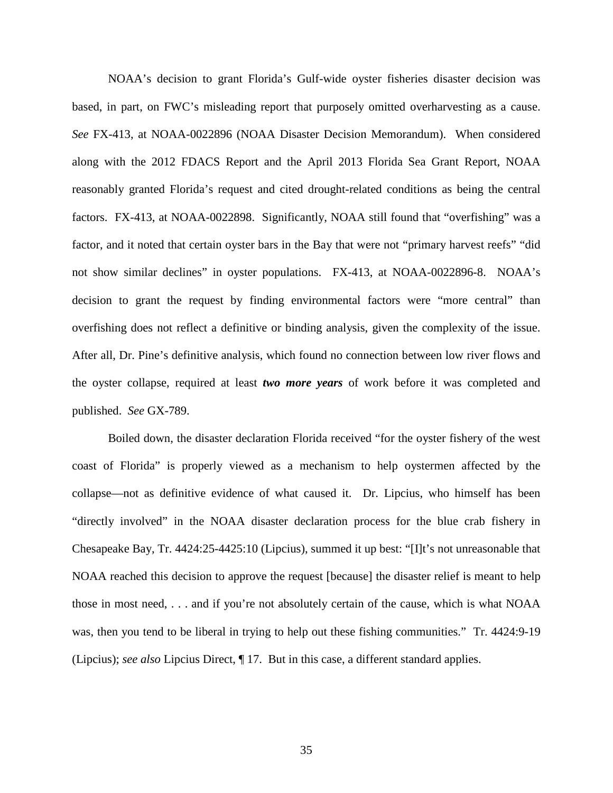NOAA's decision to grant Florida's Gulf-wide oyster fisheries disaster decision was based, in part, on FWC's misleading report that purposely omitted overharvesting as a cause. *See* FX-413, at NOAA-0022896 (NOAA Disaster Decision Memorandum). When considered along with the 2012 FDACS Report and the April 2013 Florida Sea Grant Report, NOAA reasonably granted Florida's request and cited drought-related conditions as being the central factors. FX-413, at NOAA-0022898. Significantly, NOAA still found that "overfishing" was a factor, and it noted that certain oyster bars in the Bay that were not "primary harvest reefs" "did not show similar declines" in oyster populations. FX-413, at NOAA-0022896-8. NOAA's decision to grant the request by finding environmental factors were "more central" than overfishing does not reflect a definitive or binding analysis, given the complexity of the issue. After all, Dr. Pine's definitive analysis, which found no connection between low river flows and the oyster collapse, required at least *two more years* of work before it was completed and published. *See* GX-789.

Boiled down, the disaster declaration Florida received "for the oyster fishery of the west coast of Florida" is properly viewed as a mechanism to help oystermen affected by the collapse—not as definitive evidence of what caused it. Dr. Lipcius, who himself has been "directly involved" in the NOAA disaster declaration process for the blue crab fishery in Chesapeake Bay, Tr. 4424:25-4425:10 (Lipcius), summed it up best: "[I]t's not unreasonable that NOAA reached this decision to approve the request [because] the disaster relief is meant to help those in most need, . . . and if you're not absolutely certain of the cause, which is what NOAA was, then you tend to be liberal in trying to help out these fishing communities." Tr. 4424:9-19 (Lipcius); *see also* Lipcius Direct, ¶ 17. But in this case, a different standard applies.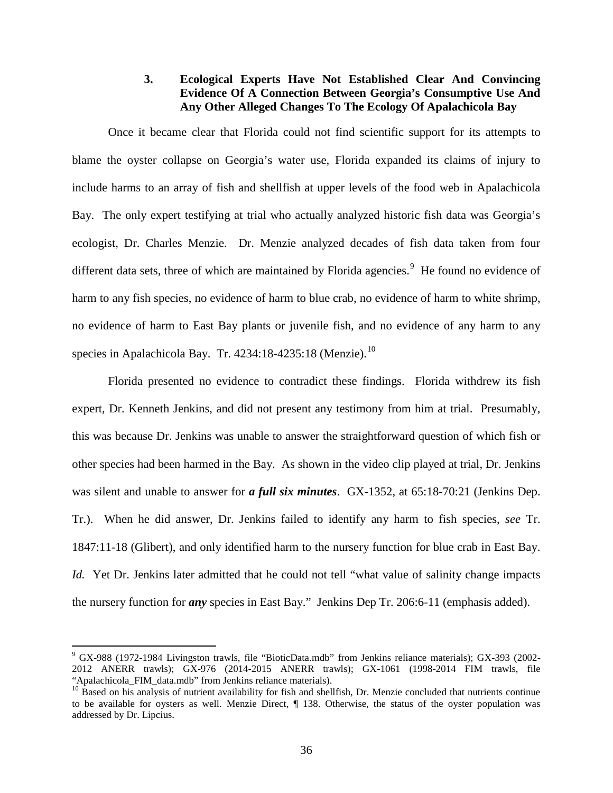## **3. Ecological Experts Have Not Established Clear And Convincing Evidence Of A Connection Between Georgia's Consumptive Use And Any Other Alleged Changes To The Ecology Of Apalachicola Bay**

Once it became clear that Florida could not find scientific support for its attempts to blame the oyster collapse on Georgia's water use, Florida expanded its claims of injury to include harms to an array of fish and shellfish at upper levels of the food web in Apalachicola Bay. The only expert testifying at trial who actually analyzed historic fish data was Georgia's ecologist, Dr. Charles Menzie. Dr. Menzie analyzed decades of fish data taken from four different data sets, three of which are maintained by Florida agencies.<sup>[9](#page-41-0)</sup> He found no evidence of harm to any fish species, no evidence of harm to blue crab, no evidence of harm to white shrimp, no evidence of harm to East Bay plants or juvenile fish, and no evidence of any harm to any species in Apalachicola Bay. Tr.  $4234:18-4235:18$  (Menzie).<sup>[10](#page-41-1)</sup>

Florida presented no evidence to contradict these findings. Florida withdrew its fish expert, Dr. Kenneth Jenkins, and did not present any testimony from him at trial. Presumably, this was because Dr. Jenkins was unable to answer the straightforward question of which fish or other species had been harmed in the Bay. As shown in the video clip played at trial, Dr. Jenkins was silent and unable to answer for *a full six minutes*. GX-1352, at 65:18-70:21 (Jenkins Dep. Tr.). When he did answer, Dr. Jenkins failed to identify any harm to fish species, *see* Tr. 1847:11-18 (Glibert), and only identified harm to the nursery function for blue crab in East Bay. *Id.* Yet Dr. Jenkins later admitted that he could not tell "what value of salinity change impacts" the nursery function for *any* species in East Bay." Jenkins Dep Tr. 206:6-11 (emphasis added).

<span id="page-41-0"></span> <sup>9</sup> GX-988 (1972-1984 Livingston trawls, file "BioticData.mdb" from Jenkins reliance materials); GX-393 (2002- 2012 ANERR trawls); GX-976 (2014-2015 ANERR trawls); GX-1061 (1998-2014 FIM trawls, file "Apalachicola\_FIM\_data.mdb" from Jenkins reliance materials).

<span id="page-41-1"></span><sup>&</sup>lt;sup>10</sup> Based on his analysis of nutrient availability for fish and shellfish, Dr. Menzie concluded that nutrients continue to be available for oysters as well. Menzie Direct, ¶ 138. Otherwise, the status of the oyster population was addressed by Dr. Lipcius.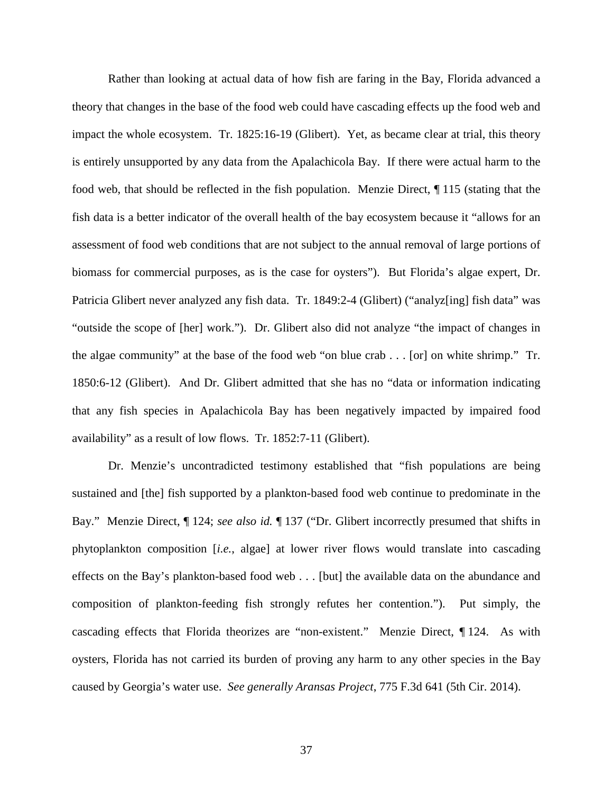Rather than looking at actual data of how fish are faring in the Bay, Florida advanced a theory that changes in the base of the food web could have cascading effects up the food web and impact the whole ecosystem. Tr. 1825:16-19 (Glibert). Yet, as became clear at trial, this theory is entirely unsupported by any data from the Apalachicola Bay. If there were actual harm to the food web, that should be reflected in the fish population. Menzie Direct, ¶ 115 (stating that the fish data is a better indicator of the overall health of the bay ecosystem because it "allows for an assessment of food web conditions that are not subject to the annual removal of large portions of biomass for commercial purposes, as is the case for oysters"). But Florida's algae expert, Dr. Patricia Glibert never analyzed any fish data. Tr. 1849:2-4 (Glibert) ("analyz[ing] fish data" was "outside the scope of [her] work."). Dr. Glibert also did not analyze "the impact of changes in the algae community" at the base of the food web "on blue crab . . . [or] on white shrimp." Tr. 1850:6-12 (Glibert). And Dr. Glibert admitted that she has no "data or information indicating that any fish species in Apalachicola Bay has been negatively impacted by impaired food availability" as a result of low flows. Tr. 1852:7-11 (Glibert).

Dr. Menzie's uncontradicted testimony established that "fish populations are being sustained and [the] fish supported by a plankton-based food web continue to predominate in the Bay." Menzie Direct, ¶ 124; *see also id.* ¶ 137 ("Dr. Glibert incorrectly presumed that shifts in phytoplankton composition [*i.e.*, algae] at lower river flows would translate into cascading effects on the Bay's plankton-based food web . . . [but] the available data on the abundance and composition of plankton-feeding fish strongly refutes her contention."). Put simply, the cascading effects that Florida theorizes are "non-existent." Menzie Direct, ¶ 124. As with oysters, Florida has not carried its burden of proving any harm to any other species in the Bay caused by Georgia's water use. *See generally Aransas Project*, 775 F.3d 641 (5th Cir. 2014).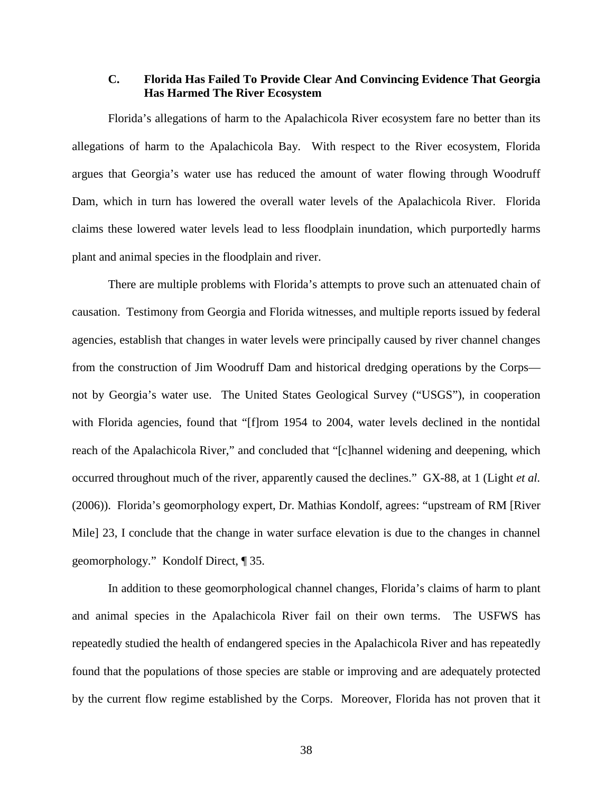## **C. Florida Has Failed To Provide Clear And Convincing Evidence That Georgia Has Harmed The River Ecosystem**

Florida's allegations of harm to the Apalachicola River ecosystem fare no better than its allegations of harm to the Apalachicola Bay. With respect to the River ecosystem, Florida argues that Georgia's water use has reduced the amount of water flowing through Woodruff Dam, which in turn has lowered the overall water levels of the Apalachicola River. Florida claims these lowered water levels lead to less floodplain inundation, which purportedly harms plant and animal species in the floodplain and river.

There are multiple problems with Florida's attempts to prove such an attenuated chain of causation. Testimony from Georgia and Florida witnesses, and multiple reports issued by federal agencies, establish that changes in water levels were principally caused by river channel changes from the construction of Jim Woodruff Dam and historical dredging operations by the Corps not by Georgia's water use. The United States Geological Survey ("USGS"), in cooperation with Florida agencies, found that "[f]rom 1954 to 2004, water levels declined in the nontidal reach of the Apalachicola River," and concluded that "[c]hannel widening and deepening, which occurred throughout much of the river, apparently caused the declines." GX-88, at 1 (Light *et al.* (2006)). Florida's geomorphology expert, Dr. Mathias Kondolf, agrees: "upstream of RM [River Mile] 23, I conclude that the change in water surface elevation is due to the changes in channel geomorphology." Kondolf Direct, ¶ 35.

In addition to these geomorphological channel changes, Florida's claims of harm to plant and animal species in the Apalachicola River fail on their own terms. The USFWS has repeatedly studied the health of endangered species in the Apalachicola River and has repeatedly found that the populations of those species are stable or improving and are adequately protected by the current flow regime established by the Corps. Moreover, Florida has not proven that it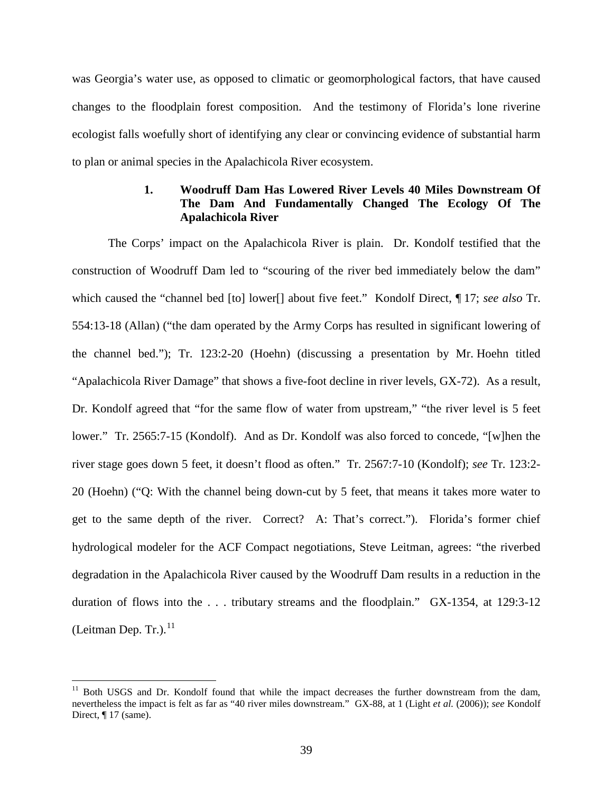was Georgia's water use, as opposed to climatic or geomorphological factors, that have caused changes to the floodplain forest composition. And the testimony of Florida's lone riverine ecologist falls woefully short of identifying any clear or convincing evidence of substantial harm to plan or animal species in the Apalachicola River ecosystem.

## **1. Woodruff Dam Has Lowered River Levels 40 Miles Downstream Of The Dam And Fundamentally Changed The Ecology Of The Apalachicola River**

The Corps' impact on the Apalachicola River is plain. Dr. Kondolf testified that the construction of Woodruff Dam led to "scouring of the river bed immediately below the dam" which caused the "channel bed [to] lower[] about five feet." Kondolf Direct, ¶ 17; *see also* Tr. 554:13-18 (Allan) ("the dam operated by the Army Corps has resulted in significant lowering of the channel bed."); Tr. 123:2-20 (Hoehn) (discussing a presentation by Mr. Hoehn titled "Apalachicola River Damage" that shows a five-foot decline in river levels, GX-72). As a result, Dr. Kondolf agreed that "for the same flow of water from upstream," "the river level is 5 feet lower." Tr. 2565:7-15 (Kondolf). And as Dr. Kondolf was also forced to concede, "[w]hen the river stage goes down 5 feet, it doesn't flood as often." Tr. 2567:7-10 (Kondolf); *see* Tr. 123:2- 20 (Hoehn) ("Q: With the channel being down-cut by 5 feet, that means it takes more water to get to the same depth of the river. Correct? A: That's correct."). Florida's former chief hydrological modeler for the ACF Compact negotiations, Steve Leitman, agrees: "the riverbed degradation in the Apalachicola River caused by the Woodruff Dam results in a reduction in the duration of flows into the . . . tributary streams and the floodplain." GX-1354, at 129:3-12 (Leitman Dep. Tr.). $^{11}$  $^{11}$  $^{11}$ 

<span id="page-44-0"></span><sup>&</sup>lt;sup>11</sup> Both USGS and Dr. Kondolf found that while the impact decreases the further downstream from the dam, nevertheless the impact is felt as far as "40 river miles downstream." GX-88, at 1 (Light *et al.* (2006)); *see* Kondolf Direct, ¶ 17 (same).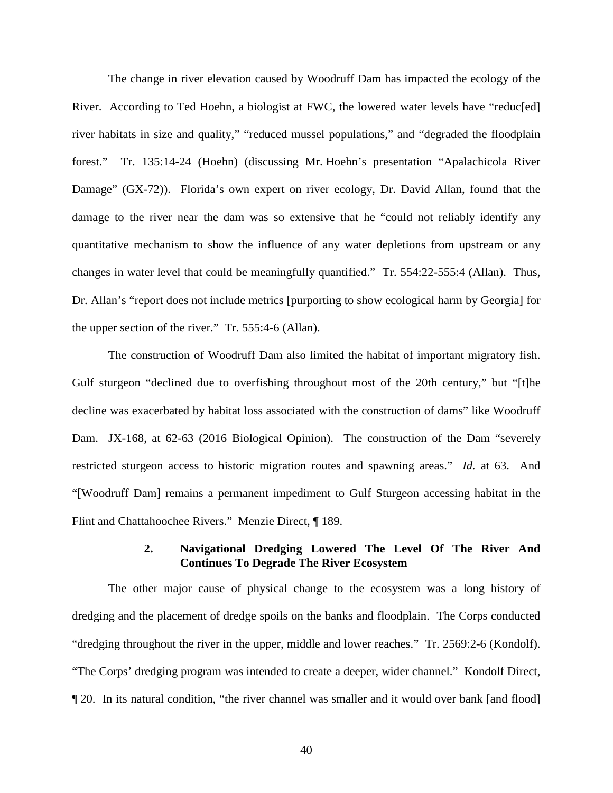The change in river elevation caused by Woodruff Dam has impacted the ecology of the River. According to Ted Hoehn, a biologist at FWC, the lowered water levels have "reduc[ed] river habitats in size and quality," "reduced mussel populations," and "degraded the floodplain forest." Tr. 135:14-24 (Hoehn) (discussing Mr. Hoehn's presentation "Apalachicola River Damage" (GX-72)). Florida's own expert on river ecology, Dr. David Allan, found that the damage to the river near the dam was so extensive that he "could not reliably identify any quantitative mechanism to show the influence of any water depletions from upstream or any changes in water level that could be meaningfully quantified." Tr. 554:22-555:4 (Allan). Thus, Dr. Allan's "report does not include metrics [purporting to show ecological harm by Georgia] for the upper section of the river." Tr. 555:4-6 (Allan).

The construction of Woodruff Dam also limited the habitat of important migratory fish. Gulf sturgeon "declined due to overfishing throughout most of the 20th century," but "[t]he decline was exacerbated by habitat loss associated with the construction of dams" like Woodruff Dam. JX-168, at 62-63 (2016 Biological Opinion). The construction of the Dam "severely restricted sturgeon access to historic migration routes and spawning areas." *Id.* at 63. And "[Woodruff Dam] remains a permanent impediment to Gulf Sturgeon accessing habitat in the Flint and Chattahoochee Rivers." Menzie Direct, ¶ 189.

#### **2. Navigational Dredging Lowered The Level Of The River And Continues To Degrade The River Ecosystem**

The other major cause of physical change to the ecosystem was a long history of dredging and the placement of dredge spoils on the banks and floodplain. The Corps conducted "dredging throughout the river in the upper, middle and lower reaches." Tr. 2569:2-6 (Kondolf). "The Corps' dredging program was intended to create a deeper, wider channel." Kondolf Direct, ¶ 20. In its natural condition, "the river channel was smaller and it would over bank [and flood]

40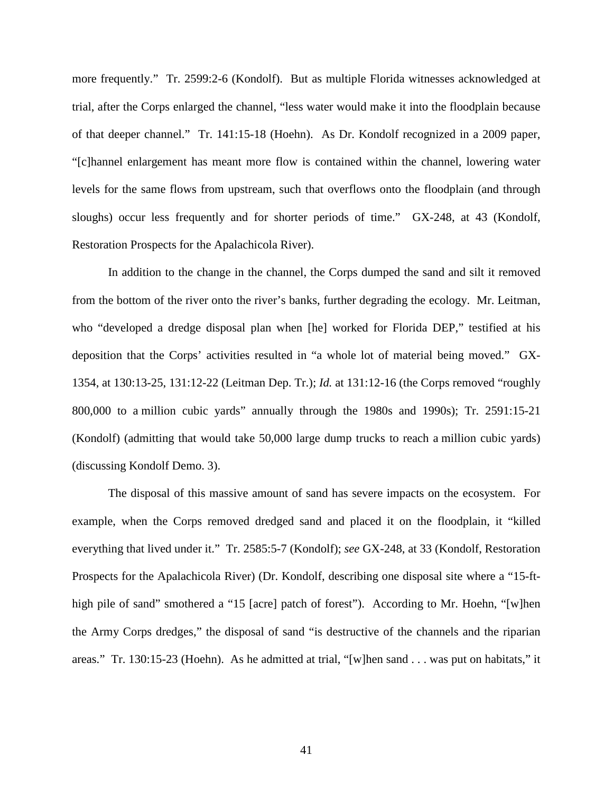more frequently." Tr. 2599:2-6 (Kondolf). But as multiple Florida witnesses acknowledged at trial, after the Corps enlarged the channel, "less water would make it into the floodplain because of that deeper channel." Tr. 141:15-18 (Hoehn). As Dr. Kondolf recognized in a 2009 paper, "[c]hannel enlargement has meant more flow is contained within the channel, lowering water levels for the same flows from upstream, such that overflows onto the floodplain (and through sloughs) occur less frequently and for shorter periods of time." GX-248, at 43 (Kondolf, Restoration Prospects for the Apalachicola River).

In addition to the change in the channel, the Corps dumped the sand and silt it removed from the bottom of the river onto the river's banks, further degrading the ecology. Mr. Leitman, who "developed a dredge disposal plan when [he] worked for Florida DEP," testified at his deposition that the Corps' activities resulted in "a whole lot of material being moved." GX-1354, at 130:13-25, 131:12-22 (Leitman Dep. Tr.); *Id.* at 131:12-16 (the Corps removed "roughly 800,000 to a million cubic yards" annually through the 1980s and 1990s); Tr. 2591:15-21 (Kondolf) (admitting that would take 50,000 large dump trucks to reach a million cubic yards) (discussing Kondolf Demo. 3).

The disposal of this massive amount of sand has severe impacts on the ecosystem. For example, when the Corps removed dredged sand and placed it on the floodplain, it "killed everything that lived under it." Tr. 2585:5-7 (Kondolf); *see* GX-248, at 33 (Kondolf, Restoration Prospects for the Apalachicola River) (Dr. Kondolf, describing one disposal site where a "15-fthigh pile of sand" smothered a "15 [acre] patch of forest"). According to Mr. Hoehn, "[w]hen the Army Corps dredges," the disposal of sand "is destructive of the channels and the riparian areas." Tr. 130:15-23 (Hoehn). As he admitted at trial, "[w]hen sand . . . was put on habitats," it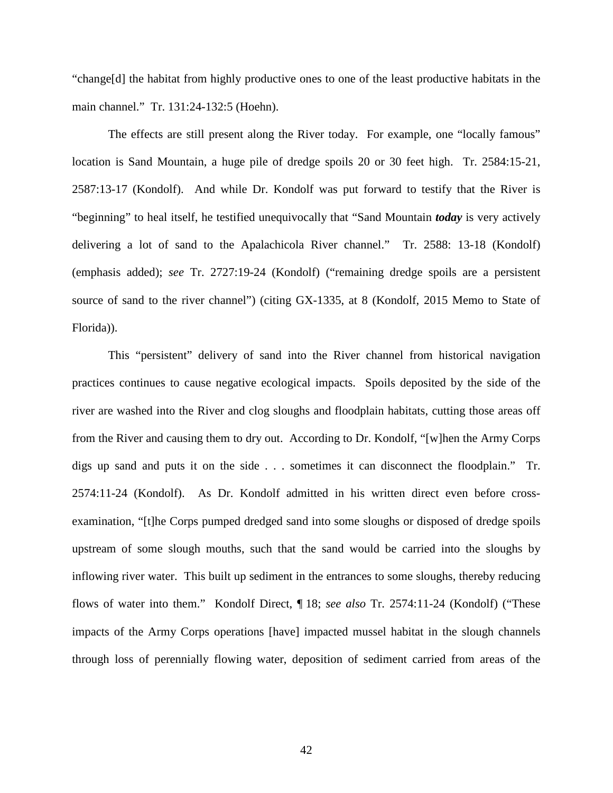"change[d] the habitat from highly productive ones to one of the least productive habitats in the main channel." Tr. 131:24-132:5 (Hoehn).

The effects are still present along the River today. For example, one "locally famous" location is Sand Mountain, a huge pile of dredge spoils 20 or 30 feet high. Tr. 2584:15-21, 2587:13-17 (Kondolf). And while Dr. Kondolf was put forward to testify that the River is "beginning" to heal itself, he testified unequivocally that "Sand Mountain *today* is very actively delivering a lot of sand to the Apalachicola River channel." Tr. 2588: 13-18 (Kondolf) (emphasis added); *see* Tr. 2727:19-24 (Kondolf) ("remaining dredge spoils are a persistent source of sand to the river channel") (citing GX-1335, at 8 (Kondolf, 2015 Memo to State of Florida)).

This "persistent" delivery of sand into the River channel from historical navigation practices continues to cause negative ecological impacts. Spoils deposited by the side of the river are washed into the River and clog sloughs and floodplain habitats, cutting those areas off from the River and causing them to dry out. According to Dr. Kondolf, "[w]hen the Army Corps digs up sand and puts it on the side . . . sometimes it can disconnect the floodplain." Tr. 2574:11-24 (Kondolf). As Dr. Kondolf admitted in his written direct even before crossexamination, "[t]he Corps pumped dredged sand into some sloughs or disposed of dredge spoils upstream of some slough mouths, such that the sand would be carried into the sloughs by inflowing river water. This built up sediment in the entrances to some sloughs, thereby reducing flows of water into them." Kondolf Direct, ¶ 18; *see also* Tr. 2574:11-24 (Kondolf) ("These impacts of the Army Corps operations [have] impacted mussel habitat in the slough channels through loss of perennially flowing water, deposition of sediment carried from areas of the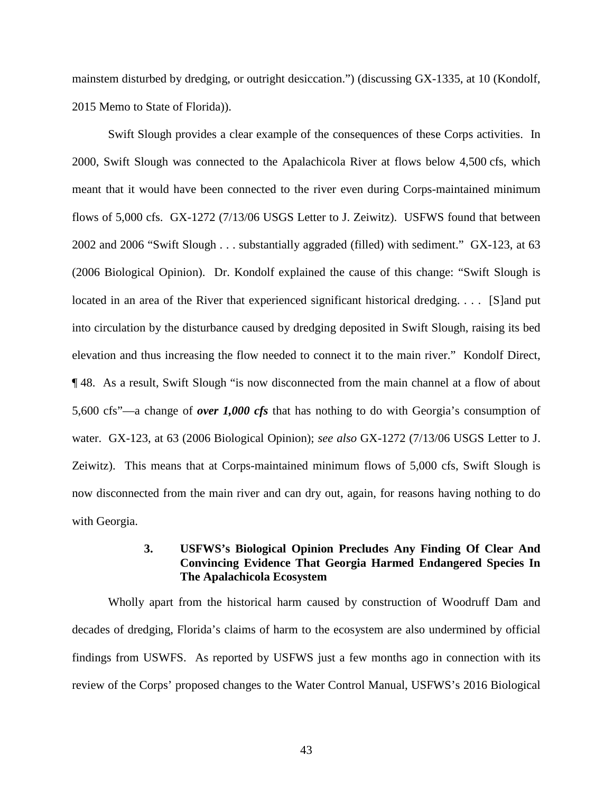mainstem disturbed by dredging, or outright desiccation.") (discussing GX-1335, at 10 (Kondolf, 2015 Memo to State of Florida)).

Swift Slough provides a clear example of the consequences of these Corps activities. In 2000, Swift Slough was connected to the Apalachicola River at flows below 4,500 cfs, which meant that it would have been connected to the river even during Corps-maintained minimum flows of 5,000 cfs. GX-1272 (7/13/06 USGS Letter to J. Zeiwitz). USFWS found that between 2002 and 2006 "Swift Slough . . . substantially aggraded (filled) with sediment." GX-123, at 63 (2006 Biological Opinion). Dr. Kondolf explained the cause of this change: "Swift Slough is located in an area of the River that experienced significant historical dredging. . . . [S]and put into circulation by the disturbance caused by dredging deposited in Swift Slough, raising its bed elevation and thus increasing the flow needed to connect it to the main river." Kondolf Direct, ¶ 48. As a result, Swift Slough "is now disconnected from the main channel at a flow of about 5,600 cfs"—a change of *over 1,000 cfs* that has nothing to do with Georgia's consumption of water. GX-123, at 63 (2006 Biological Opinion); *see also* GX-1272 (7/13/06 USGS Letter to J. Zeiwitz). This means that at Corps-maintained minimum flows of 5,000 cfs, Swift Slough is now disconnected from the main river and can dry out, again, for reasons having nothing to do with Georgia.

## **3. USFWS's Biological Opinion Precludes Any Finding Of Clear And Convincing Evidence That Georgia Harmed Endangered Species In The Apalachicola Ecosystem**

Wholly apart from the historical harm caused by construction of Woodruff Dam and decades of dredging, Florida's claims of harm to the ecosystem are also undermined by official findings from USWFS. As reported by USFWS just a few months ago in connection with its review of the Corps' proposed changes to the Water Control Manual, USFWS's 2016 Biological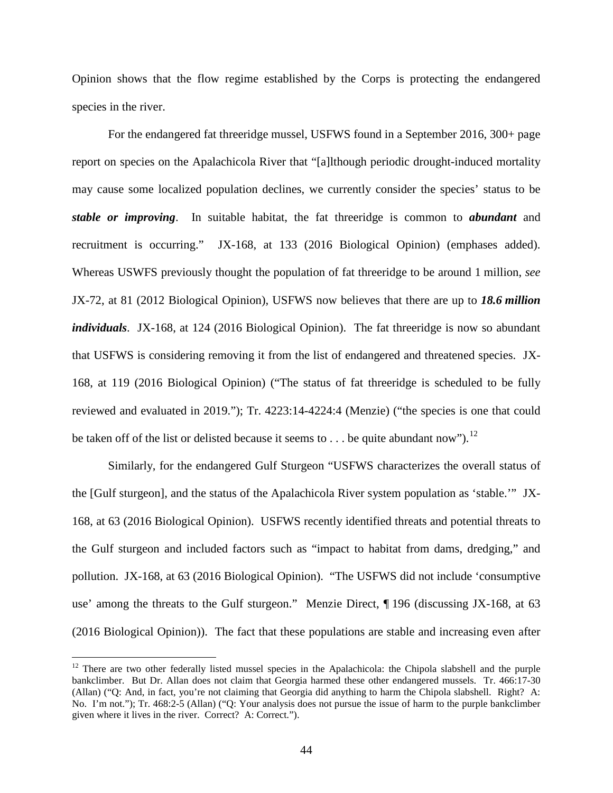Opinion shows that the flow regime established by the Corps is protecting the endangered species in the river.

For the endangered fat threeridge mussel, USFWS found in a September 2016, 300+ page report on species on the Apalachicola River that "[a]lthough periodic drought-induced mortality may cause some localized population declines, we currently consider the species' status to be *stable or improving*. In suitable habitat, the fat threeridge is common to *abundant* and recruitment is occurring." JX-168, at 133 (2016 Biological Opinion) (emphases added). Whereas USWFS previously thought the population of fat threeridge to be around 1 million, *see* JX-72, at 81 (2012 Biological Opinion), USFWS now believes that there are up to *18.6 million individuals*. JX-168, at 124 (2016 Biological Opinion). The fat threeridge is now so abundant that USFWS is considering removing it from the list of endangered and threatened species. JX-168, at 119 (2016 Biological Opinion) ("The status of fat threeridge is scheduled to be fully reviewed and evaluated in 2019."); Tr. 4223:14-4224:4 (Menzie) ("the species is one that could be taken off of the list or delisted because it seems to  $\dots$  be quite abundant now").<sup>[12](#page-49-0)</sup>

Similarly, for the endangered Gulf Sturgeon "USFWS characterizes the overall status of the [Gulf sturgeon], and the status of the Apalachicola River system population as 'stable.'" JX-168, at 63 (2016 Biological Opinion). USFWS recently identified threats and potential threats to the Gulf sturgeon and included factors such as "impact to habitat from dams, dredging," and pollution. JX-168, at 63 (2016 Biological Opinion). "The USFWS did not include 'consumptive use' among the threats to the Gulf sturgeon." Menzie Direct, ¶ 196 (discussing JX-168, at 63 (2016 Biological Opinion)). The fact that these populations are stable and increasing even after

<span id="page-49-0"></span><sup>&</sup>lt;sup>12</sup> There are two other federally listed mussel species in the Apalachicola: the Chipola slabshell and the purple bankclimber. But Dr. Allan does not claim that Georgia harmed these other endangered mussels. Tr. 466:17-30 (Allan) ("Q: And, in fact, you're not claiming that Georgia did anything to harm the Chipola slabshell. Right? A: No. I'm not."); Tr. 468:2-5 (Allan) ("Q: Your analysis does not pursue the issue of harm to the purple bankclimber given where it lives in the river. Correct? A: Correct.").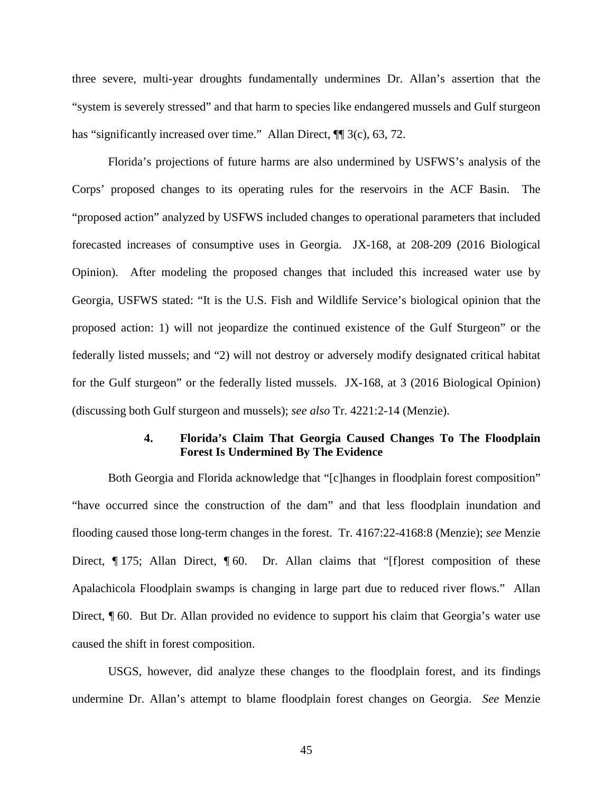three severe, multi-year droughts fundamentally undermines Dr. Allan's assertion that the "system is severely stressed" and that harm to species like endangered mussels and Gulf sturgeon has "significantly increased over time." Allan Direct,  $\P$  3(c), 63, 72.

Florida's projections of future harms are also undermined by USFWS's analysis of the Corps' proposed changes to its operating rules for the reservoirs in the ACF Basin. The "proposed action" analyzed by USFWS included changes to operational parameters that included forecasted increases of consumptive uses in Georgia. JX-168, at 208-209 (2016 Biological Opinion). After modeling the proposed changes that included this increased water use by Georgia, USFWS stated: "It is the U.S. Fish and Wildlife Service's biological opinion that the proposed action: 1) will not jeopardize the continued existence of the Gulf Sturgeon" or the federally listed mussels; and "2) will not destroy or adversely modify designated critical habitat for the Gulf sturgeon" or the federally listed mussels. JX-168, at 3 (2016 Biological Opinion) (discussing both Gulf sturgeon and mussels); *see also* Tr. 4221:2-14 (Menzie).

#### **4. Florida's Claim That Georgia Caused Changes To The Floodplain Forest Is Undermined By The Evidence**

Both Georgia and Florida acknowledge that "[c]hanges in floodplain forest composition" "have occurred since the construction of the dam" and that less floodplain inundation and flooding caused those long-term changes in the forest. Tr. 4167:22-4168:8 (Menzie); *see* Menzie Direct, ¶ 175; Allan Direct, ¶ 60. Dr. Allan claims that "[f]orest composition of these Apalachicola Floodplain swamps is changing in large part due to reduced river flows." Allan Direct, ¶ 60. But Dr. Allan provided no evidence to support his claim that Georgia's water use caused the shift in forest composition.

USGS, however, did analyze these changes to the floodplain forest, and its findings undermine Dr. Allan's attempt to blame floodplain forest changes on Georgia. *See* Menzie

45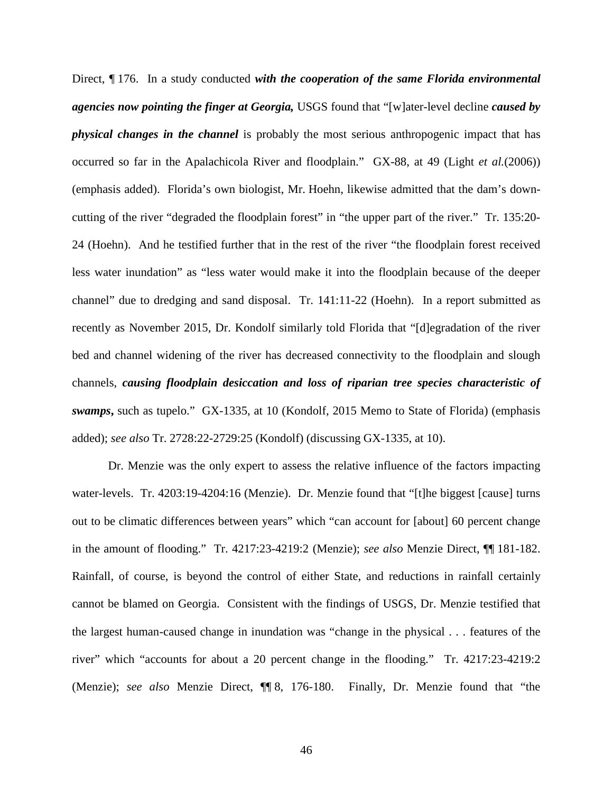Direct, ¶ 176. In a study conducted *with the cooperation of the same Florida environmental agencies now pointing the finger at Georgia,* USGS found that "[w]ater-level decline *caused by physical changes in the channel* is probably the most serious anthropogenic impact that has occurred so far in the Apalachicola River and floodplain." GX-88, at 49 (Light *et al.*(2006)) (emphasis added). Florida's own biologist, Mr. Hoehn, likewise admitted that the dam's downcutting of the river "degraded the floodplain forest" in "the upper part of the river." Tr. 135:20- 24 (Hoehn). And he testified further that in the rest of the river "the floodplain forest received less water inundation" as "less water would make it into the floodplain because of the deeper channel" due to dredging and sand disposal. Tr. 141:11-22 (Hoehn). In a report submitted as recently as November 2015, Dr. Kondolf similarly told Florida that "[d]egradation of the river bed and channel widening of the river has decreased connectivity to the floodplain and slough channels, *causing floodplain desiccation and loss of riparian tree species characteristic of swamps***,** such as tupelo." GX-1335, at 10 (Kondolf, 2015 Memo to State of Florida) (emphasis added); *see also* Tr. 2728:22-2729:25 (Kondolf) (discussing GX-1335, at 10).

Dr. Menzie was the only expert to assess the relative influence of the factors impacting water-levels. Tr. 4203:19-4204:16 (Menzie). Dr. Menzie found that "[t]he biggest [cause] turns out to be climatic differences between years" which "can account for [about] 60 percent change in the amount of flooding." Tr. 4217:23-4219:2 (Menzie); *see also* Menzie Direct, ¶¶ 181-182. Rainfall, of course, is beyond the control of either State, and reductions in rainfall certainly cannot be blamed on Georgia. Consistent with the findings of USGS, Dr. Menzie testified that the largest human-caused change in inundation was "change in the physical . . . features of the river" which "accounts for about a 20 percent change in the flooding." Tr. 4217:23-4219:2 (Menzie); *see also* Menzie Direct, ¶¶ 8, 176-180. Finally, Dr. Menzie found that "the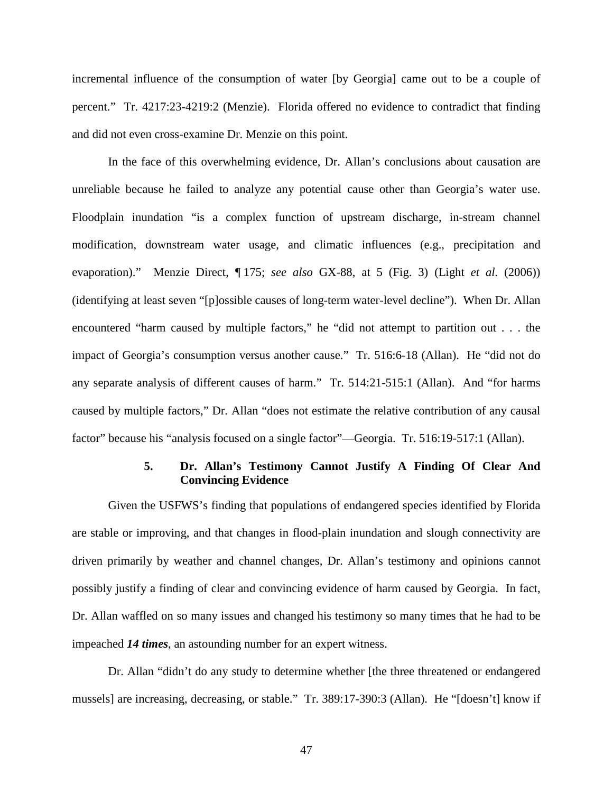incremental influence of the consumption of water [by Georgia] came out to be a couple of percent." Tr. 4217:23-4219:2 (Menzie). Florida offered no evidence to contradict that finding and did not even cross-examine Dr. Menzie on this point.

In the face of this overwhelming evidence, Dr. Allan's conclusions about causation are unreliable because he failed to analyze any potential cause other than Georgia's water use. Floodplain inundation "is a complex function of upstream discharge, in-stream channel modification, downstream water usage, and climatic influences (e.g., precipitation and evaporation)." Menzie Direct, ¶ 175; *see also* GX-88, at 5 (Fig. 3) (Light *et al.* (2006)) (identifying at least seven "[p]ossible causes of long-term water-level decline"). When Dr. Allan encountered "harm caused by multiple factors," he "did not attempt to partition out . . . the impact of Georgia's consumption versus another cause." Tr. 516:6-18 (Allan). He "did not do any separate analysis of different causes of harm." Tr. 514:21-515:1 (Allan). And "for harms caused by multiple factors," Dr. Allan "does not estimate the relative contribution of any causal factor" because his "analysis focused on a single factor"—Georgia. Tr. 516:19-517:1 (Allan).

#### **5. Dr. Allan's Testimony Cannot Justify A Finding Of Clear And Convincing Evidence**

Given the USFWS's finding that populations of endangered species identified by Florida are stable or improving, and that changes in flood-plain inundation and slough connectivity are driven primarily by weather and channel changes, Dr. Allan's testimony and opinions cannot possibly justify a finding of clear and convincing evidence of harm caused by Georgia. In fact, Dr. Allan waffled on so many issues and changed his testimony so many times that he had to be impeached *14 times*, an astounding number for an expert witness.

Dr. Allan "didn't do any study to determine whether [the three threatened or endangered mussels] are increasing, decreasing, or stable." Tr. 389:17-390:3 (Allan). He "[doesn't] know if

47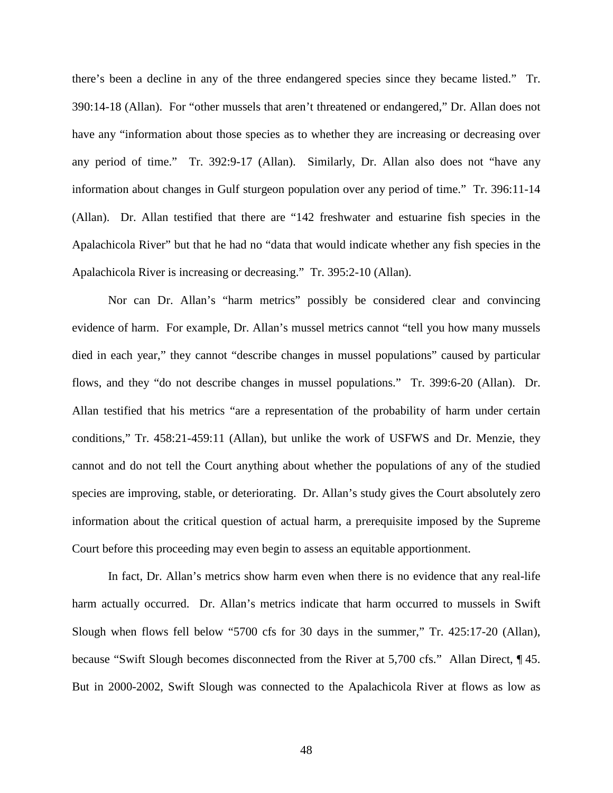there's been a decline in any of the three endangered species since they became listed." Tr. 390:14-18 (Allan). For "other mussels that aren't threatened or endangered," Dr. Allan does not have any "information about those species as to whether they are increasing or decreasing over any period of time." Tr. 392:9-17 (Allan). Similarly, Dr. Allan also does not "have any information about changes in Gulf sturgeon population over any period of time." Tr. 396:11-14 (Allan). Dr. Allan testified that there are "142 freshwater and estuarine fish species in the Apalachicola River" but that he had no "data that would indicate whether any fish species in the Apalachicola River is increasing or decreasing." Tr. 395:2-10 (Allan).

Nor can Dr. Allan's "harm metrics" possibly be considered clear and convincing evidence of harm. For example, Dr. Allan's mussel metrics cannot "tell you how many mussels died in each year," they cannot "describe changes in mussel populations" caused by particular flows, and they "do not describe changes in mussel populations." Tr. 399:6-20 (Allan). Dr. Allan testified that his metrics "are a representation of the probability of harm under certain conditions," Tr. 458:21-459:11 (Allan), but unlike the work of USFWS and Dr. Menzie, they cannot and do not tell the Court anything about whether the populations of any of the studied species are improving, stable, or deteriorating. Dr. Allan's study gives the Court absolutely zero information about the critical question of actual harm, a prerequisite imposed by the Supreme Court before this proceeding may even begin to assess an equitable apportionment.

In fact, Dr. Allan's metrics show harm even when there is no evidence that any real-life harm actually occurred. Dr. Allan's metrics indicate that harm occurred to mussels in Swift Slough when flows fell below "5700 cfs for 30 days in the summer," Tr. 425:17-20 (Allan), because "Swift Slough becomes disconnected from the River at 5,700 cfs." Allan Direct, ¶ 45. But in 2000-2002, Swift Slough was connected to the Apalachicola River at flows as low as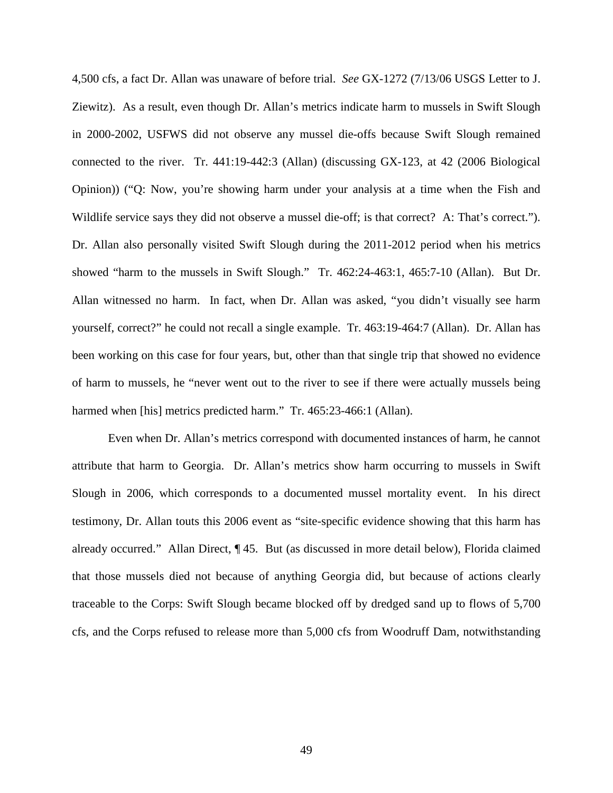4,500 cfs, a fact Dr. Allan was unaware of before trial. *See* GX-1272 (7/13/06 USGS Letter to J. Ziewitz). As a result, even though Dr. Allan's metrics indicate harm to mussels in Swift Slough in 2000-2002, USFWS did not observe any mussel die-offs because Swift Slough remained connected to the river. Tr. 441:19-442:3 (Allan) (discussing GX-123, at 42 (2006 Biological Opinion)) ("Q: Now, you're showing harm under your analysis at a time when the Fish and Wildlife service says they did not observe a mussel die-off; is that correct? A: That's correct."). Dr. Allan also personally visited Swift Slough during the 2011-2012 period when his metrics showed "harm to the mussels in Swift Slough." Tr. 462:24-463:1, 465:7-10 (Allan). But Dr. Allan witnessed no harm. In fact, when Dr. Allan was asked, "you didn't visually see harm yourself, correct?" he could not recall a single example. Tr. 463:19-464:7 (Allan). Dr. Allan has been working on this case for four years, but, other than that single trip that showed no evidence of harm to mussels, he "never went out to the river to see if there were actually mussels being harmed when [his] metrics predicted harm." Tr. 465:23-466:1 (Allan).

Even when Dr. Allan's metrics correspond with documented instances of harm, he cannot attribute that harm to Georgia. Dr. Allan's metrics show harm occurring to mussels in Swift Slough in 2006, which corresponds to a documented mussel mortality event. In his direct testimony, Dr. Allan touts this 2006 event as "site-specific evidence showing that this harm has already occurred." Allan Direct, ¶ 45. But (as discussed in more detail below), Florida claimed that those mussels died not because of anything Georgia did, but because of actions clearly traceable to the Corps: Swift Slough became blocked off by dredged sand up to flows of 5,700 cfs, and the Corps refused to release more than 5,000 cfs from Woodruff Dam, notwithstanding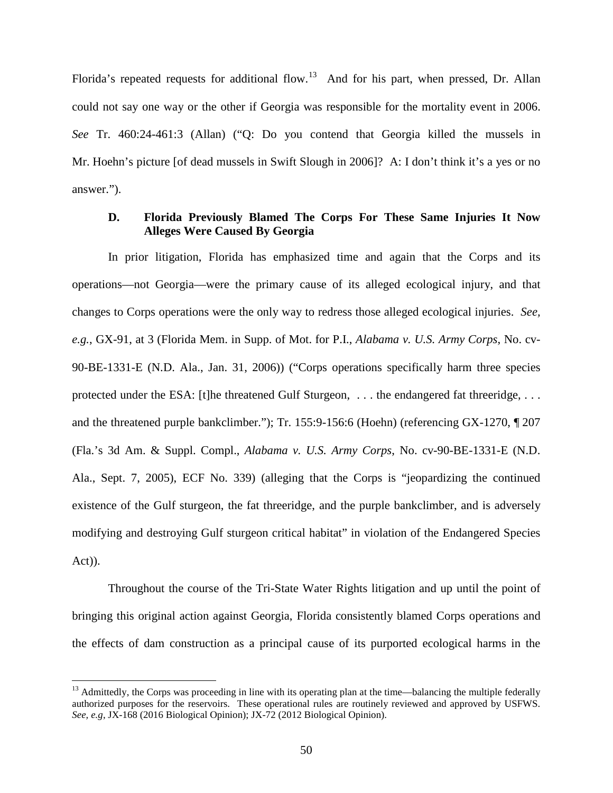Florida's repeated requests for additional flow.<sup>13</sup> And for his part, when pressed, Dr. Allan could not say one way or the other if Georgia was responsible for the mortality event in 2006. *See* Tr. 460:24-461:3 (Allan) ("Q: Do you contend that Georgia killed the mussels in Mr. Hoehn's picture [of dead mussels in Swift Slough in 2006]? A: I don't think it's a yes or no answer.").

#### **D. Florida Previously Blamed The Corps For These Same Injuries It Now Alleges Were Caused By Georgia**

In prior litigation, Florida has emphasized time and again that the Corps and its operations—not Georgia—were the primary cause of its alleged ecological injury, and that changes to Corps operations were the only way to redress those alleged ecological injuries. *See, e.g.*, GX-91, at 3 (Florida Mem. in Supp. of Mot. for P.I., *Alabama v. U.S. Army Corps*, No. cv-90-BE-1331-E (N.D. Ala., Jan. 31, 2006)) ("Corps operations specifically harm three species protected under the ESA: [t]he threatened Gulf Sturgeon, ... the endangered fat threeridge, ... and the threatened purple bankclimber."); Tr. 155:9-156:6 (Hoehn) (referencing GX-1270, ¶ 207 (Fla.'s 3d Am. & Suppl. Compl., *Alabama v. U.S. Army Corps*, No. cv-90-BE-1331-E (N.D. Ala., Sept. 7, 2005), ECF No. 339) (alleging that the Corps is "jeopardizing the continued existence of the Gulf sturgeon, the fat threeridge, and the purple bankclimber, and is adversely modifying and destroying Gulf sturgeon critical habitat" in violation of the Endangered Species Act)).

Throughout the course of the Tri-State Water Rights litigation and up until the point of bringing this original action against Georgia, Florida consistently blamed Corps operations and the effects of dam construction as a principal cause of its purported ecological harms in the

<span id="page-55-0"></span> $13$  Admittedly, the Corps was proceeding in line with its operating plan at the time—balancing the multiple federally authorized purposes for the reservoirs. These operational rules are routinely reviewed and approved by USFWS. *See, e.g*, JX-168 (2016 Biological Opinion); JX-72 (2012 Biological Opinion).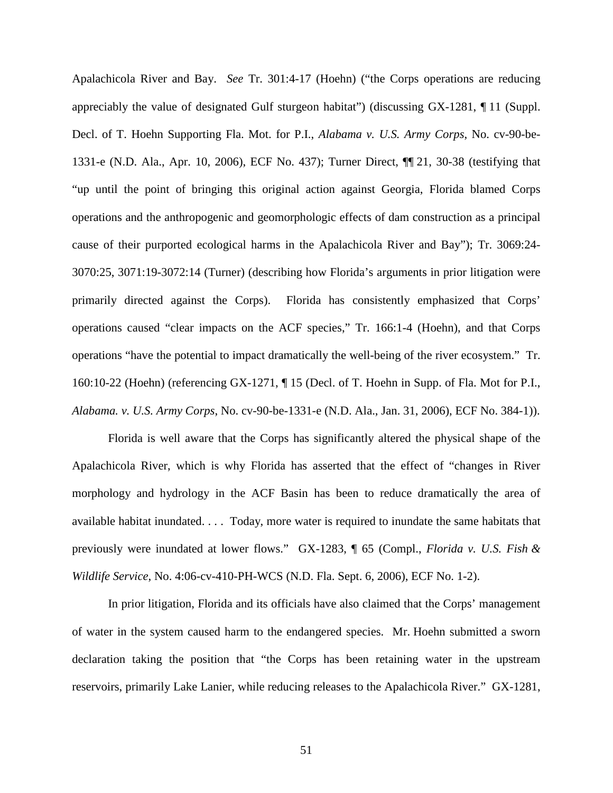Apalachicola River and Bay. *See* Tr. 301:4-17 (Hoehn) ("the Corps operations are reducing appreciably the value of designated Gulf sturgeon habitat") (discussing GX-1281, ¶ 11 (Suppl. Decl. of T. Hoehn Supporting Fla. Mot. for P.I., *Alabama v. U.S. Army Corps*, No. cv-90-be-1331-e (N.D. Ala., Apr. 10, 2006), ECF No. 437); Turner Direct, ¶¶ 21, 30-38 (testifying that "up until the point of bringing this original action against Georgia, Florida blamed Corps operations and the anthropogenic and geomorphologic effects of dam construction as a principal cause of their purported ecological harms in the Apalachicola River and Bay"); Tr. 3069:24- 3070:25, 3071:19-3072:14 (Turner) (describing how Florida's arguments in prior litigation were primarily directed against the Corps). Florida has consistently emphasized that Corps' operations caused "clear impacts on the ACF species," Tr. 166:1-4 (Hoehn), and that Corps operations "have the potential to impact dramatically the well-being of the river ecosystem." Tr. 160:10-22 (Hoehn) (referencing GX-1271, ¶ 15 (Decl. of T. Hoehn in Supp. of Fla. Mot for P.I., *Alabama. v. U.S. Army Corps*, No. cv-90-be-1331-e (N.D. Ala., Jan. 31, 2006), ECF No. 384-1)).

Florida is well aware that the Corps has significantly altered the physical shape of the Apalachicola River, which is why Florida has asserted that the effect of "changes in River morphology and hydrology in the ACF Basin has been to reduce dramatically the area of available habitat inundated. . . . Today, more water is required to inundate the same habitats that previously were inundated at lower flows." GX-1283, ¶ 65 (Compl., *Florida v. U.S. Fish & Wildlife Service*, No. 4:06-cv-410-PH-WCS (N.D. Fla. Sept. 6, 2006), ECF No. 1-2).

In prior litigation, Florida and its officials have also claimed that the Corps' management of water in the system caused harm to the endangered species. Mr. Hoehn submitted a sworn declaration taking the position that "the Corps has been retaining water in the upstream reservoirs, primarily Lake Lanier, while reducing releases to the Apalachicola River." GX-1281,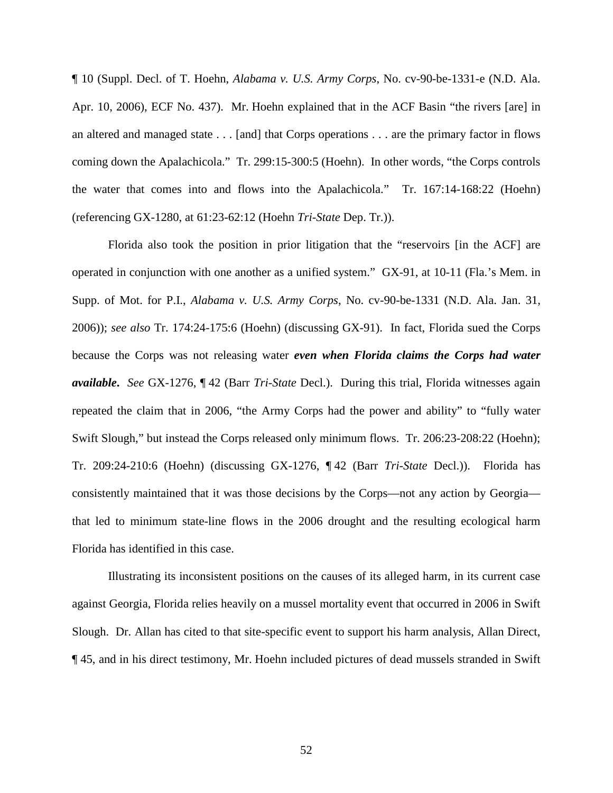¶ 10 (Suppl. Decl. of T. Hoehn, *Alabama v. U.S. Army Corps*, No. cv-90-be-1331-e (N.D. Ala. Apr. 10, 2006), ECF No. 437). Mr. Hoehn explained that in the ACF Basin "the rivers [are] in an altered and managed state . . . [and] that Corps operations . . . are the primary factor in flows coming down the Apalachicola." Tr. 299:15-300:5 (Hoehn). In other words, "the Corps controls the water that comes into and flows into the Apalachicola." Tr. 167:14-168:22 (Hoehn) (referencing GX-1280, at 61:23-62:12 (Hoehn *Tri-State* Dep. Tr.)).

Florida also took the position in prior litigation that the "reservoirs [in the ACF] are operated in conjunction with one another as a unified system." GX-91, at 10-11 (Fla.'s Mem. in Supp. of Mot. for P.I., *Alabama v. U.S. Army Corps*, No. cv-90-be-1331 (N.D. Ala. Jan. 31, 2006)); *see also* Tr. 174:24-175:6 (Hoehn) (discussing GX-91). In fact, Florida sued the Corps because the Corps was not releasing water *even when Florida claims the Corps had water available***.** *See* GX-1276, ¶ 42 (Barr *Tri-State* Decl.). During this trial, Florida witnesses again repeated the claim that in 2006, "the Army Corps had the power and ability" to "fully water Swift Slough," but instead the Corps released only minimum flows. Tr. 206:23-208:22 (Hoehn); Tr. 209:24-210:6 (Hoehn) (discussing GX-1276, ¶ 42 (Barr *Tri-State* Decl.)). Florida has consistently maintained that it was those decisions by the Corps—not any action by Georgia that led to minimum state-line flows in the 2006 drought and the resulting ecological harm Florida has identified in this case.

Illustrating its inconsistent positions on the causes of its alleged harm, in its current case against Georgia, Florida relies heavily on a mussel mortality event that occurred in 2006 in Swift Slough. Dr. Allan has cited to that site-specific event to support his harm analysis, Allan Direct, ¶ 45, and in his direct testimony, Mr. Hoehn included pictures of dead mussels stranded in Swift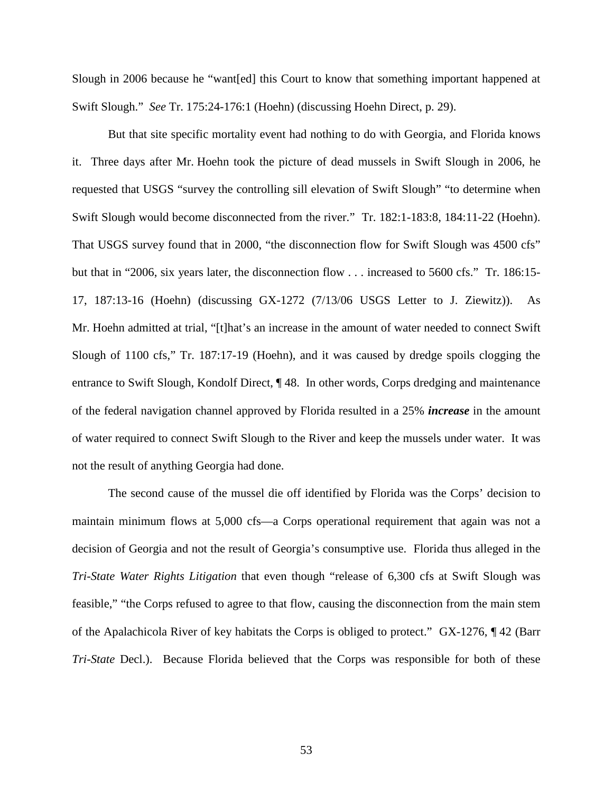Slough in 2006 because he "want[ed] this Court to know that something important happened at Swift Slough." *See* Tr. 175:24-176:1 (Hoehn) (discussing Hoehn Direct, p. 29).

But that site specific mortality event had nothing to do with Georgia, and Florida knows it. Three days after Mr. Hoehn took the picture of dead mussels in Swift Slough in 2006, he requested that USGS "survey the controlling sill elevation of Swift Slough" "to determine when Swift Slough would become disconnected from the river." Tr. 182:1-183:8, 184:11-22 (Hoehn). That USGS survey found that in 2000, "the disconnection flow for Swift Slough was 4500 cfs" but that in "2006, six years later, the disconnection flow . . . increased to 5600 cfs." Tr. 186:15- 17, 187:13-16 (Hoehn) (discussing GX-1272 (7/13/06 USGS Letter to J. Ziewitz)). As Mr. Hoehn admitted at trial, "[t]hat's an increase in the amount of water needed to connect Swift Slough of 1100 cfs," Tr. 187:17-19 (Hoehn), and it was caused by dredge spoils clogging the entrance to Swift Slough, Kondolf Direct, ¶ 48. In other words, Corps dredging and maintenance of the federal navigation channel approved by Florida resulted in a 25% *increase* in the amount of water required to connect Swift Slough to the River and keep the mussels under water. It was not the result of anything Georgia had done.

The second cause of the mussel die off identified by Florida was the Corps' decision to maintain minimum flows at 5,000 cfs—a Corps operational requirement that again was not a decision of Georgia and not the result of Georgia's consumptive use. Florida thus alleged in the *Tri-State Water Rights Litigation* that even though "release of 6,300 cfs at Swift Slough was feasible," "the Corps refused to agree to that flow, causing the disconnection from the main stem of the Apalachicola River of key habitats the Corps is obliged to protect." GX-1276, ¶ 42 (Barr *Tri-State* Decl.). Because Florida believed that the Corps was responsible for both of these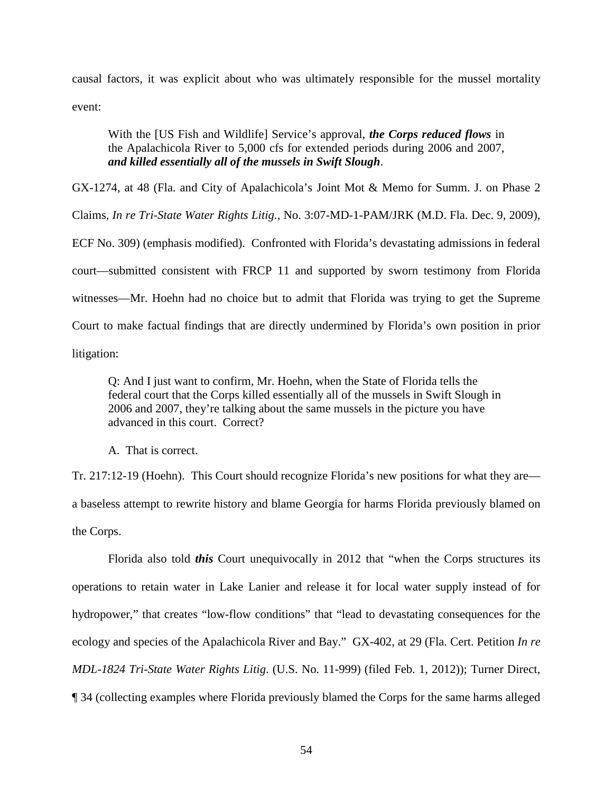causal factors, it was explicit about who was ultimately responsible for the mussel mortality event:

With the [US Fish and Wildlife] Service's approval, *the Corps reduced flows* in the Apalachicola River to 5,000 cfs for extended periods during 2006 and 2007, *and killed essentially all of the mussels in Swift Slough*.

GX-1274, at 48 (Fla. and City of Apalachicola's Joint Mot & Memo for Summ. J. on Phase 2

Claims, *In re Tri-State Water Rights Litig.*, No. 3:07-MD-1-PAM/JRK (M.D. Fla. Dec. 9, 2009),

ECF No. 309) (emphasis modified). Confronted with Florida's devastating admissions in federal court—submitted consistent with FRCP 11 and supported by sworn testimony from Florida witnesses—Mr. Hoehn had no choice but to admit that Florida was trying to get the Supreme Court to make factual findings that are directly undermined by Florida's own position in prior

litigation:

Q: And I just want to confirm, Mr. Hoehn, when the State of Florida tells the federal court that the Corps killed essentially all of the mussels in Swift Slough in 2006 and 2007, they're talking about the same mussels in the picture you have advanced in this court. Correct?

A. That is correct.

Tr. 217:12-19 (Hoehn). This Court should recognize Florida's new positions for what they are a baseless attempt to rewrite history and blame Georgia for harms Florida previously blamed on the Corps.

Florida also told *this* Court unequivocally in 2012 that "when the Corps structures its operations to retain water in Lake Lanier and release it for local water supply instead of for hydropower," that creates "low-flow conditions" that "lead to devastating consequences for the ecology and species of the Apalachicola River and Bay." GX-402, at 29 (Fla. Cert. Petition *In re MDL-1824 Tri-State Water Rights Litig*. (U.S. No. 11-999) (filed Feb. 1, 2012)); Turner Direct, ¶ 34 (collecting examples where Florida previously blamed the Corps for the same harms alleged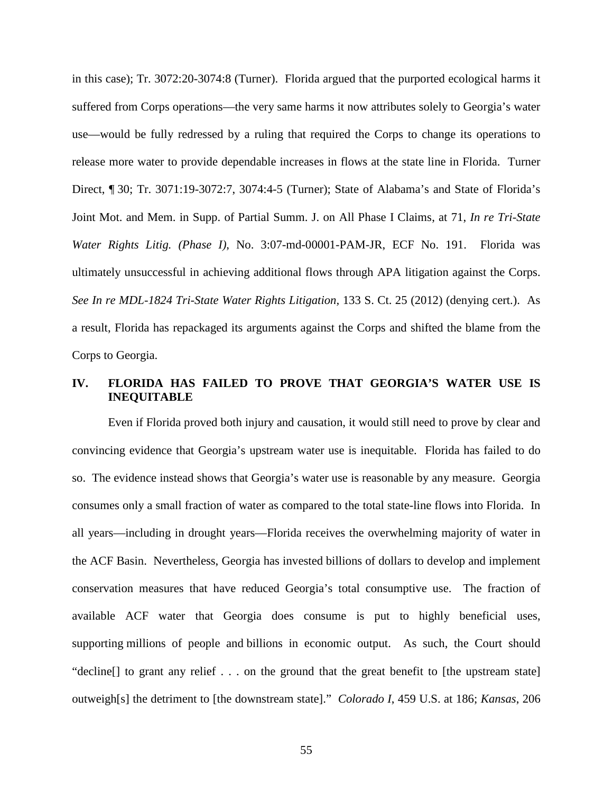in this case); Tr. 3072:20-3074:8 (Turner). Florida argued that the purported ecological harms it suffered from Corps operations—the very same harms it now attributes solely to Georgia's water use—would be fully redressed by a ruling that required the Corps to change its operations to release more water to provide dependable increases in flows at the state line in Florida. Turner Direct, ¶ 30; Tr. 3071:19-3072:7, 3074:4-5 (Turner); State of Alabama's and State of Florida's Joint Mot. and Mem. in Supp. of Partial Summ. J. on All Phase I Claims, at 71, *In re Tri-State Water Rights Litig. (Phase I)*, No. 3:07-md-00001-PAM-JR, ECF No. 191. Florida was ultimately unsuccessful in achieving additional flows through APA litigation against the Corps. *See In re MDL-1824 Tri-State Water Rights Litigation,* 133 S. Ct. 25 (2012) (denying cert.). As a result, Florida has repackaged its arguments against the Corps and shifted the blame from the Corps to Georgia.

## **IV. FLORIDA HAS FAILED TO PROVE THAT GEORGIA'S WATER USE IS INEQUITABLE**

Even if Florida proved both injury and causation, it would still need to prove by clear and convincing evidence that Georgia's upstream water use is inequitable. Florida has failed to do so. The evidence instead shows that Georgia's water use is reasonable by any measure. Georgia consumes only a small fraction of water as compared to the total state-line flows into Florida. In all years—including in drought years—Florida receives the overwhelming majority of water in the ACF Basin. Nevertheless, Georgia has invested billions of dollars to develop and implement conservation measures that have reduced Georgia's total consumptive use. The fraction of available ACF water that Georgia does consume is put to highly beneficial uses, supporting millions of people and billions in economic output. As such, the Court should "decline[] to grant any relief . . . on the ground that the great benefit to [the upstream state] outweigh[s] the detriment to [the downstream state]." *Colorado I*, 459 U.S. at 186; *Kansas*, 206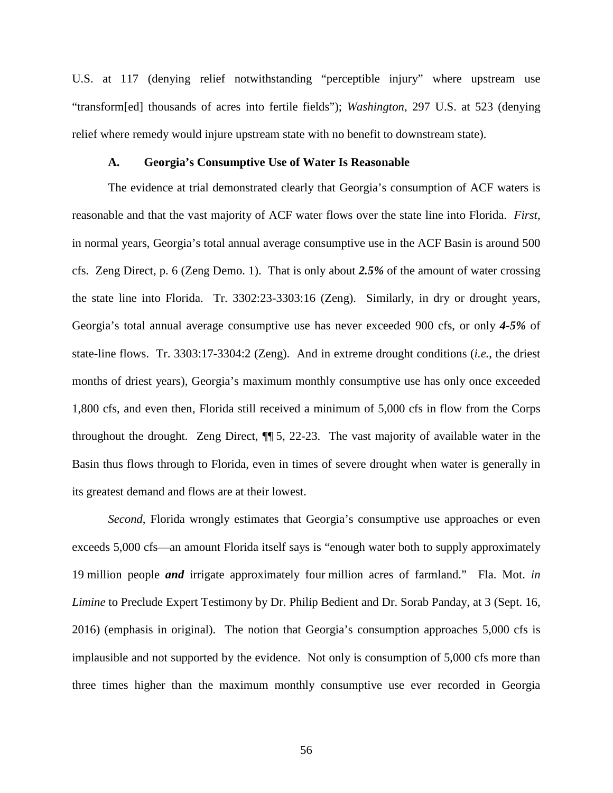U.S. at 117 (denying relief notwithstanding "perceptible injury" where upstream use "transform[ed] thousands of acres into fertile fields"); *Washington*, 297 U.S. at 523 (denying relief where remedy would injure upstream state with no benefit to downstream state).

#### **A. Georgia's Consumptive Use of Water Is Reasonable**

The evidence at trial demonstrated clearly that Georgia's consumption of ACF waters is reasonable and that the vast majority of ACF water flows over the state line into Florida. *First*, in normal years, Georgia's total annual average consumptive use in the ACF Basin is around 500 cfs. Zeng Direct, p. 6 (Zeng Demo. 1). That is only about *2.5%* of the amount of water crossing the state line into Florida. Tr. 3302:23-3303:16 (Zeng). Similarly, in dry or drought years, Georgia's total annual average consumptive use has never exceeded 900 cfs, or only *4-5%* of state-line flows. Tr. 3303:17-3304:2 (Zeng). And in extreme drought conditions (*i.e.*, the driest months of driest years), Georgia's maximum monthly consumptive use has only once exceeded 1,800 cfs, and even then, Florida still received a minimum of 5,000 cfs in flow from the Corps throughout the drought. Zeng Direct, ¶¶ 5, 22-23. The vast majority of available water in the Basin thus flows through to Florida, even in times of severe drought when water is generally in its greatest demand and flows are at their lowest.

*Second*, Florida wrongly estimates that Georgia's consumptive use approaches or even exceeds 5,000 cfs—an amount Florida itself says is "enough water both to supply approximately 19 million people *and* irrigate approximately four million acres of farmland." Fla. Mot. *in Limine* to Preclude Expert Testimony by Dr. Philip Bedient and Dr. Sorab Panday, at 3 (Sept. 16, 2016) (emphasis in original). The notion that Georgia's consumption approaches 5,000 cfs is implausible and not supported by the evidence. Not only is consumption of 5,000 cfs more than three times higher than the maximum monthly consumptive use ever recorded in Georgia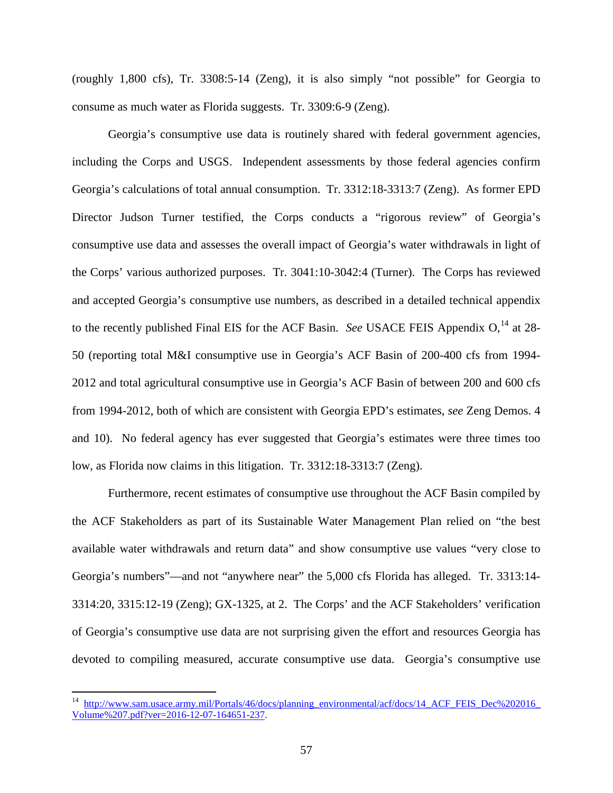(roughly 1,800 cfs), Tr. 3308:5-14 (Zeng), it is also simply "not possible" for Georgia to consume as much water as Florida suggests. Tr. 3309:6-9 (Zeng).

Georgia's consumptive use data is routinely shared with federal government agencies, including the Corps and USGS. Independent assessments by those federal agencies confirm Georgia's calculations of total annual consumption. Tr. 3312:18-3313:7 (Zeng). As former EPD Director Judson Turner testified, the Corps conducts a "rigorous review" of Georgia's consumptive use data and assesses the overall impact of Georgia's water withdrawals in light of the Corps' various authorized purposes. Tr. 3041:10-3042:4 (Turner). The Corps has reviewed and accepted Georgia's consumptive use numbers, as described in a detailed technical appendix to the recently published Final EIS for the ACF Basin. *See USACE FEIS Appendix*  $O<sub>14</sub>$  $O<sub>14</sub>$  $O<sub>14</sub>$  *at 28*-50 (reporting total M&I consumptive use in Georgia's ACF Basin of 200-400 cfs from 1994- 2012 and total agricultural consumptive use in Georgia's ACF Basin of between 200 and 600 cfs from 1994-2012, both of which are consistent with Georgia EPD's estimates, *see* Zeng Demos. 4 and 10). No federal agency has ever suggested that Georgia's estimates were three times too low, as Florida now claims in this litigation. Tr. 3312:18-3313:7 (Zeng).

Furthermore, recent estimates of consumptive use throughout the ACF Basin compiled by the ACF Stakeholders as part of its Sustainable Water Management Plan relied on "the best available water withdrawals and return data" and show consumptive use values "very close to Georgia's numbers"—and not "anywhere near" the 5,000 cfs Florida has alleged. Tr. 3313:14- 3314:20, 3315:12-19 (Zeng); GX-1325, at 2. The Corps' and the ACF Stakeholders' verification of Georgia's consumptive use data are not surprising given the effort and resources Georgia has devoted to compiling measured, accurate consumptive use data. Georgia's consumptive use

<span id="page-62-0"></span>http://www.sam.usace.army.mil/Portals/46/docs/planning\_environmental/acf/docs/14\_ACF\_FEIS\_Dec%202016 [Volume%207.pdf?ver=2016-12-07-164651-237.](http://www.sam.usace.army.mil/Portals/46/docs/planning_environmental/acf/docs/14_ACF_FEIS_Dec%202016_Volume%207.pdf?ver=2016-12-07-164651-237)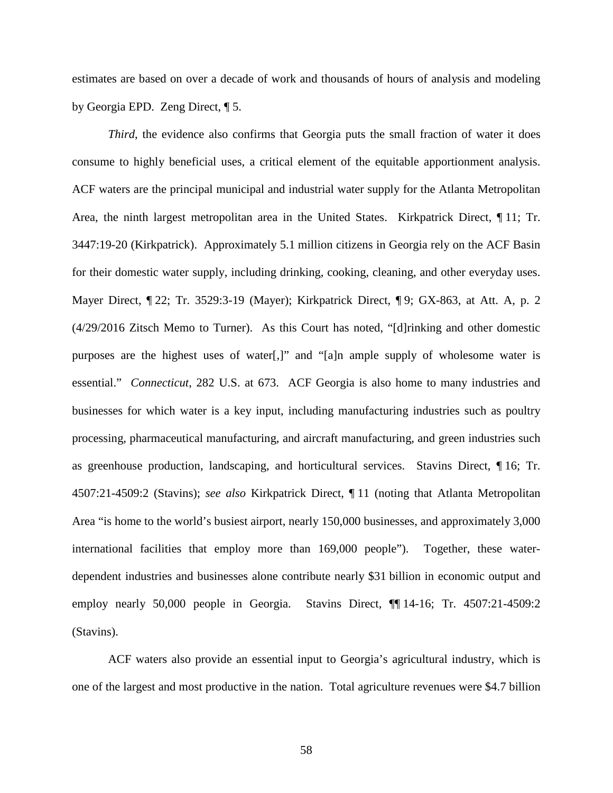estimates are based on over a decade of work and thousands of hours of analysis and modeling by Georgia EPD. Zeng Direct, ¶ 5.

*Third*, the evidence also confirms that Georgia puts the small fraction of water it does consume to highly beneficial uses, a critical element of the equitable apportionment analysis. ACF waters are the principal municipal and industrial water supply for the Atlanta Metropolitan Area, the ninth largest metropolitan area in the United States. Kirkpatrick Direct, ¶ 11; Tr. 3447:19-20 (Kirkpatrick). Approximately 5.1 million citizens in Georgia rely on the ACF Basin for their domestic water supply, including drinking, cooking, cleaning, and other everyday uses. Mayer Direct, ¶ 22; Tr. 3529:3-19 (Mayer); Kirkpatrick Direct, ¶ 9; GX-863, at Att. A, p. 2 (4/29/2016 Zitsch Memo to Turner). As this Court has noted, "[d]rinking and other domestic purposes are the highest uses of water[,]" and "[a]n ample supply of wholesome water is essential." *Connecticut*, 282 U.S. at 673. ACF Georgia is also home to many industries and businesses for which water is a key input, including manufacturing industries such as poultry processing, pharmaceutical manufacturing, and aircraft manufacturing, and green industries such as greenhouse production, landscaping, and horticultural services. Stavins Direct, ¶ 16; Tr. 4507:21-4509:2 (Stavins); *see also* Kirkpatrick Direct, ¶ 11 (noting that Atlanta Metropolitan Area "is home to the world's busiest airport, nearly 150,000 businesses, and approximately 3,000 international facilities that employ more than 169,000 people"). Together, these waterdependent industries and businesses alone contribute nearly \$31 billion in economic output and employ nearly 50,000 people in Georgia. Stavins Direct, ¶¶ 14-16; Tr. 4507:21-4509:2 (Stavins).

ACF waters also provide an essential input to Georgia's agricultural industry, which is one of the largest and most productive in the nation. Total agriculture revenues were \$4.7 billion

58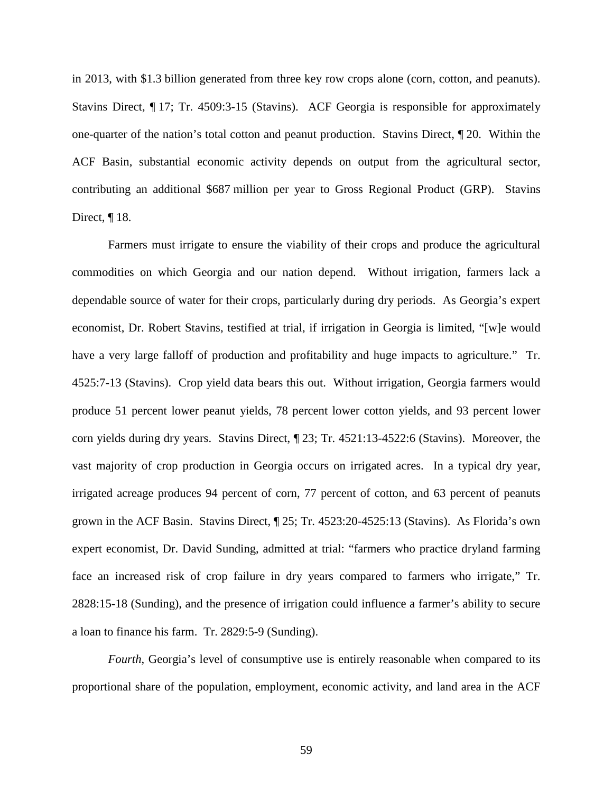in 2013, with \$1.3 billion generated from three key row crops alone (corn, cotton, and peanuts). Stavins Direct, ¶ 17; Tr. 4509:3-15 (Stavins). ACF Georgia is responsible for approximately one-quarter of the nation's total cotton and peanut production. Stavins Direct, ¶ 20. Within the ACF Basin, substantial economic activity depends on output from the agricultural sector, contributing an additional \$687 million per year to Gross Regional Product (GRP). Stavins Direct, ¶ 18.

Farmers must irrigate to ensure the viability of their crops and produce the agricultural commodities on which Georgia and our nation depend. Without irrigation, farmers lack a dependable source of water for their crops, particularly during dry periods. As Georgia's expert economist, Dr. Robert Stavins, testified at trial, if irrigation in Georgia is limited, "[w]e would have a very large falloff of production and profitability and huge impacts to agriculture." Tr. 4525:7-13 (Stavins). Crop yield data bears this out. Without irrigation, Georgia farmers would produce 51 percent lower peanut yields, 78 percent lower cotton yields, and 93 percent lower corn yields during dry years. Stavins Direct, ¶ 23; Tr. 4521:13-4522:6 (Stavins). Moreover, the vast majority of crop production in Georgia occurs on irrigated acres. In a typical dry year, irrigated acreage produces 94 percent of corn, 77 percent of cotton, and 63 percent of peanuts grown in the ACF Basin. Stavins Direct, ¶ 25; Tr. 4523:20-4525:13 (Stavins). As Florida's own expert economist, Dr. David Sunding, admitted at trial: "farmers who practice dryland farming face an increased risk of crop failure in dry years compared to farmers who irrigate," Tr. 2828:15-18 (Sunding), and the presence of irrigation could influence a farmer's ability to secure a loan to finance his farm. Tr. 2829:5-9 (Sunding).

*Fourth*, Georgia's level of consumptive use is entirely reasonable when compared to its proportional share of the population, employment, economic activity, and land area in the ACF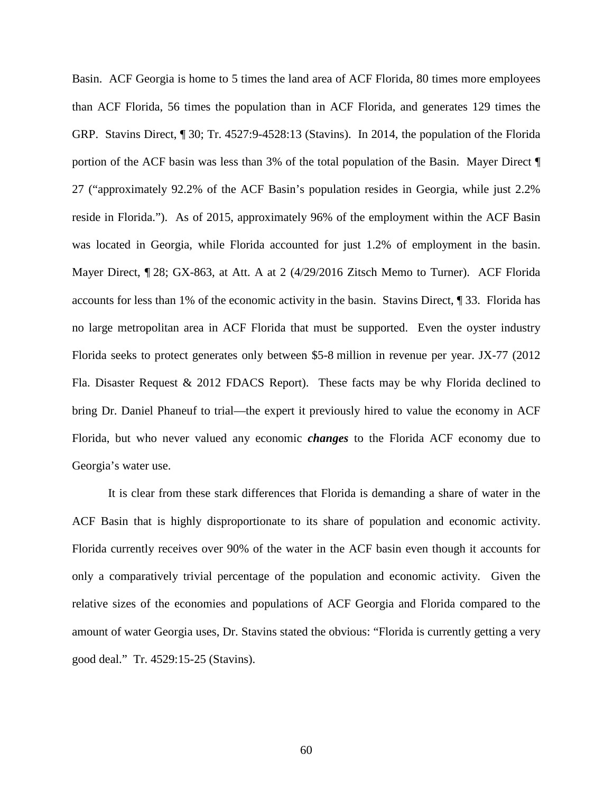Basin. ACF Georgia is home to 5 times the land area of ACF Florida, 80 times more employees than ACF Florida, 56 times the population than in ACF Florida, and generates 129 times the GRP. Stavins Direct, ¶ 30; Tr. 4527:9-4528:13 (Stavins). In 2014, the population of the Florida portion of the ACF basin was less than 3% of the total population of the Basin. Mayer Direct ¶ 27 ("approximately 92.2% of the ACF Basin's population resides in Georgia, while just 2.2% reside in Florida."). As of 2015, approximately 96% of the employment within the ACF Basin was located in Georgia, while Florida accounted for just 1.2% of employment in the basin. Mayer Direct, ¶ 28; GX-863, at Att. A at 2 (4/29/2016 Zitsch Memo to Turner). ACF Florida accounts for less than 1% of the economic activity in the basin. Stavins Direct, ¶ 33. Florida has no large metropolitan area in ACF Florida that must be supported. Even the oyster industry Florida seeks to protect generates only between \$5-8 million in revenue per year. JX-77 (2012 Fla. Disaster Request & 2012 FDACS Report). These facts may be why Florida declined to bring Dr. Daniel Phaneuf to trial—the expert it previously hired to value the economy in ACF Florida, but who never valued any economic *changes* to the Florida ACF economy due to Georgia's water use.

It is clear from these stark differences that Florida is demanding a share of water in the ACF Basin that is highly disproportionate to its share of population and economic activity. Florida currently receives over 90% of the water in the ACF basin even though it accounts for only a comparatively trivial percentage of the population and economic activity. Given the relative sizes of the economies and populations of ACF Georgia and Florida compared to the amount of water Georgia uses, Dr. Stavins stated the obvious: "Florida is currently getting a very good deal." Tr. 4529:15-25 (Stavins).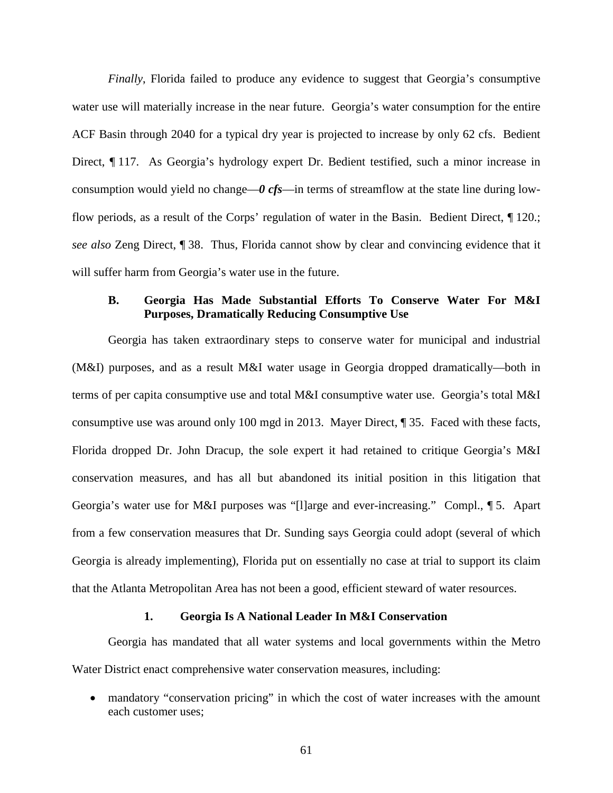*Finally*, Florida failed to produce any evidence to suggest that Georgia's consumptive water use will materially increase in the near future. Georgia's water consumption for the entire ACF Basin through 2040 for a typical dry year is projected to increase by only 62 cfs. Bedient Direct, ¶ 117. As Georgia's hydrology expert Dr. Bedient testified, such a minor increase in consumption would yield no change—*0 cfs*—in terms of streamflow at the state line during lowflow periods, as a result of the Corps' regulation of water in the Basin. Bedient Direct, ¶ 120.; *see also* Zeng Direct, ¶ 38. Thus, Florida cannot show by clear and convincing evidence that it will suffer harm from Georgia's water use in the future.

## **B. Georgia Has Made Substantial Efforts To Conserve Water For M&I Purposes, Dramatically Reducing Consumptive Use**

Georgia has taken extraordinary steps to conserve water for municipal and industrial (M&I) purposes, and as a result M&I water usage in Georgia dropped dramatically—both in terms of per capita consumptive use and total M&I consumptive water use. Georgia's total M&I consumptive use was around only 100 mgd in 2013. Mayer Direct, ¶ 35. Faced with these facts, Florida dropped Dr. John Dracup, the sole expert it had retained to critique Georgia's M&I conservation measures, and has all but abandoned its initial position in this litigation that Georgia's water use for M&I purposes was "[l]arge and ever-increasing." Compl., ¶ 5. Apart from a few conservation measures that Dr. Sunding says Georgia could adopt (several of which Georgia is already implementing), Florida put on essentially no case at trial to support its claim that the Atlanta Metropolitan Area has not been a good, efficient steward of water resources.

#### **1. Georgia Is A National Leader In M&I Conservation**

Georgia has mandated that all water systems and local governments within the Metro Water District enact comprehensive water conservation measures, including:

• mandatory "conservation pricing" in which the cost of water increases with the amount each customer uses;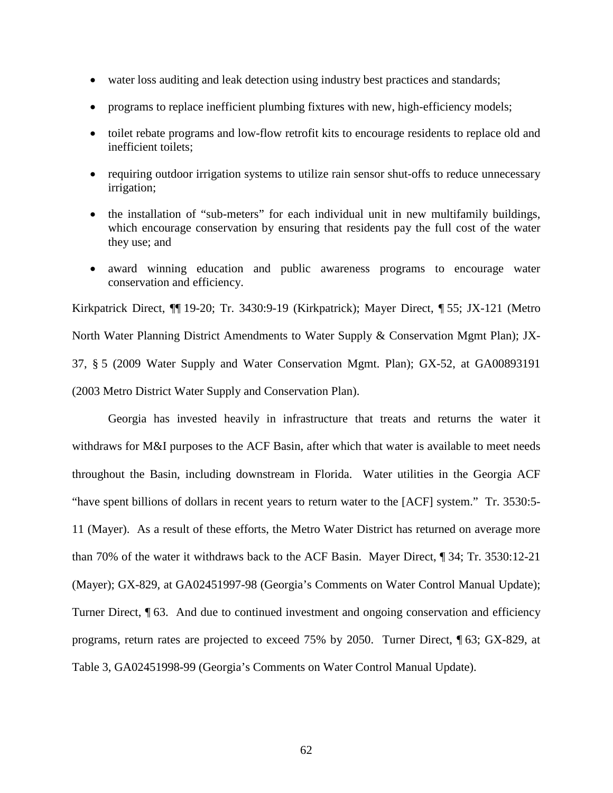- water loss auditing and leak detection using industry best practices and standards;
- programs to replace inefficient plumbing fixtures with new, high-efficiency models;
- toilet rebate programs and low-flow retrofit kits to encourage residents to replace old and inefficient toilets;
- requiring outdoor irrigation systems to utilize rain sensor shut-offs to reduce unnecessary irrigation;
- the installation of "sub-meters" for each individual unit in new multifamily buildings, which encourage conservation by ensuring that residents pay the full cost of the water they use; and
- award winning education and public awareness programs to encourage water conservation and efficiency.

Kirkpatrick Direct, ¶¶ 19-20; Tr. 3430:9-19 (Kirkpatrick); Mayer Direct, ¶ 55; JX-121 (Metro North Water Planning District Amendments to Water Supply & Conservation Mgmt Plan); JX-37, § 5 (2009 Water Supply and Water Conservation Mgmt. Plan); GX-52, at GA00893191 (2003 Metro District Water Supply and Conservation Plan).

Georgia has invested heavily in infrastructure that treats and returns the water it withdraws for M&I purposes to the ACF Basin, after which that water is available to meet needs throughout the Basin, including downstream in Florida. Water utilities in the Georgia ACF "have spent billions of dollars in recent years to return water to the [ACF] system." Tr. 3530:5- 11 (Mayer). As a result of these efforts, the Metro Water District has returned on average more than 70% of the water it withdraws back to the ACF Basin. Mayer Direct, ¶ 34; Tr. 3530:12-21 (Mayer); GX-829, at GA02451997-98 (Georgia's Comments on Water Control Manual Update); Turner Direct, ¶ 63. And due to continued investment and ongoing conservation and efficiency programs, return rates are projected to exceed 75% by 2050. Turner Direct, ¶ 63; GX-829, at Table 3, GA02451998-99 (Georgia's Comments on Water Control Manual Update).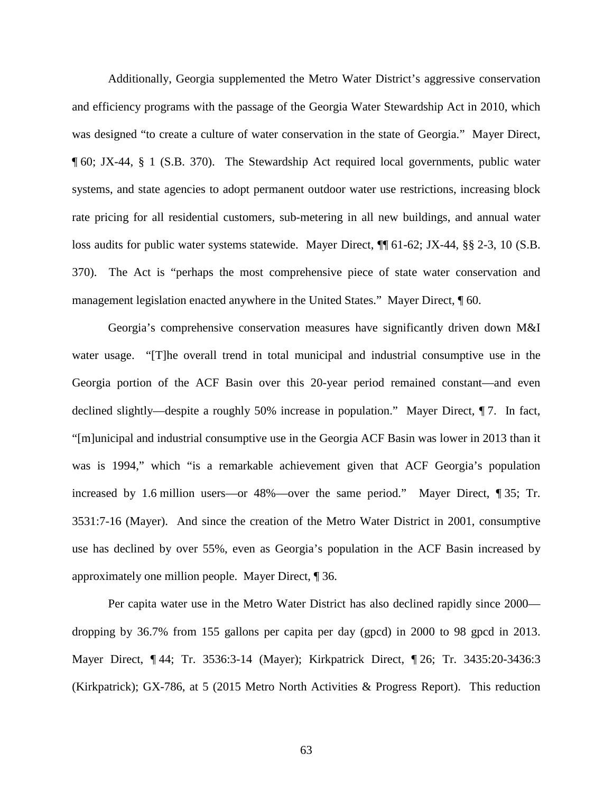Additionally, Georgia supplemented the Metro Water District's aggressive conservation and efficiency programs with the passage of the Georgia Water Stewardship Act in 2010, which was designed "to create a culture of water conservation in the state of Georgia." Mayer Direct, ¶ 60; JX-44, § 1 (S.B. 370). The Stewardship Act required local governments, public water systems, and state agencies to adopt permanent outdoor water use restrictions, increasing block rate pricing for all residential customers, sub-metering in all new buildings, and annual water loss audits for public water systems statewide. Mayer Direct, ¶[ 61-62; JX-44, §§ 2-3, 10 (S.B. 370).The Act is "perhaps the most comprehensive piece of state water conservation and management legislation enacted anywhere in the United States." Mayer Direct, ¶ 60.

Georgia's comprehensive conservation measures have significantly driven down M&I water usage. "[T]he overall trend in total municipal and industrial consumptive use in the Georgia portion of the ACF Basin over this 20-year period remained constant—and even declined slightly—despite a roughly 50% increase in population." Mayer Direct, ¶ 7. In fact, "[m]unicipal and industrial consumptive use in the Georgia ACF Basin was lower in 2013 than it was is 1994," which "is a remarkable achievement given that ACF Georgia's population increased by 1.6 million users—or 48%—over the same period." Mayer Direct, ¶ 35; Tr. 3531:7-16 (Mayer). And since the creation of the Metro Water District in 2001, consumptive use has declined by over 55%, even as Georgia's population in the ACF Basin increased by approximately one million people. Mayer Direct, ¶ 36.

Per capita water use in the Metro Water District has also declined rapidly since 2000 dropping by 36.7% from 155 gallons per capita per day (gpcd) in 2000 to 98 gpcd in 2013. Mayer Direct, ¶ 44; Tr. 3536:3-14 (Mayer); Kirkpatrick Direct, ¶ 26; Tr. 3435:20-3436:3 (Kirkpatrick); GX-786, at 5 (2015 Metro North Activities & Progress Report). This reduction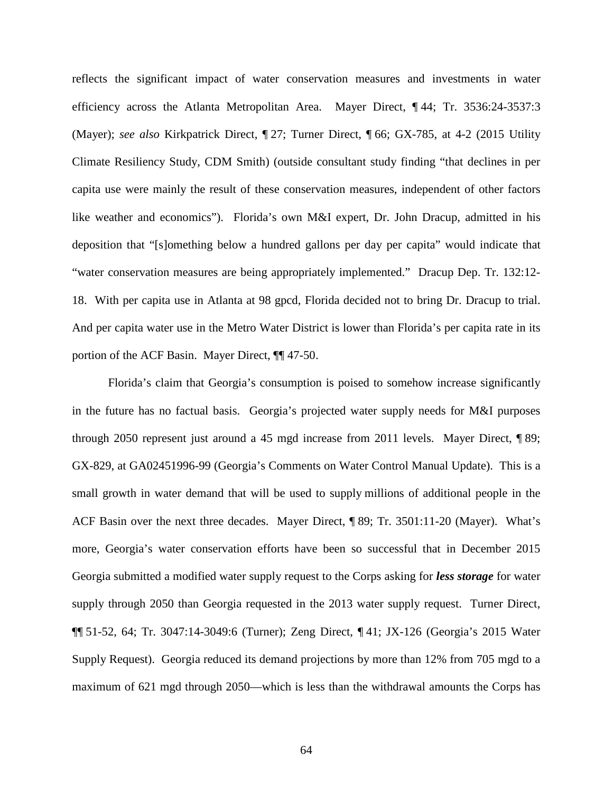reflects the significant impact of water conservation measures and investments in water efficiency across the Atlanta Metropolitan Area. Mayer Direct, ¶ 44; Tr. 3536:24-3537:3 (Mayer); *see also* Kirkpatrick Direct, ¶ 27; Turner Direct, ¶ 66; GX-785, at 4-2 (2015 Utility Climate Resiliency Study, CDM Smith) (outside consultant study finding "that declines in per capita use were mainly the result of these conservation measures, independent of other factors like weather and economics"). Florida's own M&I expert, Dr. John Dracup, admitted in his deposition that "[s]omething below a hundred gallons per day per capita" would indicate that "water conservation measures are being appropriately implemented." Dracup Dep. Tr. 132:12- 18. With per capita use in Atlanta at 98 gpcd, Florida decided not to bring Dr. Dracup to trial. And per capita water use in the Metro Water District is lower than Florida's per capita rate in its portion of the ACF Basin. Mayer Direct, ¶¶ 47-50.

Florida's claim that Georgia's consumption is poised to somehow increase significantly in the future has no factual basis. Georgia's projected water supply needs for M&I purposes through 2050 represent just around a 45 mgd increase from 2011 levels. Mayer Direct, ¶ 89; GX-829, at GA02451996-99 (Georgia's Comments on Water Control Manual Update). This is a small growth in water demand that will be used to supply millions of additional people in the ACF Basin over the next three decades. Mayer Direct, ¶ 89; Tr. 3501:11-20 (Mayer). What's more, Georgia's water conservation efforts have been so successful that in December 2015 Georgia submitted a modified water supply request to the Corps asking for *less storage* for water supply through 2050 than Georgia requested in the 2013 water supply request. Turner Direct, ¶¶ 51-52, 64; Tr. 3047:14-3049:6 (Turner); Zeng Direct, ¶ 41; JX-126 (Georgia's 2015 Water Supply Request). Georgia reduced its demand projections by more than 12% from 705 mgd to a maximum of 621 mgd through 2050—which is less than the withdrawal amounts the Corps has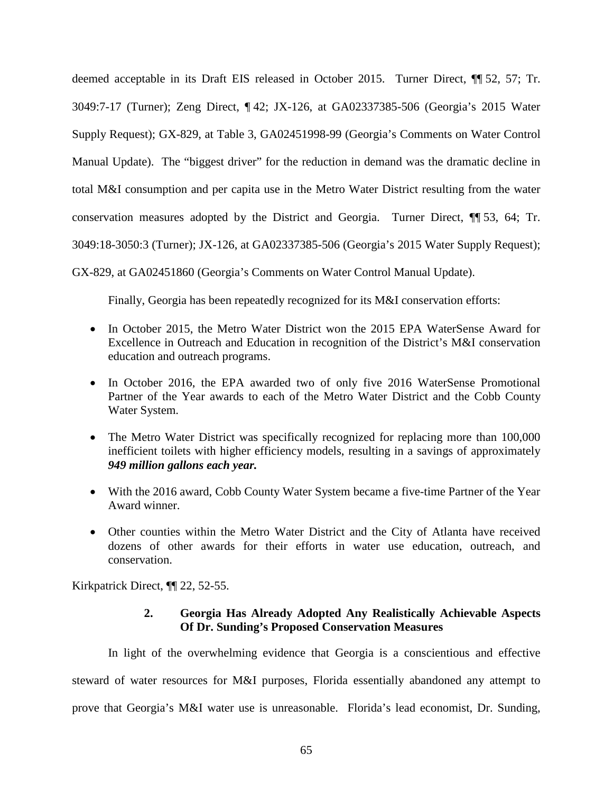deemed acceptable in its Draft EIS released in October 2015. Turner Direct, ¶¶ 52, 57; Tr. 3049:7-17 (Turner); Zeng Direct, ¶ 42; JX-126, at GA02337385-506 (Georgia's 2015 Water Supply Request); GX-829, at Table 3, GA02451998-99 (Georgia's Comments on Water Control Manual Update). The "biggest driver" for the reduction in demand was the dramatic decline in total M&I consumption and per capita use in the Metro Water District resulting from the water conservation measures adopted by the District and Georgia. Turner Direct, ¶¶ 53, 64; Tr. 3049:18-3050:3 (Turner); JX-126, at GA02337385-506 (Georgia's 2015 Water Supply Request);

GX-829, at GA02451860 (Georgia's Comments on Water Control Manual Update).

Finally, Georgia has been repeatedly recognized for its M&I conservation efforts:

- In October 2015, the Metro Water District won the 2015 EPA WaterSense Award for Excellence in Outreach and Education in recognition of the District's M&I conservation education and outreach programs.
- In October 2016, the EPA awarded two of only five 2016 WaterSense Promotional Partner of the Year awards to each of the Metro Water District and the Cobb County Water System.
- The Metro Water District was specifically recognized for replacing more than 100,000 inefficient toilets with higher efficiency models, resulting in a savings of approximately *949 million gallons each year.*
- With the 2016 award, Cobb County Water System became a five-time Partner of the Year Award winner.
- Other counties within the Metro Water District and the City of Atlanta have received dozens of other awards for their efforts in water use education, outreach, and conservation.

Kirkpatrick Direct, ¶¶ 22, 52-55.

# **2. Georgia Has Already Adopted Any Realistically Achievable Aspects Of Dr. Sunding's Proposed Conservation Measures**

In light of the overwhelming evidence that Georgia is a conscientious and effective steward of water resources for M&I purposes, Florida essentially abandoned any attempt to prove that Georgia's M&I water use is unreasonable. Florida's lead economist, Dr. Sunding,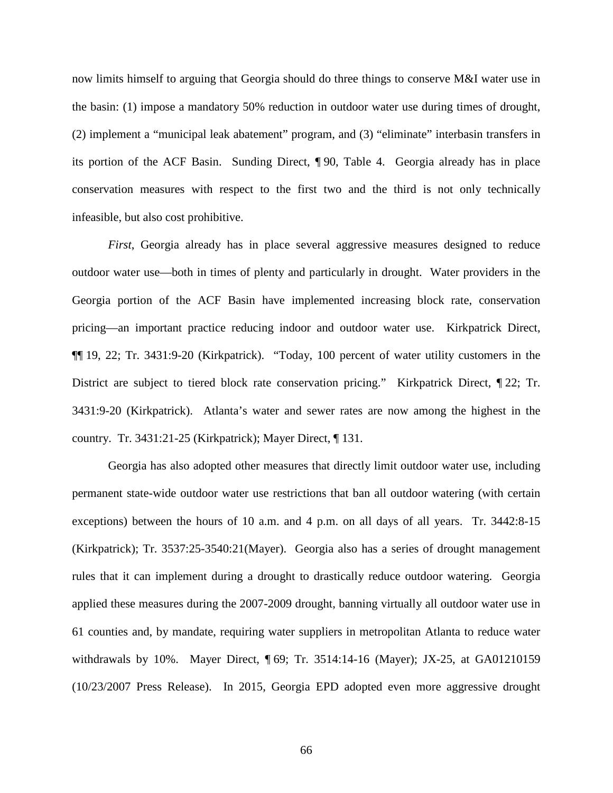now limits himself to arguing that Georgia should do three things to conserve M&I water use in the basin: (1) impose a mandatory 50% reduction in outdoor water use during times of drought, (2) implement a "municipal leak abatement" program, and (3) "eliminate" interbasin transfers in its portion of the ACF Basin. Sunding Direct, ¶ 90, Table 4. Georgia already has in place conservation measures with respect to the first two and the third is not only technically infeasible, but also cost prohibitive.

*First*, Georgia already has in place several aggressive measures designed to reduce outdoor water use—both in times of plenty and particularly in drought. Water providers in the Georgia portion of the ACF Basin have implemented increasing block rate, conservation pricing—an important practice reducing indoor and outdoor water use. Kirkpatrick Direct, ¶¶ 19, 22; Tr. 3431:9-20 (Kirkpatrick). "Today, 100 percent of water utility customers in the District are subject to tiered block rate conservation pricing." Kirkpatrick Direct,  $\P$  22; Tr. 3431:9-20 (Kirkpatrick). Atlanta's water and sewer rates are now among the highest in the country. Tr. 3431:21-25 (Kirkpatrick); Mayer Direct, ¶ 131.

Georgia has also adopted other measures that directly limit outdoor water use, including permanent state-wide outdoor water use restrictions that ban all outdoor watering (with certain exceptions) between the hours of 10 a.m. and 4 p.m. on all days of all years. Tr. 3442:8-15 (Kirkpatrick); Tr. 3537:25-3540:21(Mayer). Georgia also has a series of drought management rules that it can implement during a drought to drastically reduce outdoor watering. Georgia applied these measures during the 2007-2009 drought, banning virtually all outdoor water use in 61 counties and, by mandate, requiring water suppliers in metropolitan Atlanta to reduce water withdrawals by 10%. Mayer Direct, ¶ 69; Tr. 3514:14-16 (Mayer); JX-25, at GA01210159 (10/23/2007 Press Release). In 2015, Georgia EPD adopted even more aggressive drought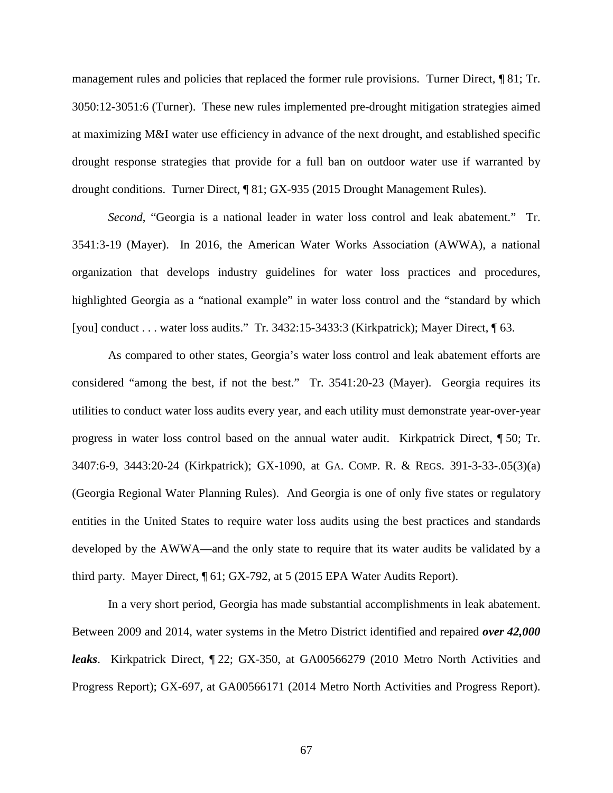management rules and policies that replaced the former rule provisions. Turner Direct, ¶ 81; Tr. 3050:12-3051:6 (Turner). These new rules implemented pre-drought mitigation strategies aimed at maximizing M&I water use efficiency in advance of the next drought, and established specific drought response strategies that provide for a full ban on outdoor water use if warranted by drought conditions. Turner Direct, ¶ 81; GX-935 (2015 Drought Management Rules).

*Second*, "Georgia is a national leader in water loss control and leak abatement." Tr. 3541:3-19 (Mayer).In 2016, the American Water Works Association (AWWA), a national organization that develops industry guidelines for water loss practices and procedures, highlighted Georgia as a "national example" in water loss control and the "standard by which [you] conduct . . . water loss audits." Tr. 3432:15-3433:3 (Kirkpatrick); Mayer Direct, ¶ 63.

As compared to other states, Georgia's water loss control and leak abatement efforts are considered "among the best, if not the best." Tr. 3541:20-23 (Mayer). Georgia requires its utilities to conduct water loss audits every year, and each utility must demonstrate year-over-year progress in water loss control based on the annual water audit. Kirkpatrick Direct, ¶ 50; Tr. 3407:6-9, 3443:20-24 (Kirkpatrick); GX-1090, at GA. COMP. R. & REGS. 391-3-33-.05(3)(a) (Georgia Regional Water Planning Rules). And Georgia is one of only five states or regulatory entities in the United States to require water loss audits using the best practices and standards developed by the AWWA—and the only state to require that its water audits be validated by a third party. Mayer Direct, ¶ 61; GX-792, at 5 (2015 EPA Water Audits Report).

In a very short period, Georgia has made substantial accomplishments in leak abatement. Between 2009 and 2014, water systems in the Metro District identified and repaired *over 42,000 leaks*. Kirkpatrick Direct, ¶ 22; GX-350, at GA00566279 (2010 Metro North Activities and Progress Report); GX-697, at GA00566171 (2014 Metro North Activities and Progress Report).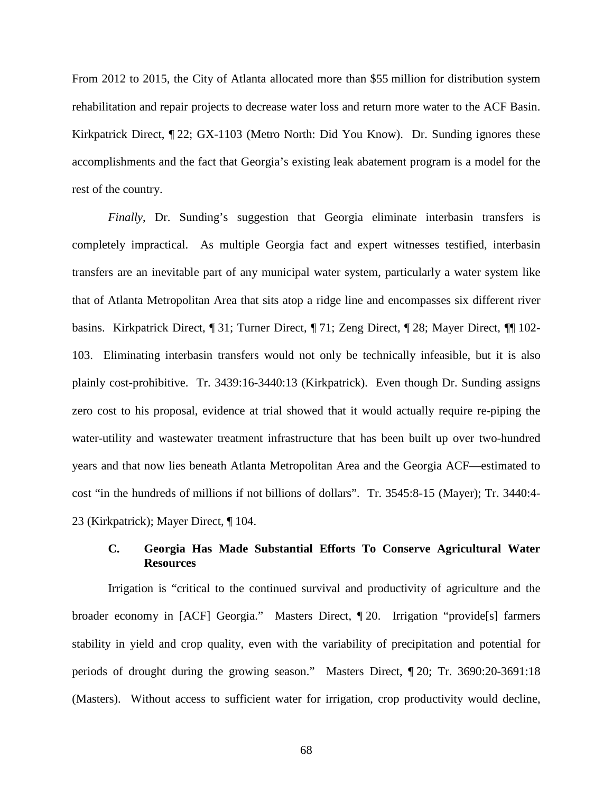From 2012 to 2015, the City of Atlanta allocated more than \$55 million for distribution system rehabilitation and repair projects to decrease water loss and return more water to the ACF Basin. Kirkpatrick Direct, ¶ 22; GX-1103 (Metro North: Did You Know). Dr. Sunding ignores these accomplishments and the fact that Georgia's existing leak abatement program is a model for the rest of the country.

*Finally*, Dr. Sunding's suggestion that Georgia eliminate interbasin transfers is completely impractical. As multiple Georgia fact and expert witnesses testified, interbasin transfers are an inevitable part of any municipal water system, particularly a water system like that of Atlanta Metropolitan Area that sits atop a ridge line and encompasses six different river basins. Kirkpatrick Direct, ¶ 31; Turner Direct, ¶ 71; Zeng Direct, ¶ 28; Mayer Direct, ¶¶ 102- 103. Eliminating interbasin transfers would not only be technically infeasible, but it is also plainly cost-prohibitive. Tr. 3439:16-3440:13 (Kirkpatrick). Even though Dr. Sunding assigns zero cost to his proposal, evidence at trial showed that it would actually require re-piping the water-utility and wastewater treatment infrastructure that has been built up over two-hundred years and that now lies beneath Atlanta Metropolitan Area and the Georgia ACF—estimated to cost "in the hundreds of millions if not billions of dollars". Tr. 3545:8-15 (Mayer); Tr. 3440:4- 23 (Kirkpatrick); Mayer Direct, ¶ 104.

## **C. Georgia Has Made Substantial Efforts To Conserve Agricultural Water Resources**

Irrigation is "critical to the continued survival and productivity of agriculture and the broader economy in [ACF] Georgia." Masters Direct, ¶ 20. Irrigation "provide[s] farmers stability in yield and crop quality, even with the variability of precipitation and potential for periods of drought during the growing season." Masters Direct, ¶ 20; Tr. 3690:20-3691:18 (Masters). Without access to sufficient water for irrigation, crop productivity would decline,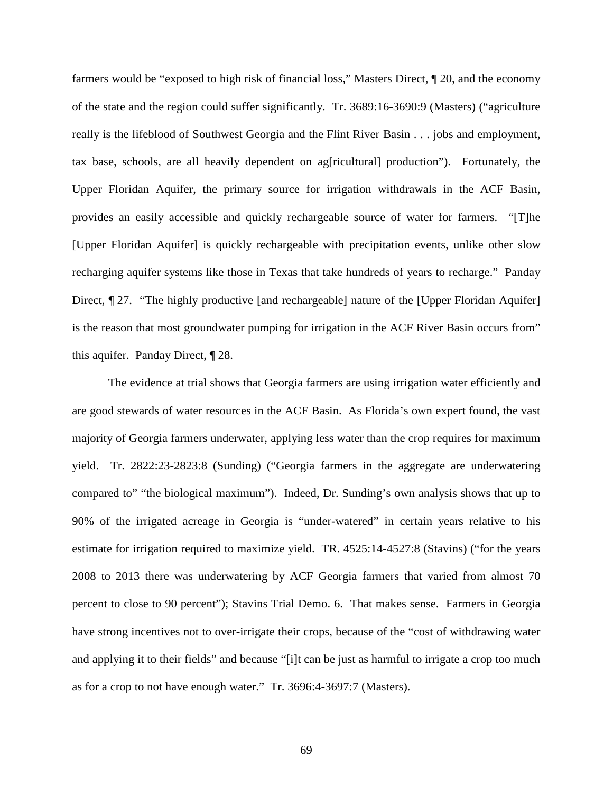farmers would be "exposed to high risk of financial loss," Masters Direct, ¶ 20, and the economy of the state and the region could suffer significantly. Tr. 3689:16-3690:9 (Masters) ("agriculture really is the lifeblood of Southwest Georgia and the Flint River Basin . . . jobs and employment, tax base, schools, are all heavily dependent on ag[ricultural] production"). Fortunately, the Upper Floridan Aquifer, the primary source for irrigation withdrawals in the ACF Basin, provides an easily accessible and quickly rechargeable source of water for farmers. "[T]he [Upper Floridan Aquifer] is quickly rechargeable with precipitation events, unlike other slow recharging aquifer systems like those in Texas that take hundreds of years to recharge." Panday Direct,  $\llbracket 27$ . "The highly productive [and rechargeable] nature of the [Upper Floridan Aquifer] is the reason that most groundwater pumping for irrigation in the ACF River Basin occurs from" this aquifer. Panday Direct, ¶ 28.

The evidence at trial shows that Georgia farmers are using irrigation water efficiently and are good stewards of water resources in the ACF Basin. As Florida's own expert found, the vast majority of Georgia farmers underwater, applying less water than the crop requires for maximum yield. Tr. 2822:23-2823:8 (Sunding) ("Georgia farmers in the aggregate are underwatering compared to" "the biological maximum"). Indeed, Dr. Sunding's own analysis shows that up to 90% of the irrigated acreage in Georgia is "under-watered" in certain years relative to his estimate for irrigation required to maximize yield. TR. 4525:14-4527:8 (Stavins) ("for the years 2008 to 2013 there was underwatering by ACF Georgia farmers that varied from almost 70 percent to close to 90 percent"); Stavins Trial Demo. 6. That makes sense. Farmers in Georgia have strong incentives not to over-irrigate their crops, because of the "cost of withdrawing water and applying it to their fields" and because "[i]t can be just as harmful to irrigate a crop too much as for a crop to not have enough water." Tr. 3696:4-3697:7 (Masters).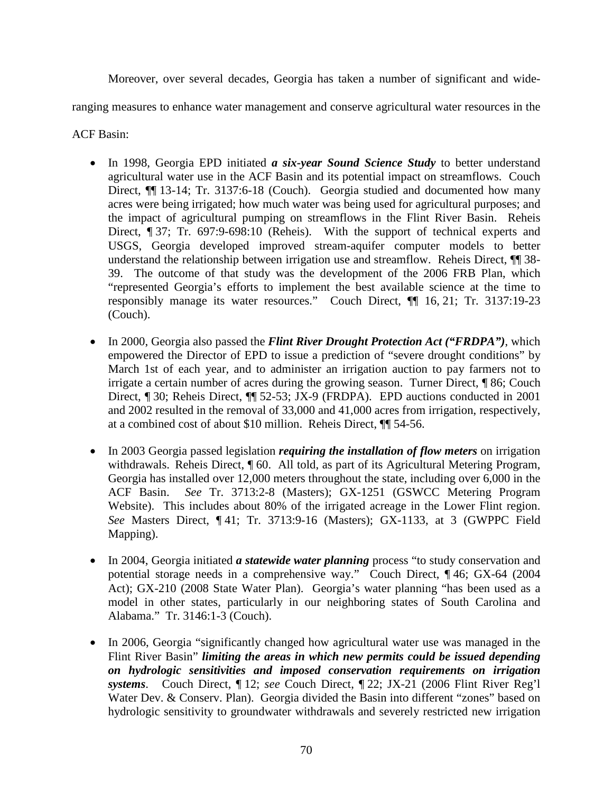Moreover, over several decades, Georgia has taken a number of significant and wide-

ranging measures to enhance water management and conserve agricultural water resources in the

ACF Basin:

- In 1998, Georgia EPD initiated *a six-year Sound Science Study* to better understand agricultural water use in the ACF Basin and its potential impact on streamflows. Couch Direct,  $\P$  13-14; Tr. 3137:6-18 (Couch). Georgia studied and documented how many acres were being irrigated; how much water was being used for agricultural purposes; and the impact of agricultural pumping on streamflows in the Flint River Basin. Reheis Direct, ¶ 37; Tr. 697:9-698:10 (Reheis). With the support of technical experts and USGS, Georgia developed improved stream-aquifer computer models to better understand the relationship between irrigation use and streamflow. Reheis Direct,  $\P$  38-39. The outcome of that study was the development of the 2006 FRB Plan, which "represented Georgia's efforts to implement the best available science at the time to responsibly manage its water resources." Couch Direct, ¶¶ 16, 21; Tr. 3137:19-23 (Couch).
- In 2000, Georgia also passed the *Flint River Drought Protection Act ("FRDPA")*, which empowered the Director of EPD to issue a prediction of "severe drought conditions" by March 1st of each year, and to administer an irrigation auction to pay farmers not to irrigate a certain number of acres during the growing season. Turner Direct, ¶ 86; Couch Direct, ¶ 30; Reheis Direct, ¶ 52-53; JX-9 (FRDPA). EPD auctions conducted in 2001 and 2002 resulted in the removal of 33,000 and 41,000 acres from irrigation, respectively, at a combined cost of about \$10 million. Reheis Direct, ¶¶ 54-56.
- In 2003 Georgia passed legislation *requiring the installation of flow meters* on irrigation withdrawals. Reheis Direct, ¶ 60. All told, as part of its Agricultural Metering Program, Georgia has installed over 12,000 meters throughout the state, including over 6,000 in the ACF Basin. *See* Tr. 3713:2-8 (Masters); GX-1251 (GSWCC Metering Program Website). This includes about 80% of the irrigated acreage in the Lower Flint region. *See* Masters Direct, ¶ 41; Tr. 3713:9-16 (Masters); GX-1133, at 3 (GWPPC Field Mapping).
- In 2004, Georgia initiated *a statewide water planning* process "to study conservation and potential storage needs in a comprehensive way." Couch Direct, ¶ 46; GX-64 (2004 Act); GX-210 (2008 State Water Plan). Georgia's water planning "has been used as a model in other states, particularly in our neighboring states of South Carolina and Alabama." Tr. 3146:1-3 (Couch).
- In 2006, Georgia "significantly changed how agricultural water use was managed in the Flint River Basin" *limiting the areas in which new permits could be issued depending on hydrologic sensitivities and imposed conservation requirements on irrigation systems*. Couch Direct, ¶ 12; *see* Couch Direct, ¶ 22; JX-21 (2006 Flint River Reg'l Water Dev. & Conserv. Plan). Georgia divided the Basin into different "zones" based on hydrologic sensitivity to groundwater withdrawals and severely restricted new irrigation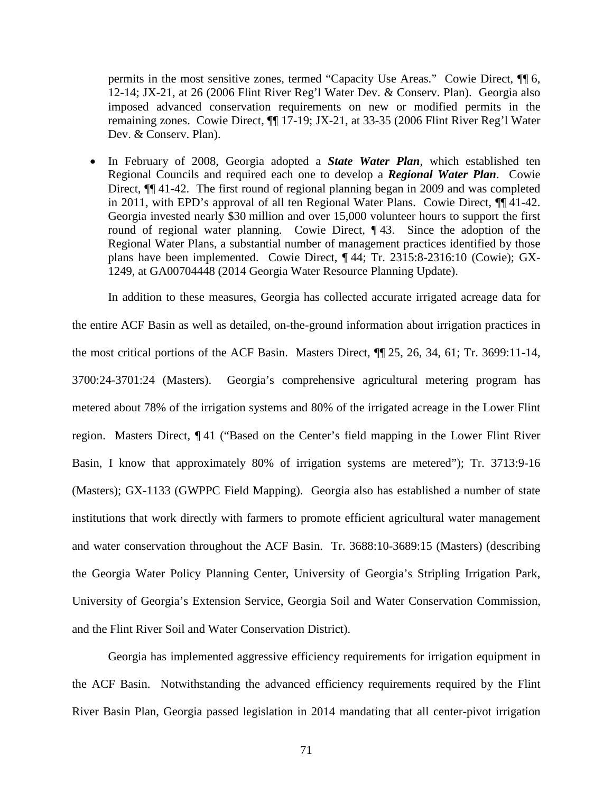permits in the most sensitive zones, termed "Capacity Use Areas." Cowie Direct, ¶¶ 6, 12-14; JX-21, at 26 (2006 Flint River Reg'l Water Dev. & Conserv. Plan). Georgia also imposed advanced conservation requirements on new or modified permits in the remaining zones. Cowie Direct, ¶¶ 17-19; JX-21, at 33-35 (2006 Flint River Reg'l Water Dev. & Conserv. Plan).

• In February of 2008, Georgia adopted a *State Water Plan*, which established ten Regional Councils and required each one to develop a *Regional Water Plan*. Cowie Direct,  $\P$  41-42. The first round of regional planning began in 2009 and was completed in 2011, with EPD's approval of all ten Regional Water Plans. Cowie Direct, ¶¶ 41-42. Georgia invested nearly \$30 million and over 15,000 volunteer hours to support the first round of regional water planning. Cowie Direct, ¶ 43. Since the adoption of the Regional Water Plans, a substantial number of management practices identified by those plans have been implemented. Cowie Direct, ¶ 44; Tr. 2315:8-2316:10 (Cowie); GX-1249, at GA00704448 (2014 Georgia Water Resource Planning Update).

In addition to these measures, Georgia has collected accurate irrigated acreage data for the entire ACF Basin as well as detailed, on-the-ground information about irrigation practices in the most critical portions of the ACF Basin. Masters Direct, ¶¶ 25, 26, 34, 61; Tr. 3699:11-14, 3700:24-3701:24 (Masters). Georgia's comprehensive agricultural metering program has metered about 78% of the irrigation systems and 80% of the irrigated acreage in the Lower Flint region. Masters Direct, ¶ 41 ("Based on the Center's field mapping in the Lower Flint River Basin, I know that approximately 80% of irrigation systems are metered"); Tr. 3713:9-16 (Masters); GX-1133 (GWPPC Field Mapping). Georgia also has established a number of state institutions that work directly with farmers to promote efficient agricultural water management and water conservation throughout the ACF Basin. Tr. 3688:10-3689:15 (Masters) (describing the Georgia Water Policy Planning Center, University of Georgia's Stripling Irrigation Park, University of Georgia's Extension Service, Georgia Soil and Water Conservation Commission, and the Flint River Soil and Water Conservation District).

Georgia has implemented aggressive efficiency requirements for irrigation equipment in the ACF Basin. Notwithstanding the advanced efficiency requirements required by the Flint River Basin Plan, Georgia passed legislation in 2014 mandating that all center-pivot irrigation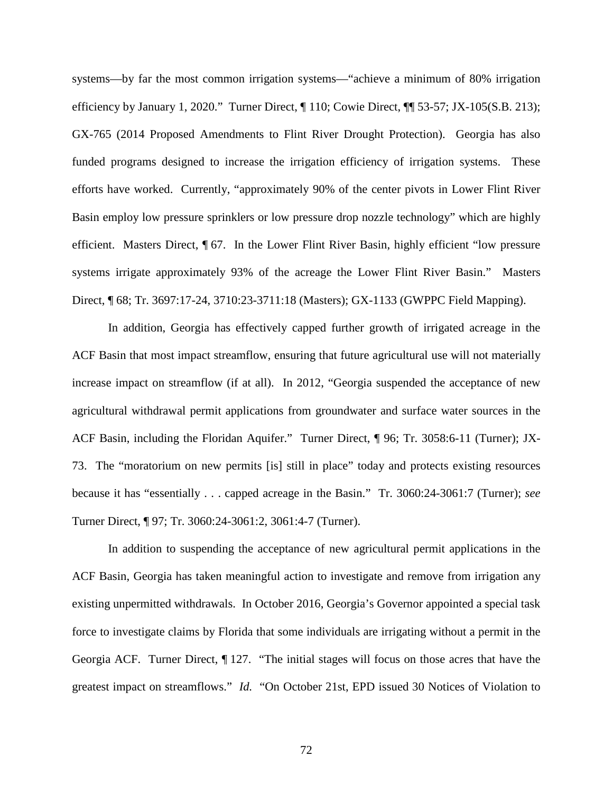systems—by far the most common irrigation systems—"achieve a minimum of 80% irrigation efficiency by January 1, 2020." Turner Direct, ¶ 110; Cowie Direct, ¶¶ 53-57; JX-105(S.B. 213); GX-765 (2014 Proposed Amendments to Flint River Drought Protection). Georgia has also funded programs designed to increase the irrigation efficiency of irrigation systems. These efforts have worked. Currently, "approximately 90% of the center pivots in Lower Flint River Basin employ low pressure sprinklers or low pressure drop nozzle technology" which are highly efficient. Masters Direct, ¶ 67. In the Lower Flint River Basin, highly efficient "low pressure systems irrigate approximately 93% of the acreage the Lower Flint River Basin." Masters Direct, ¶ 68; Tr. 3697:17-24, 3710:23-3711:18 (Masters); GX-1133 (GWPPC Field Mapping).

In addition, Georgia has effectively capped further growth of irrigated acreage in the ACF Basin that most impact streamflow, ensuring that future agricultural use will not materially increase impact on streamflow (if at all). In 2012, "Georgia suspended the acceptance of new agricultural withdrawal permit applications from groundwater and surface water sources in the ACF Basin, including the Floridan Aquifer." Turner Direct, ¶ 96; Tr. 3058:6-11 (Turner); JX-73. The "moratorium on new permits [is] still in place" today and protects existing resources because it has "essentially . . . capped acreage in the Basin." Tr. 3060:24-3061:7 (Turner); *see* Turner Direct, ¶ 97; Tr. 3060:24-3061:2, 3061:4-7 (Turner).

In addition to suspending the acceptance of new agricultural permit applications in the ACF Basin, Georgia has taken meaningful action to investigate and remove from irrigation any existing unpermitted withdrawals. In October 2016, Georgia's Governor appointed a special task force to investigate claims by Florida that some individuals are irrigating without a permit in the Georgia ACF. Turner Direct, ¶ 127. "The initial stages will focus on those acres that have the greatest impact on streamflows." *Id.* "On October 21st, EPD issued 30 Notices of Violation to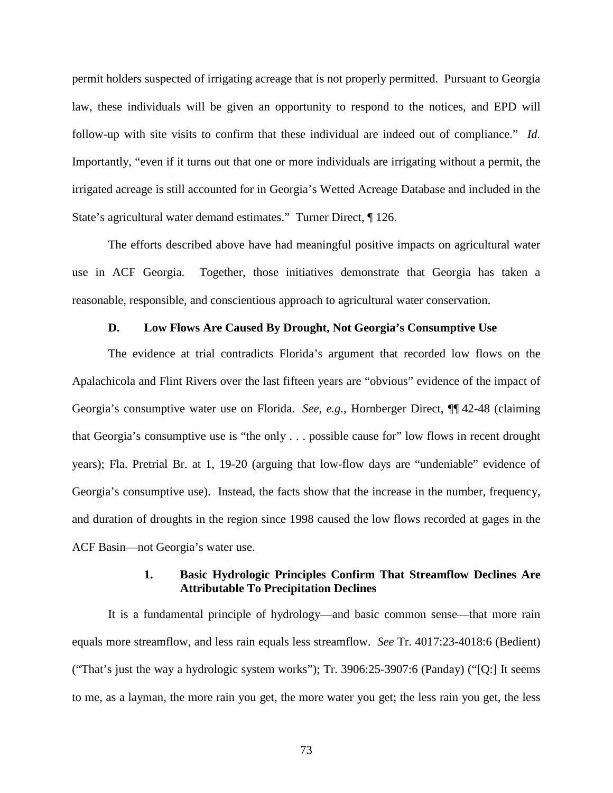permit holders suspected of irrigating acreage that is not properly permitted. Pursuant to Georgia law, these individuals will be given an opportunity to respond to the notices, and EPD will follow-up with site visits to confirm that these individual are indeed out of compliance." *Id.*  Importantly, "even if it turns out that one or more individuals are irrigating without a permit, the irrigated acreage is still accounted for in Georgia's Wetted Acreage Database and included in the State's agricultural water demand estimates." Turner Direct, ¶ 126.

The efforts described above have had meaningful positive impacts on agricultural water use in ACF Georgia. Together, those initiatives demonstrate that Georgia has taken a reasonable, responsible, and conscientious approach to agricultural water conservation.

## **D. Low Flows Are Caused By Drought, Not Georgia's Consumptive Use**

The evidence at trial contradicts Florida's argument that recorded low flows on the Apalachicola and Flint Rivers over the last fifteen years are "obvious" evidence of the impact of Georgia's consumptive water use on Florida. *See, e.g.*, Hornberger Direct, ¶¶ 42-48 (claiming that Georgia's consumptive use is "the only . . . possible cause for" low flows in recent drought years); Fla. Pretrial Br. at 1, 19-20 (arguing that low-flow days are "undeniable" evidence of Georgia's consumptive use). Instead, the facts show that the increase in the number, frequency, and duration of droughts in the region since 1998 caused the low flows recorded at gages in the ACF Basin—not Georgia's water use.

## **1. Basic Hydrologic Principles Confirm That Streamflow Declines Are Attributable To Precipitation Declines**

It is a fundamental principle of hydrology—and basic common sense—that more rain equals more streamflow, and less rain equals less streamflow. *See* Tr. 4017:23-4018:6 (Bedient) ("That's just the way a hydrologic system works"); Tr. 3906:25-3907:6 (Panday) ("[Q:] It seems to me, as a layman, the more rain you get, the more water you get; the less rain you get, the less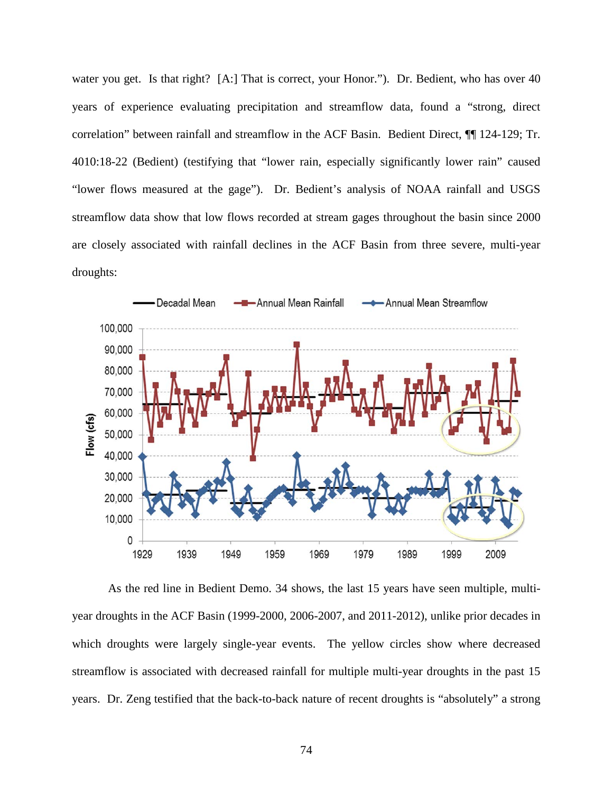water you get. Is that right? [A:] That is correct, your Honor."). Dr. Bedient, who has over 40 years of experience evaluating precipitation and streamflow data, found a "strong, direct correlation" between rainfall and streamflow in the ACF Basin. Bedient Direct, ¶¶ 124-129; Tr. 4010:18-22 (Bedient) (testifying that "lower rain, especially significantly lower rain" caused "lower flows measured at the gage"). Dr. Bedient's analysis of NOAA rainfall and USGS streamflow data show that low flows recorded at stream gages throughout the basin since 2000 are closely associated with rainfall declines in the ACF Basin from three severe, multi-year droughts:



As the red line in Bedient Demo. 34 shows, the last 15 years have seen multiple, multiyear droughts in the ACF Basin (1999-2000, 2006-2007, and 2011-2012), unlike prior decades in which droughts were largely single-year events. The yellow circles show where decreased streamflow is associated with decreased rainfall for multiple multi-year droughts in the past 15 years. Dr. Zeng testified that the back-to-back nature of recent droughts is "absolutely" a strong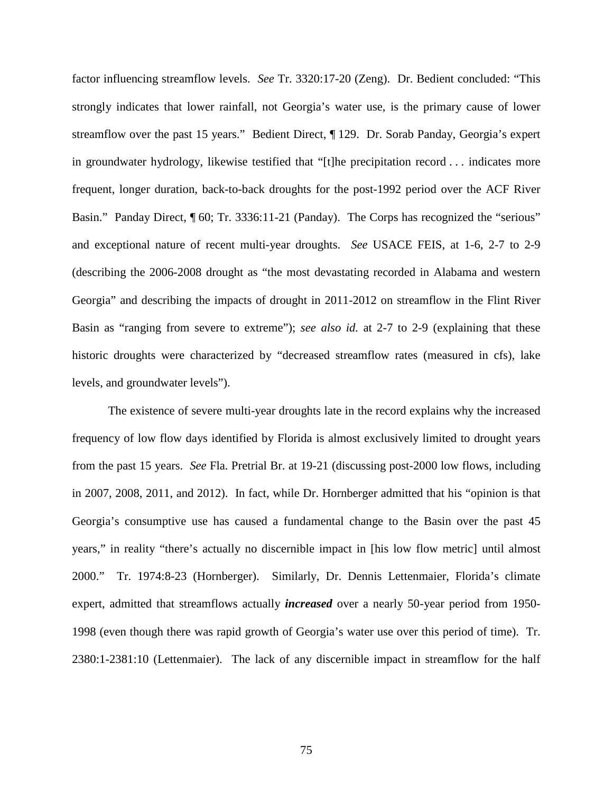factor influencing streamflow levels. *See* Tr. 3320:17-20 (Zeng). Dr. Bedient concluded: "This strongly indicates that lower rainfall, not Georgia's water use, is the primary cause of lower streamflow over the past 15 years." Bedient Direct, ¶ 129. Dr. Sorab Panday, Georgia's expert in groundwater hydrology, likewise testified that "[t]he precipitation record . . . indicates more frequent, longer duration, back-to-back droughts for the post-1992 period over the ACF River Basin." Panday Direct,  $\sqrt{ }$  60; Tr. 3336:11-21 (Panday). The Corps has recognized the "serious" and exceptional nature of recent multi-year droughts. *See* USACE FEIS, at 1-6, 2-7 to 2-9 (describing the 2006-2008 drought as "the most devastating recorded in Alabama and western Georgia" and describing the impacts of drought in 2011-2012 on streamflow in the Flint River Basin as "ranging from severe to extreme"); *see also id.* at 2-7 to 2-9 (explaining that these historic droughts were characterized by "decreased streamflow rates (measured in cfs), lake levels, and groundwater levels").

The existence of severe multi-year droughts late in the record explains why the increased frequency of low flow days identified by Florida is almost exclusively limited to drought years from the past 15 years. *See* Fla. Pretrial Br. at 19-21 (discussing post-2000 low flows, including in 2007, 2008, 2011, and 2012). In fact, while Dr. Hornberger admitted that his "opinion is that Georgia's consumptive use has caused a fundamental change to the Basin over the past 45 years," in reality "there's actually no discernible impact in [his low flow metric] until almost 2000." Tr. 1974:8-23 (Hornberger). Similarly, Dr. Dennis Lettenmaier, Florida's climate expert, admitted that streamflows actually *increased* over a nearly 50-year period from 1950- 1998 (even though there was rapid growth of Georgia's water use over this period of time). Tr. 2380:1-2381:10 (Lettenmaier). The lack of any discernible impact in streamflow for the half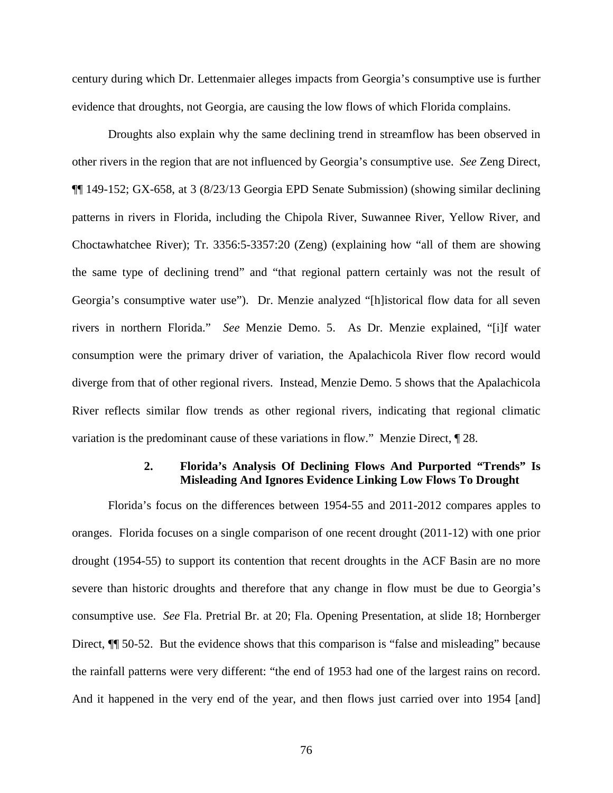century during which Dr. Lettenmaier alleges impacts from Georgia's consumptive use is further evidence that droughts, not Georgia, are causing the low flows of which Florida complains.

Droughts also explain why the same declining trend in streamflow has been observed in other rivers in the region that are not influenced by Georgia's consumptive use. *See* Zeng Direct, ¶¶ 149-152; GX-658, at 3 (8/23/13 Georgia EPD Senate Submission) (showing similar declining patterns in rivers in Florida, including the Chipola River, Suwannee River, Yellow River, and Choctawhatchee River); Tr. 3356:5-3357:20 (Zeng) (explaining how "all of them are showing the same type of declining trend" and "that regional pattern certainly was not the result of Georgia's consumptive water use"). Dr. Menzie analyzed "[h]istorical flow data for all seven rivers in northern Florida." *See* Menzie Demo. 5. As Dr. Menzie explained, "[i]f water consumption were the primary driver of variation, the Apalachicola River flow record would diverge from that of other regional rivers. Instead, Menzie Demo. 5 shows that the Apalachicola River reflects similar flow trends as other regional rivers, indicating that regional climatic variation is the predominant cause of these variations in flow." Menzie Direct, ¶ 28.

### **2. Florida's Analysis Of Declining Flows And Purported "Trends" Is Misleading And Ignores Evidence Linking Low Flows To Drought**

Florida's focus on the differences between 1954-55 and 2011-2012 compares apples to oranges. Florida focuses on a single comparison of one recent drought (2011-12) with one prior drought (1954-55) to support its contention that recent droughts in the ACF Basin are no more severe than historic droughts and therefore that any change in flow must be due to Georgia's consumptive use. *See* Fla. Pretrial Br. at 20; Fla. Opening Presentation, at slide 18; Hornberger Direct,  $\P$  50-52. But the evidence shows that this comparison is "false and misleading" because the rainfall patterns were very different: "the end of 1953 had one of the largest rains on record. And it happened in the very end of the year, and then flows just carried over into 1954 [and]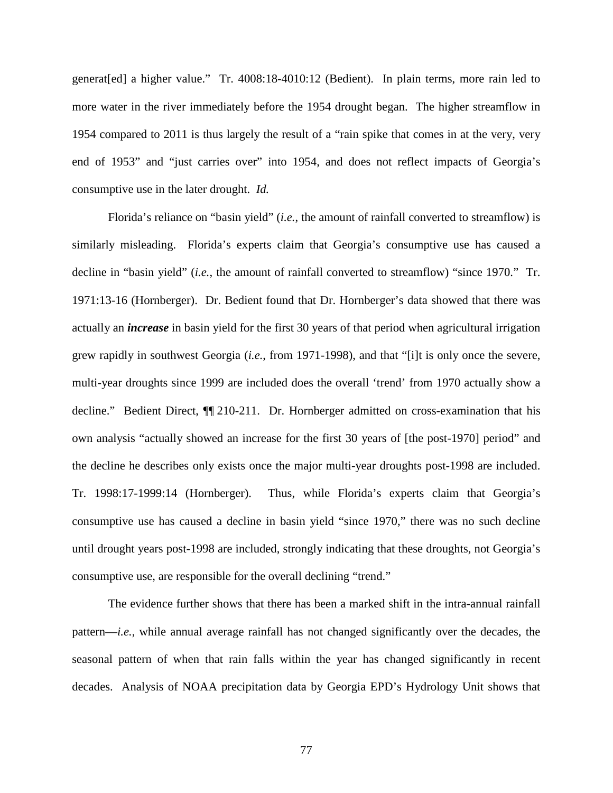generat[ed] a higher value." Tr. 4008:18-4010:12 (Bedient). In plain terms, more rain led to more water in the river immediately before the 1954 drought began. The higher streamflow in 1954 compared to 2011 is thus largely the result of a "rain spike that comes in at the very, very end of 1953" and "just carries over" into 1954, and does not reflect impacts of Georgia's consumptive use in the later drought. *Id.*

Florida's reliance on "basin yield" (*i.e.*, the amount of rainfall converted to streamflow) is similarly misleading. Florida's experts claim that Georgia's consumptive use has caused a decline in "basin yield" (*i.e.*, the amount of rainfall converted to streamflow) "since 1970." Tr. 1971:13-16 (Hornberger). Dr. Bedient found that Dr. Hornberger's data showed that there was actually an *increase* in basin yield for the first 30 years of that period when agricultural irrigation grew rapidly in southwest Georgia (*i.e.*, from 1971-1998), and that "[i]t is only once the severe, multi-year droughts since 1999 are included does the overall 'trend' from 1970 actually show a decline." Bedient Direct, ¶¶ 210-211. Dr. Hornberger admitted on cross-examination that his own analysis "actually showed an increase for the first 30 years of [the post-1970] period" and the decline he describes only exists once the major multi-year droughts post-1998 are included. Tr. 1998:17-1999:14 (Hornberger). Thus, while Florida's experts claim that Georgia's consumptive use has caused a decline in basin yield "since 1970," there was no such decline until drought years post-1998 are included, strongly indicating that these droughts, not Georgia's consumptive use, are responsible for the overall declining "trend."

The evidence further shows that there has been a marked shift in the intra-annual rainfall pattern—*i.e.*, while annual average rainfall has not changed significantly over the decades, the seasonal pattern of when that rain falls within the year has changed significantly in recent decades. Analysis of NOAA precipitation data by Georgia EPD's Hydrology Unit shows that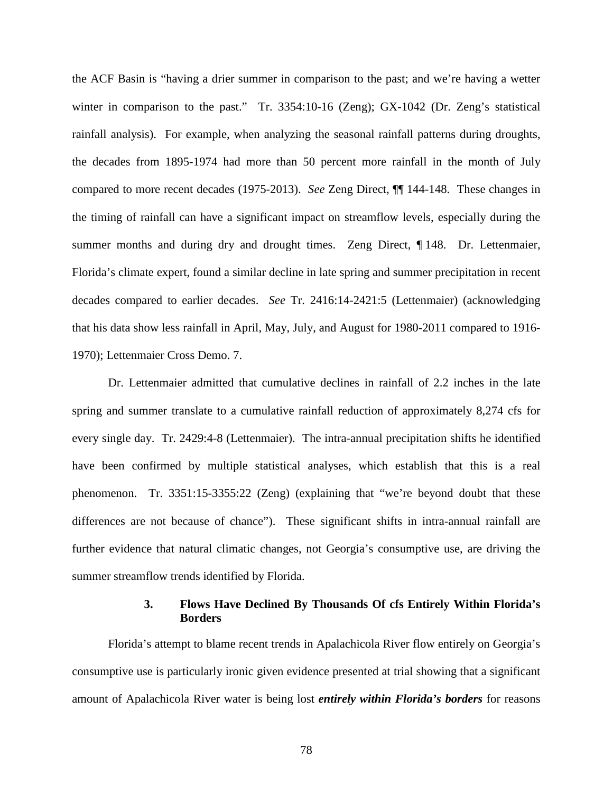the ACF Basin is "having a drier summer in comparison to the past; and we're having a wetter winter in comparison to the past." Tr. 3354:10-16 (Zeng); GX-1042 (Dr. Zeng's statistical rainfall analysis). For example, when analyzing the seasonal rainfall patterns during droughts, the decades from 1895-1974 had more than 50 percent more rainfall in the month of July compared to more recent decades (1975-2013). *See* Zeng Direct, ¶¶ 144-148. These changes in the timing of rainfall can have a significant impact on streamflow levels, especially during the summer months and during dry and drought times. Zeng Direct, ¶ 148. Dr. Lettenmaier, Florida's climate expert, found a similar decline in late spring and summer precipitation in recent decades compared to earlier decades. *See* Tr. 2416:14-2421:5 (Lettenmaier) (acknowledging that his data show less rainfall in April, May, July, and August for 1980-2011 compared to 1916- 1970); Lettenmaier Cross Demo. 7.

Dr. Lettenmaier admitted that cumulative declines in rainfall of 2.2 inches in the late spring and summer translate to a cumulative rainfall reduction of approximately 8,274 cfs for every single day. Tr. 2429:4-8 (Lettenmaier). The intra-annual precipitation shifts he identified have been confirmed by multiple statistical analyses, which establish that this is a real phenomenon. Tr. 3351:15-3355:22 (Zeng) (explaining that "we're beyond doubt that these differences are not because of chance"). These significant shifts in intra-annual rainfall are further evidence that natural climatic changes, not Georgia's consumptive use, are driving the summer streamflow trends identified by Florida.

## **3. Flows Have Declined By Thousands Of cfs Entirely Within Florida's Borders**

Florida's attempt to blame recent trends in Apalachicola River flow entirely on Georgia's consumptive use is particularly ironic given evidence presented at trial showing that a significant amount of Apalachicola River water is being lost *entirely within Florida's borders* for reasons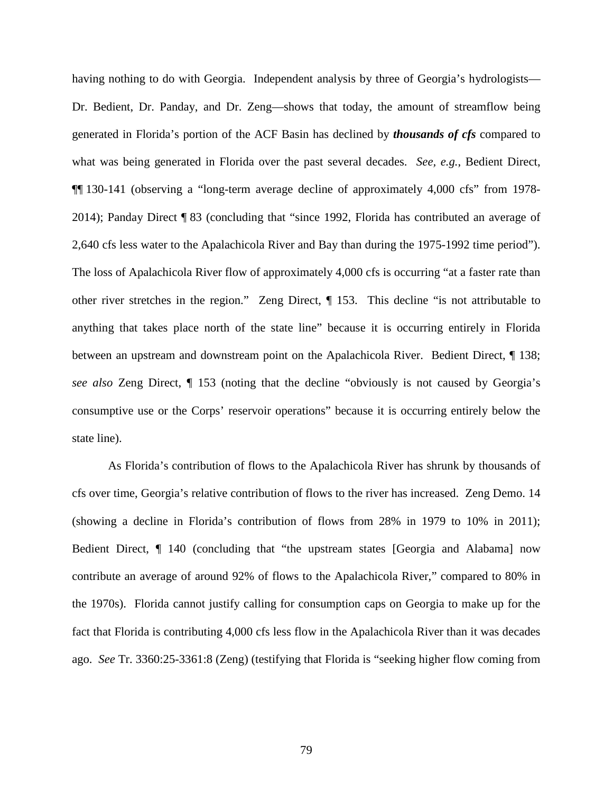having nothing to do with Georgia. Independent analysis by three of Georgia's hydrologists— Dr. Bedient, Dr. Panday, and Dr. Zeng—shows that today, the amount of streamflow being generated in Florida's portion of the ACF Basin has declined by *thousands of cfs* compared to what was being generated in Florida over the past several decades. *See, e.g.*, Bedient Direct, ¶¶ 130-141 (observing a "long-term average decline of approximately 4,000 cfs" from 1978- 2014); Panday Direct ¶ 83 (concluding that "since 1992, Florida has contributed an average of 2,640 cfs less water to the Apalachicola River and Bay than during the 1975-1992 time period"). The loss of Apalachicola River flow of approximately 4,000 cfs is occurring "at a faster rate than other river stretches in the region." Zeng Direct, ¶ 153. This decline "is not attributable to anything that takes place north of the state line" because it is occurring entirely in Florida between an upstream and downstream point on the Apalachicola River. Bedient Direct, ¶ 138; *see also* Zeng Direct, ¶ 153 (noting that the decline "obviously is not caused by Georgia's consumptive use or the Corps' reservoir operations" because it is occurring entirely below the state line).

As Florida's contribution of flows to the Apalachicola River has shrunk by thousands of cfs over time, Georgia's relative contribution of flows to the river has increased. Zeng Demo. 14 (showing a decline in Florida's contribution of flows from 28% in 1979 to 10% in 2011); Bedient Direct, ¶ 140 (concluding that "the upstream states [Georgia and Alabama] now contribute an average of around 92% of flows to the Apalachicola River," compared to 80% in the 1970s). Florida cannot justify calling for consumption caps on Georgia to make up for the fact that Florida is contributing 4,000 cfs less flow in the Apalachicola River than it was decades ago. *See* Tr. 3360:25-3361:8 (Zeng) (testifying that Florida is "seeking higher flow coming from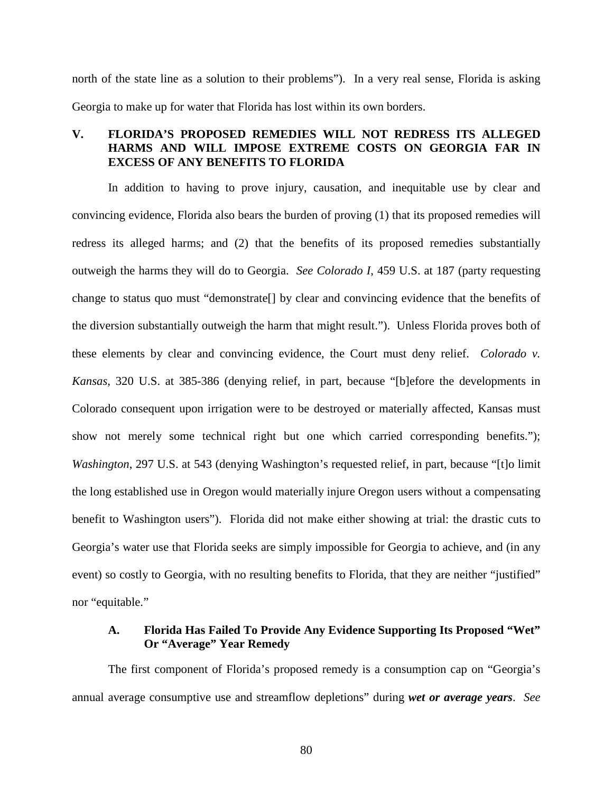north of the state line as a solution to their problems"). In a very real sense, Florida is asking Georgia to make up for water that Florida has lost within its own borders.

# **V. FLORIDA'S PROPOSED REMEDIES WILL NOT REDRESS ITS ALLEGED HARMS AND WILL IMPOSE EXTREME COSTS ON GEORGIA FAR IN EXCESS OF ANY BENEFITS TO FLORIDA**

In addition to having to prove injury, causation, and inequitable use by clear and convincing evidence, Florida also bears the burden of proving (1) that its proposed remedies will redress its alleged harms; and (2) that the benefits of its proposed remedies substantially outweigh the harms they will do to Georgia. *See Colorado I*, 459 U.S. at 187 (party requesting change to status quo must "demonstrate[] by clear and convincing evidence that the benefits of the diversion substantially outweigh the harm that might result."). Unless Florida proves both of these elements by clear and convincing evidence, the Court must deny relief. *Colorado v. Kansas*, 320 U.S. at 385-386 (denying relief, in part, because "[b]efore the developments in Colorado consequent upon irrigation were to be destroyed or materially affected, Kansas must show not merely some technical right but one which carried corresponding benefits."); *Washington*, 297 U.S. at 543 (denying Washington's requested relief, in part, because "[t]o limit the long established use in Oregon would materially injure Oregon users without a compensating benefit to Washington users"). Florida did not make either showing at trial: the drastic cuts to Georgia's water use that Florida seeks are simply impossible for Georgia to achieve, and (in any event) so costly to Georgia, with no resulting benefits to Florida, that they are neither "justified" nor "equitable."

# **A. Florida Has Failed To Provide Any Evidence Supporting Its Proposed "Wet" Or "Average" Year Remedy**

The first component of Florida's proposed remedy is a consumption cap on "Georgia's annual average consumptive use and streamflow depletions" during *wet or average years*. *See*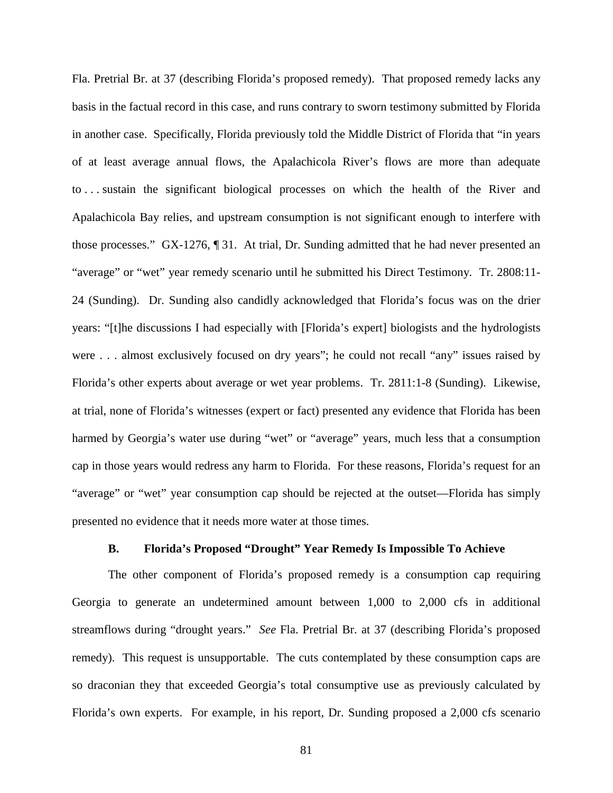Fla. Pretrial Br. at 37 (describing Florida's proposed remedy). That proposed remedy lacks any basis in the factual record in this case, and runs contrary to sworn testimony submitted by Florida in another case. Specifically, Florida previously told the Middle District of Florida that "in years of at least average annual flows, the Apalachicola River's flows are more than adequate to . . . sustain the significant biological processes on which the health of the River and Apalachicola Bay relies, and upstream consumption is not significant enough to interfere with those processes." GX-1276, ¶ 31. At trial, Dr. Sunding admitted that he had never presented an "average" or "wet" year remedy scenario until he submitted his Direct Testimony. Tr. 2808:11- 24 (Sunding). Dr. Sunding also candidly acknowledged that Florida's focus was on the drier years: "[t]he discussions I had especially with [Florida's expert] biologists and the hydrologists were . . . almost exclusively focused on dry years"; he could not recall "any" issues raised by Florida's other experts about average or wet year problems. Tr. 2811:1-8 (Sunding). Likewise, at trial, none of Florida's witnesses (expert or fact) presented any evidence that Florida has been harmed by Georgia's water use during "wet" or "average" years, much less that a consumption cap in those years would redress any harm to Florida. For these reasons, Florida's request for an "average" or "wet" year consumption cap should be rejected at the outset—Florida has simply presented no evidence that it needs more water at those times.

#### **B. Florida's Proposed "Drought" Year Remedy Is Impossible To Achieve**

The other component of Florida's proposed remedy is a consumption cap requiring Georgia to generate an undetermined amount between 1,000 to 2,000 cfs in additional streamflows during "drought years." *See* Fla. Pretrial Br. at 37 (describing Florida's proposed remedy). This request is unsupportable. The cuts contemplated by these consumption caps are so draconian they that exceeded Georgia's total consumptive use as previously calculated by Florida's own experts. For example, in his report, Dr. Sunding proposed a 2,000 cfs scenario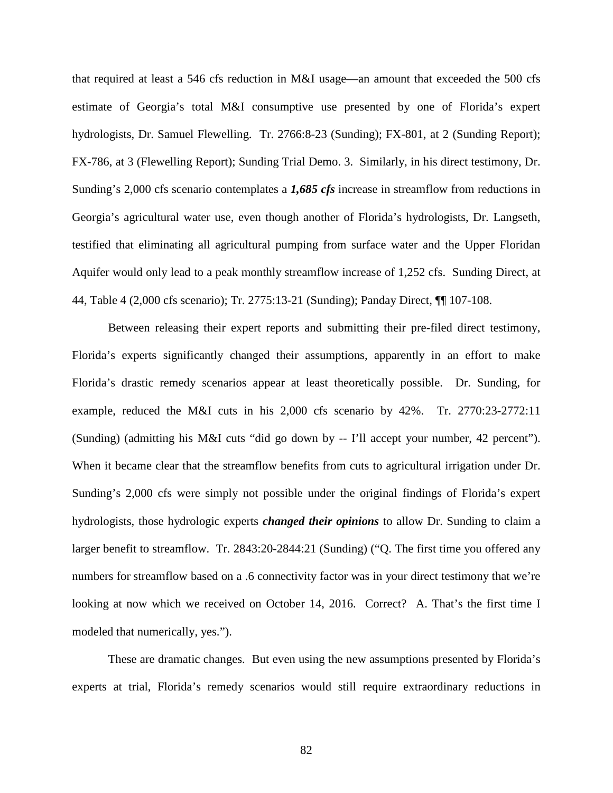that required at least a 546 cfs reduction in M&I usage—an amount that exceeded the 500 cfs estimate of Georgia's total M&I consumptive use presented by one of Florida's expert hydrologists, Dr. Samuel Flewelling. Tr. 2766:8-23 (Sunding); FX-801, at 2 (Sunding Report); FX-786, at 3 (Flewelling Report); Sunding Trial Demo. 3. Similarly, in his direct testimony, Dr. Sunding's 2,000 cfs scenario contemplates a *1,685 cfs* increase in streamflow from reductions in Georgia's agricultural water use, even though another of Florida's hydrologists, Dr. Langseth, testified that eliminating all agricultural pumping from surface water and the Upper Floridan Aquifer would only lead to a peak monthly streamflow increase of 1,252 cfs. Sunding Direct, at 44, Table 4 (2,000 cfs scenario); Tr. 2775:13-21 (Sunding); Panday Direct, ¶¶ 107-108.

Between releasing their expert reports and submitting their pre-filed direct testimony, Florida's experts significantly changed their assumptions, apparently in an effort to make Florida's drastic remedy scenarios appear at least theoretically possible. Dr. Sunding, for example, reduced the M&I cuts in his 2,000 cfs scenario by 42%. Tr. 2770:23-2772:11 (Sunding) (admitting his M&I cuts "did go down by -- I'll accept your number, 42 percent"). When it became clear that the streamflow benefits from cuts to agricultural irrigation under Dr. Sunding's 2,000 cfs were simply not possible under the original findings of Florida's expert hydrologists, those hydrologic experts *changed their opinions* to allow Dr. Sunding to claim a larger benefit to streamflow. Tr. 2843:20-2844:21 (Sunding) ("Q. The first time you offered any numbers for streamflow based on a .6 connectivity factor was in your direct testimony that we're looking at now which we received on October 14, 2016. Correct? A. That's the first time I modeled that numerically, yes.").

These are dramatic changes. But even using the new assumptions presented by Florida's experts at trial, Florida's remedy scenarios would still require extraordinary reductions in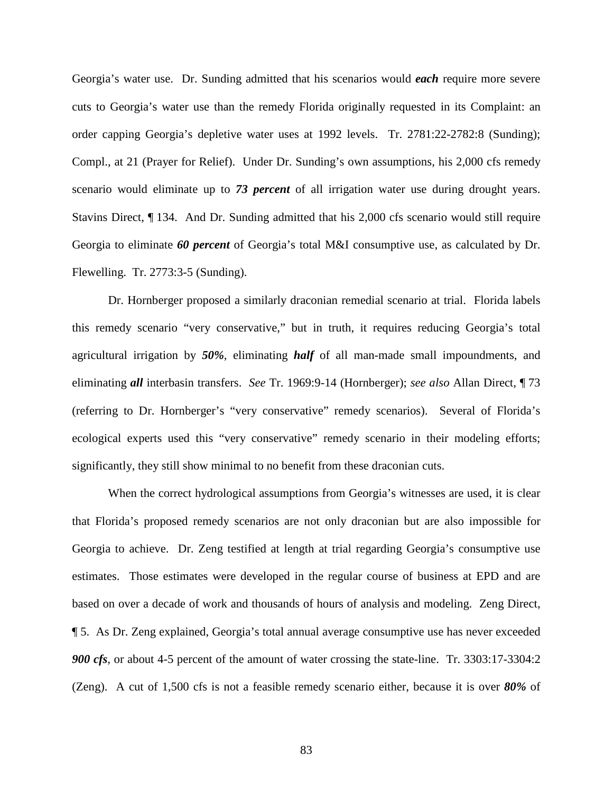Georgia's water use. Dr. Sunding admitted that his scenarios would *each* require more severe cuts to Georgia's water use than the remedy Florida originally requested in its Complaint: an order capping Georgia's depletive water uses at 1992 levels. Tr. 2781:22-2782:8 (Sunding); Compl., at 21 (Prayer for Relief). Under Dr. Sunding's own assumptions, his 2,000 cfs remedy scenario would eliminate up to *73 percent* of all irrigation water use during drought years. Stavins Direct, ¶ 134. And Dr. Sunding admitted that his 2,000 cfs scenario would still require Georgia to eliminate *60 percent* of Georgia's total M&I consumptive use, as calculated by Dr. Flewelling. Tr. 2773:3-5 (Sunding).

Dr. Hornberger proposed a similarly draconian remedial scenario at trial. Florida labels this remedy scenario "very conservative," but in truth, it requires reducing Georgia's total agricultural irrigation by *50%*, eliminating *half* of all man-made small impoundments, and eliminating *all* interbasin transfers. *See* Tr. 1969:9-14 (Hornberger); *see also* Allan Direct, ¶ 73 (referring to Dr. Hornberger's "very conservative" remedy scenarios). Several of Florida's ecological experts used this "very conservative" remedy scenario in their modeling efforts; significantly, they still show minimal to no benefit from these draconian cuts.

When the correct hydrological assumptions from Georgia's witnesses are used, it is clear that Florida's proposed remedy scenarios are not only draconian but are also impossible for Georgia to achieve. Dr. Zeng testified at length at trial regarding Georgia's consumptive use estimates. Those estimates were developed in the regular course of business at EPD and are based on over a decade of work and thousands of hours of analysis and modeling. Zeng Direct, ¶ 5. As Dr. Zeng explained, Georgia's total annual average consumptive use has never exceeded *900 cfs*, or about 4-5 percent of the amount of water crossing the state-line. Tr. 3303:17-3304:2 (Zeng). A cut of 1,500 cfs is not a feasible remedy scenario either, because it is over *80%* of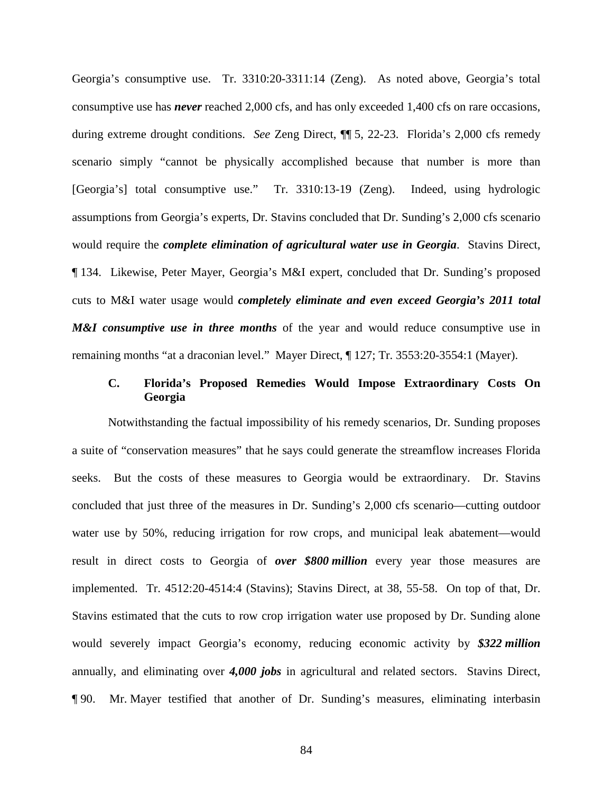Georgia's consumptive use. Tr. 3310:20-3311:14 (Zeng). As noted above, Georgia's total consumptive use has *never* reached 2,000 cfs, and has only exceeded 1,400 cfs on rare occasions, during extreme drought conditions. *See* Zeng Direct, ¶¶ 5, 22-23. Florida's 2,000 cfs remedy scenario simply "cannot be physically accomplished because that number is more than [Georgia's] total consumptive use." Tr. 3310:13-19 (Zeng). Indeed, using hydrologic assumptions from Georgia's experts, Dr. Stavins concluded that Dr. Sunding's 2,000 cfs scenario would require the *complete elimination of agricultural water use in Georgia*. Stavins Direct, ¶ 134. Likewise, Peter Mayer, Georgia's M&I expert, concluded that Dr. Sunding's proposed cuts to M&I water usage would *completely eliminate and even exceed Georgia's 2011 total M&I consumptive use in three months* of the year and would reduce consumptive use in remaining months "at a draconian level." Mayer Direct, ¶ 127; Tr. 3553:20-3554:1 (Mayer).

## **C. Florida's Proposed Remedies Would Impose Extraordinary Costs On Georgia**

Notwithstanding the factual impossibility of his remedy scenarios, Dr. Sunding proposes a suite of "conservation measures" that he says could generate the streamflow increases Florida seeks. But the costs of these measures to Georgia would be extraordinary. Dr. Stavins concluded that just three of the measures in Dr. Sunding's 2,000 cfs scenario—cutting outdoor water use by 50%, reducing irrigation for row crops, and municipal leak abatement—would result in direct costs to Georgia of *over \$800 million* every year those measures are implemented. Tr. 4512:20-4514:4 (Stavins); Stavins Direct, at 38, 55-58. On top of that, Dr. Stavins estimated that the cuts to row crop irrigation water use proposed by Dr. Sunding alone would severely impact Georgia's economy, reducing economic activity by *\$322 million* annually, and eliminating over *4,000 jobs* in agricultural and related sectors. Stavins Direct, ¶ 90. Mr. Mayer testified that another of Dr. Sunding's measures, eliminating interbasin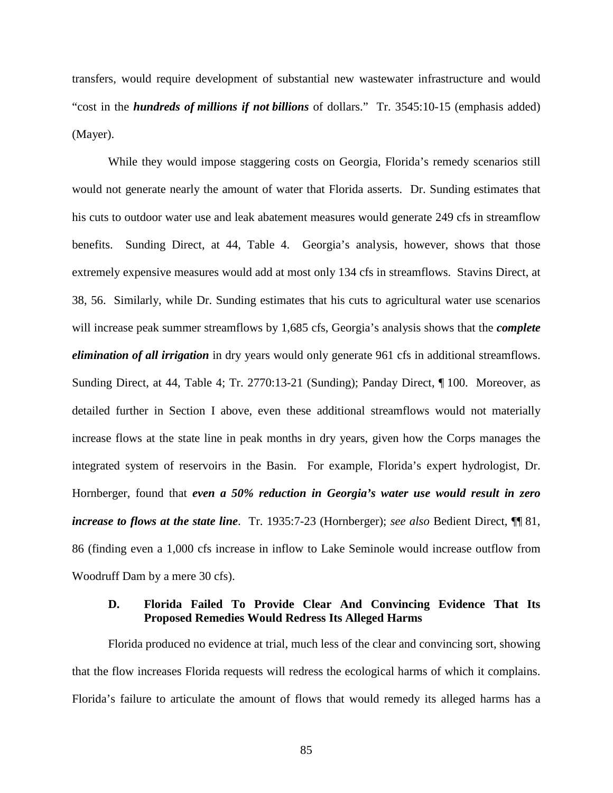transfers, would require development of substantial new wastewater infrastructure and would "cost in the *hundreds of millions if not billions* of dollars." Tr. 3545:10-15 (emphasis added) (Mayer).

While they would impose staggering costs on Georgia, Florida's remedy scenarios still would not generate nearly the amount of water that Florida asserts. Dr. Sunding estimates that his cuts to outdoor water use and leak abatement measures would generate 249 cfs in streamflow benefits. Sunding Direct, at 44, Table 4. Georgia's analysis, however, shows that those extremely expensive measures would add at most only 134 cfs in streamflows. Stavins Direct, at 38, 56. Similarly, while Dr. Sunding estimates that his cuts to agricultural water use scenarios will increase peak summer streamflows by 1,685 cfs, Georgia's analysis shows that the *complete elimination of all irrigation* in dry years would only generate 961 cfs in additional streamflows. Sunding Direct, at 44, Table 4; Tr. 2770:13-21 (Sunding); Panday Direct, ¶ 100. Moreover, as detailed further in Section I above, even these additional streamflows would not materially increase flows at the state line in peak months in dry years, given how the Corps manages the integrated system of reservoirs in the Basin. For example, Florida's expert hydrologist, Dr. Hornberger, found that *even a 50% reduction in Georgia's water use would result in zero increase to flows at the state line*. Tr. 1935:7-23 (Hornberger); *see also* Bedient Direct, ¶¶ 81, 86 (finding even a 1,000 cfs increase in inflow to Lake Seminole would increase outflow from Woodruff Dam by a mere 30 cfs).

## **D. Florida Failed To Provide Clear And Convincing Evidence That Its Proposed Remedies Would Redress Its Alleged Harms**

Florida produced no evidence at trial, much less of the clear and convincing sort, showing that the flow increases Florida requests will redress the ecological harms of which it complains. Florida's failure to articulate the amount of flows that would remedy its alleged harms has a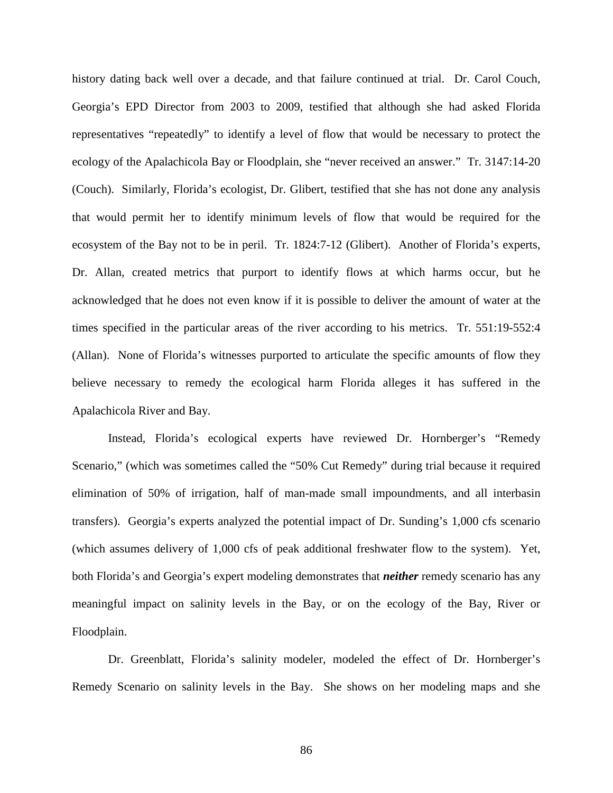history dating back well over a decade, and that failure continued at trial. Dr. Carol Couch, Georgia's EPD Director from 2003 to 2009, testified that although she had asked Florida representatives "repeatedly" to identify a level of flow that would be necessary to protect the ecology of the Apalachicola Bay or Floodplain, she "never received an answer." Tr. 3147:14-20 (Couch). Similarly, Florida's ecologist, Dr. Glibert, testified that she has not done any analysis that would permit her to identify minimum levels of flow that would be required for the ecosystem of the Bay not to be in peril. Tr. 1824:7-12 (Glibert). Another of Florida's experts, Dr. Allan, created metrics that purport to identify flows at which harms occur, but he acknowledged that he does not even know if it is possible to deliver the amount of water at the times specified in the particular areas of the river according to his metrics. Tr. 551:19-552:4 (Allan). None of Florida's witnesses purported to articulate the specific amounts of flow they believe necessary to remedy the ecological harm Florida alleges it has suffered in the Apalachicola River and Bay.

Instead, Florida's ecological experts have reviewed Dr. Hornberger's "Remedy Scenario," (which was sometimes called the "50% Cut Remedy" during trial because it required elimination of 50% of irrigation, half of man-made small impoundments, and all interbasin transfers). Georgia's experts analyzed the potential impact of Dr. Sunding's 1,000 cfs scenario (which assumes delivery of 1,000 cfs of peak additional freshwater flow to the system). Yet, both Florida's and Georgia's expert modeling demonstrates that *neither* remedy scenario has any meaningful impact on salinity levels in the Bay, or on the ecology of the Bay, River or Floodplain.

Dr. Greenblatt, Florida's salinity modeler, modeled the effect of Dr. Hornberger's Remedy Scenario on salinity levels in the Bay. She shows on her modeling maps and she

86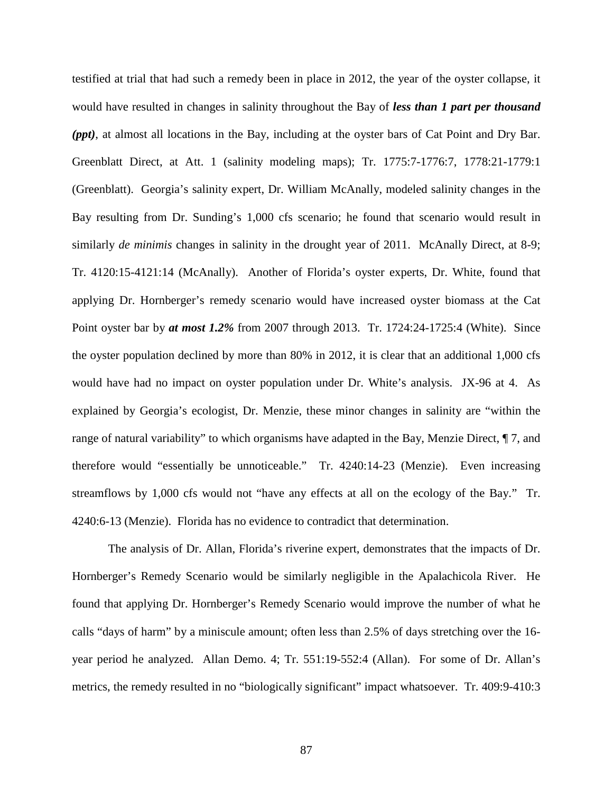testified at trial that had such a remedy been in place in 2012, the year of the oyster collapse, it would have resulted in changes in salinity throughout the Bay of *less than 1 part per thousand (ppt)*, at almost all locations in the Bay, including at the oyster bars of Cat Point and Dry Bar. Greenblatt Direct, at Att. 1 (salinity modeling maps); Tr. 1775:7-1776:7, 1778:21-1779:1 (Greenblatt). Georgia's salinity expert, Dr. William McAnally, modeled salinity changes in the Bay resulting from Dr. Sunding's 1,000 cfs scenario; he found that scenario would result in similarly *de minimis* changes in salinity in the drought year of 2011. McAnally Direct, at 8-9; Tr. 4120:15-4121:14 (McAnally). Another of Florida's oyster experts, Dr. White, found that applying Dr. Hornberger's remedy scenario would have increased oyster biomass at the Cat Point oyster bar by *at most 1.2%* from 2007 through 2013. Tr. 1724:24-1725:4 (White). Since the oyster population declined by more than 80% in 2012, it is clear that an additional 1,000 cfs would have had no impact on oyster population under Dr. White's analysis. JX-96 at 4. As explained by Georgia's ecologist, Dr. Menzie, these minor changes in salinity are "within the range of natural variability" to which organisms have adapted in the Bay, Menzie Direct, ¶ 7, and therefore would "essentially be unnoticeable." Tr. 4240:14-23 (Menzie). Even increasing streamflows by 1,000 cfs would not "have any effects at all on the ecology of the Bay." Tr. 4240:6-13 (Menzie). Florida has no evidence to contradict that determination.

The analysis of Dr. Allan, Florida's riverine expert, demonstrates that the impacts of Dr. Hornberger's Remedy Scenario would be similarly negligible in the Apalachicola River. He found that applying Dr. Hornberger's Remedy Scenario would improve the number of what he calls "days of harm" by a miniscule amount; often less than 2.5% of days stretching over the 16 year period he analyzed. Allan Demo. 4; Tr. 551:19-552:4 (Allan). For some of Dr. Allan's metrics, the remedy resulted in no "biologically significant" impact whatsoever. Tr. 409:9-410:3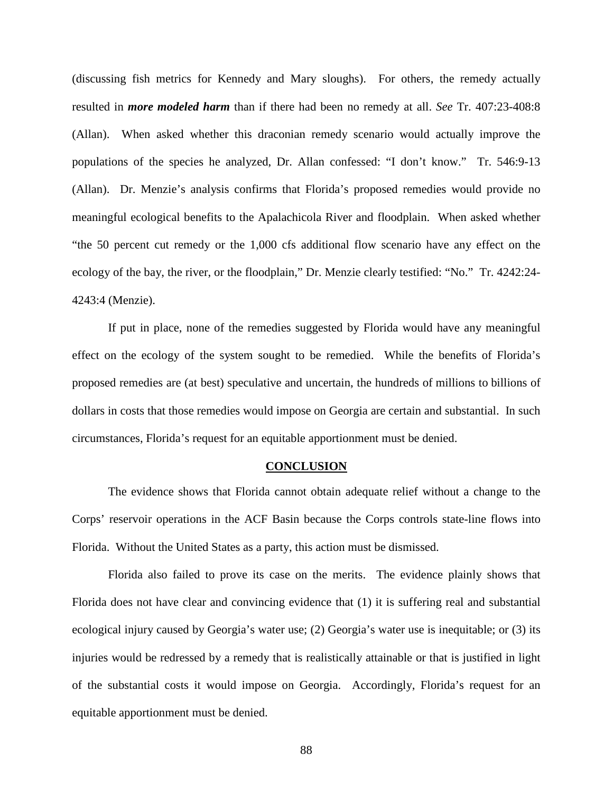(discussing fish metrics for Kennedy and Mary sloughs). For others, the remedy actually resulted in *more modeled harm* than if there had been no remedy at all. *See* Tr. 407:23-408:8 (Allan). When asked whether this draconian remedy scenario would actually improve the populations of the species he analyzed, Dr. Allan confessed: "I don't know." Tr. 546:9-13 (Allan). Dr. Menzie's analysis confirms that Florida's proposed remedies would provide no meaningful ecological benefits to the Apalachicola River and floodplain. When asked whether "the 50 percent cut remedy or the 1,000 cfs additional flow scenario have any effect on the ecology of the bay, the river, or the floodplain," Dr. Menzie clearly testified: "No." Tr. 4242:24- 4243:4 (Menzie).

If put in place, none of the remedies suggested by Florida would have any meaningful effect on the ecology of the system sought to be remedied. While the benefits of Florida's proposed remedies are (at best) speculative and uncertain, the hundreds of millions to billions of dollars in costs that those remedies would impose on Georgia are certain and substantial. In such circumstances, Florida's request for an equitable apportionment must be denied.

#### **CONCLUSION**

The evidence shows that Florida cannot obtain adequate relief without a change to the Corps' reservoir operations in the ACF Basin because the Corps controls state-line flows into Florida. Without the United States as a party, this action must be dismissed.

Florida also failed to prove its case on the merits. The evidence plainly shows that Florida does not have clear and convincing evidence that (1) it is suffering real and substantial ecological injury caused by Georgia's water use; (2) Georgia's water use is inequitable; or (3) its injuries would be redressed by a remedy that is realistically attainable or that is justified in light of the substantial costs it would impose on Georgia. Accordingly, Florida's request for an equitable apportionment must be denied.

88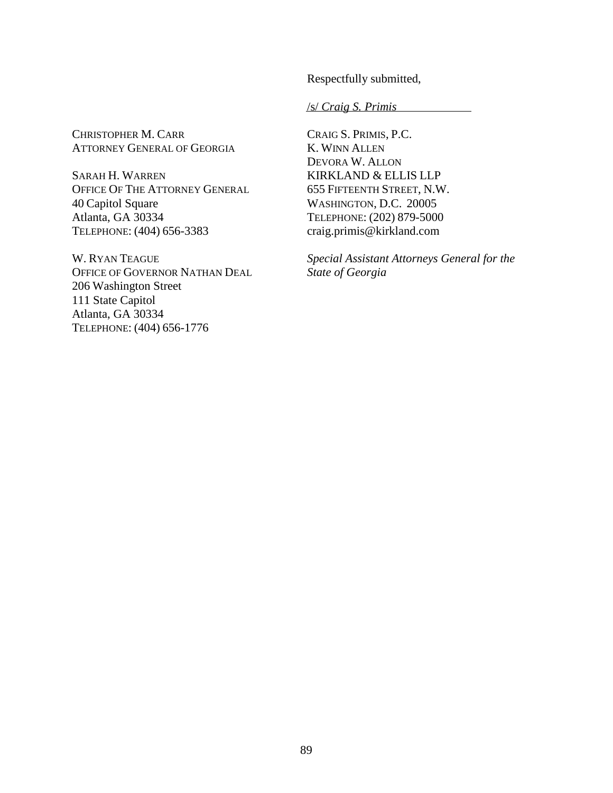Respectfully submitted,

/s/ *Craig S. Primis*

CHRISTOPHER M. CARR ATTORNEY GENERAL OF GEORGIA

SARAH H. WARREN OFFICE OF THE ATTORNEY GENERAL 40 Capitol Square Atlanta, GA 30334 TELEPHONE: (404) 656-3383

W. RYAN TEAGUE OFFICE OF GOVERNOR NATHAN DEAL 206 Washington Street 111 State Capitol Atlanta, GA 30334 TELEPHONE: (404) 656-1776

CRAIG S. PRIMIS, P.C. K. WINN ALLEN DEVORA W. ALLON KIRKLAND & ELLIS LLP 655 FIFTEENTH STREET, N.W. WASHINGTON, D.C. 20005 TELEPHONE: (202) 879-5000 craig.primis@kirkland.com

*Special Assistant Attorneys General for the State of Georgia*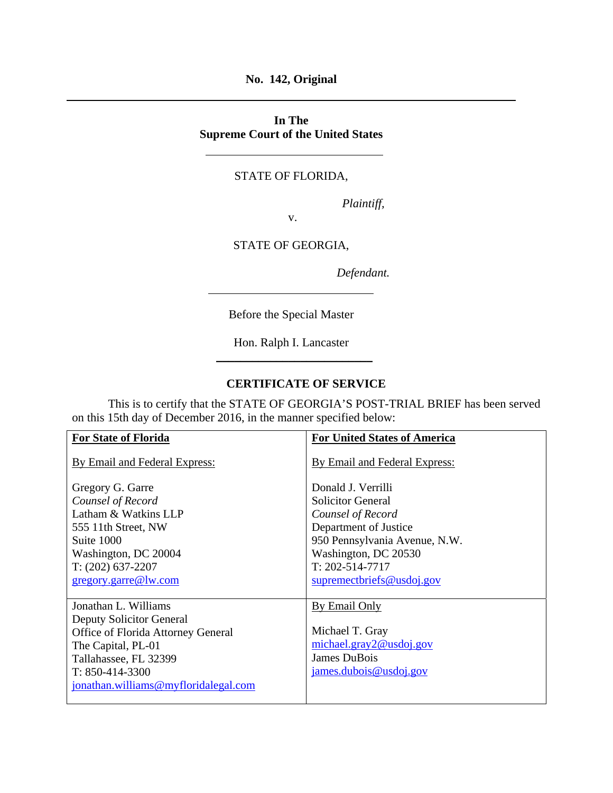**No. 142, Original** 

# **In The Supreme Court of the United States**

## STATE OF FLORIDA,

*Plaintiff,* 

STATE OF GEORGIA,

v.

*Defendant.* 

Before the Special Master

Hon. Ralph I. Lancaster \_\_\_\_\_\_\_\_\_\_\_\_\_\_\_\_\_\_\_\_\_\_\_\_\_\_

## **CERTIFICATE OF SERVICE**

 This is to certify that the STATE OF GEORGIA'S POST-TRIAL BRIEF has been served on this 15th day of December 2016, in the manner specified below:

| <b>For State of Florida</b>          | <b>For United States of America</b> |
|--------------------------------------|-------------------------------------|
| By Email and Federal Express:        | By Email and Federal Express:       |
| Gregory G. Garre                     | Donald J. Verrilli                  |
| Counsel of Record                    | <b>Solicitor General</b>            |
| Latham & Watkins LLP                 | Counsel of Record                   |
| 555 11th Street, NW                  | Department of Justice               |
| Suite 1000                           | 950 Pennsylvania Avenue, N.W.       |
| Washington, DC 20004                 | Washington, DC 20530                |
| $T: (202)$ 637-2207                  | $T: 202 - 514 - 7717$               |
| gregory.garre@lw.com                 | supremectoriefs@usdoj.gov           |
|                                      |                                     |
| Jonathan L. Williams                 | By Email Only                       |
| Deputy Solicitor General             |                                     |
| Office of Florida Attorney General   | Michael T. Gray                     |
| The Capital, PL-01                   | michael.gray2@usdoj.gov             |
| Tallahassee, FL 32399                | James DuBois                        |
| $T: 850-414-3300$                    | james.dubois@usdoj.gov              |
| jonathan.williams@myfloridalegal.com |                                     |
|                                      |                                     |